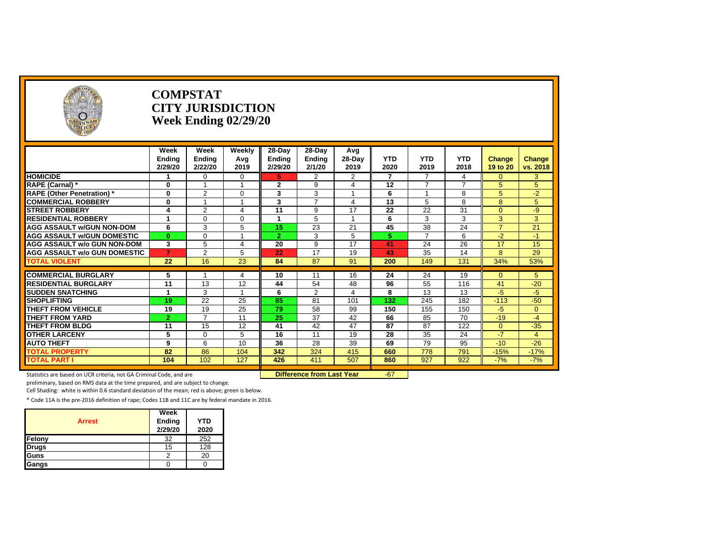| <b>NCE OFFIC</b><br>$\circ$         |                                  | <b>COMPSTAT</b><br><b>CITY JURISDICTION</b><br>Week Ending 02/29/20 |                       |                             |                                     |                       |                    |                    |                       |                    |                    |
|-------------------------------------|----------------------------------|---------------------------------------------------------------------|-----------------------|-----------------------------|-------------------------------------|-----------------------|--------------------|--------------------|-----------------------|--------------------|--------------------|
|                                     | Week<br><b>Ending</b><br>2/29/20 | Week<br>Ending<br>2/22/20                                           | Weekly<br>Avg<br>2019 | 28-Day<br>Ending<br>2/29/20 | $28-Day$<br><b>Ending</b><br>2/1/20 | Avg<br>28-Day<br>2019 | <b>YTD</b><br>2020 | <b>YTD</b><br>2019 | <b>YTD</b><br>2018    | Change<br>19 to 20 | Change<br>vs. 2018 |
| <b>HOMICIDE</b>                     |                                  | $\Omega$                                                            | $\mathbf 0$           | 5                           | 2                                   | $\overline{2}$        | 7                  | $\overline{7}$     | $\boldsymbol{\Delta}$ | $\Omega$           | 3                  |
| RAPE (Carnal) *                     | $\mathbf{0}$                     |                                                                     |                       | $\mathbf{2}$                | 9                                   | 4                     | 12                 | $\overline{ }$     | 7                     | 5 <sup>5</sup>     | 5                  |
| <b>RAPE (Other Penetration)</b> *   | $\mathbf{0}$                     | $\overline{2}$                                                      | $\mathbf 0$           | 3                           | 3                                   |                       | 6                  |                    | 8                     | 5                  | $-2$               |
| <b>COMMERCIAL ROBBERY</b>           | $\mathbf{0}$                     |                                                                     | $\mathbf{A}$          | 3                           | $\overline{7}$                      | 4                     | 13                 | 5                  | $\mathsf{8}$          | 8                  | 5                  |
| <b>STREET ROBBERY</b>               |                                  | 2                                                                   | $\overline{4}$        | 11                          | 9                                   | 17                    | 22                 | 22                 | 31                    | $\Omega$           | $-9$               |
| <b>RESIDENTIAL ROBBERY</b>          |                                  | $\Omega$                                                            | $\mathbf 0$           | 4                           | 5                                   |                       | 6                  | 3                  | 3                     | 3                  | 3                  |
| <b>AGG ASSAULT W/GUN NON-DOM</b>    | 6                                | 3                                                                   | 5                     | 15                          | 23                                  | 21                    | 45                 | 38                 | 24                    | $\overline{7}$     | 21                 |
| <b>AGG ASSAULT W/GUN DOMESTIC</b>   | $\bf{0}$                         | $\Omega$                                                            |                       | $\mathbf{2}$                | 3                                   | 5                     | 5.                 | $\overline{7}$     | 6                     | $-2$               | $-1$               |
| <b>AGG ASSAULT w/o GUN NON-DOM</b>  | 3                                | 5                                                                   | $\overline{4}$        | 20                          | 9                                   | 17                    | 41                 | 24                 | 26                    | 17                 | 15                 |
| <b>AGG ASSAULT w/o GUN DOMESTIC</b> | $\overline{7}$                   | $\overline{2}$                                                      | 5                     | 22                          | 17                                  | 19                    | 43                 | 35                 | 14                    | 8                  | 29                 |
| <b>TOTAL VIOLENT</b>                | 22                               | 16                                                                  | 23                    | 84                          | 87                                  | 91                    | 200                | 149                | 131                   | 34%                | 53%                |
| <b>COMMERCIAL BURGLARY</b>          | 5                                |                                                                     | 4                     | 10                          | 11                                  | 16                    | 24                 | 24                 | 19                    | $\Omega$           | 5                  |
| <b>RESIDENTIAL BURGLARY</b>         | 11                               | 13                                                                  | 12                    | 44                          | 54                                  | 48                    | 96                 | 55                 | 116                   | 41                 | $-20$              |
| <b>SUDDEN SNATCHING</b>             |                                  | 3                                                                   |                       | 6                           | 2                                   | 4                     | 8                  | 13                 | 13                    | -5                 | $-5$               |
| <b>SHOPLIFTING</b>                  | 19                               | 22                                                                  | 25                    | 85                          | 81                                  | 101                   | 132                | 245                | 182                   | $-113$             | $-50$              |
| <b>THEFT FROM VEHICLE</b>           | 19                               | 19                                                                  | 25                    | 79                          | 58                                  | 99                    | 150                | 155                | 150                   | $-5$               | $\Omega$           |
| <b>THEFT FROM YARD</b>              | $\overline{2}$                   | $\overline{ }$                                                      | 11                    | $\overline{25}$             | 37                                  | 42                    | 66                 | 85                 | 70                    | $-19$              | $-4$               |
| <b>THEFT FROM BLDG</b>              | 11                               | 15                                                                  | 12                    | 41                          | 42                                  | 47                    | 87                 | 87                 | 122                   | $\overline{0}$     | $-35$              |
| <b>OTHER LARCENY</b>                | 5                                | $\Omega$                                                            | 5                     | 16                          | 11                                  | 19                    | 28                 | 35                 | 24                    | $-7$               | $\overline{4}$     |
| <b>AUTO THEFT</b>                   | 9                                | 6                                                                   | 10                    | 36                          | 28                                  | 39                    | 69                 | 79                 | 95                    | $-10$              | $-26$              |
| <b>TOTAL PROPERTY</b>               | 82                               | 86                                                                  | 104                   | 342                         | 324                                 | 415                   | 660                | 778                | 791                   | $-15%$             | $-17%$             |
| <b>TOTAL PART I</b>                 | 104                              | 102                                                                 | 127                   | 426                         | 411                                 | 507                   | 860                | 927                | 922                   | $-7%$              | $-7%$              |

Statistics are based on UCR criteria, not GA Criminal Code, and are **Difference from Last Year** -67

**CEOFF** 

preliminary, based on RMS data at the time prepared, and are subject to change.

Cell Shading: white is within 0.6 standard deviation of the mean; red is above; green is below.

| <b>Arrest</b> | Week<br>Ending<br>2/29/20 | <b>YTD</b><br>2020 |
|---------------|---------------------------|--------------------|
| Felony        | 32                        | 252                |
| <b>Drugs</b>  | 15                        | 128                |
| Guns          |                           | 20                 |
| Gangs         |                           |                    |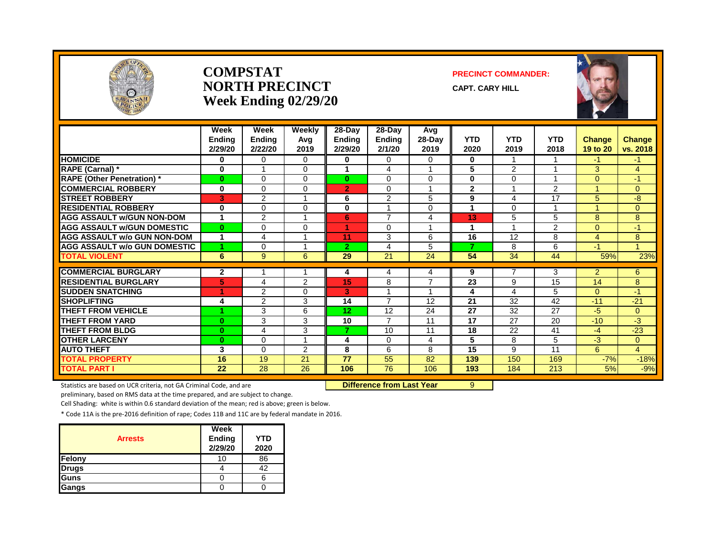

#### **COMPSTAT PRECINCT COMMANDER: NORTH PRECINCT** CAPT. CARY HILL **Week Ending 02/29/20**



|                                     | Week<br><b>Ending</b><br>2/29/20 | Week<br><b>Ending</b><br>2/22/20 | Weekly<br>Avg<br>2019 | 28-Day<br><b>Ending</b><br>2/29/20 | $28-Dav$<br><b>Ending</b><br>2/1/20 | Avg<br>$28-Day$<br>2019 | <b>YTD</b><br>2020 | YTD<br>2019     | <b>YTD</b><br>2018 | <b>Change</b><br>19 to 20 | <b>Change</b><br>vs. 2018 |
|-------------------------------------|----------------------------------|----------------------------------|-----------------------|------------------------------------|-------------------------------------|-------------------------|--------------------|-----------------|--------------------|---------------------------|---------------------------|
| <b>HOMICIDE</b>                     | 0                                | 0                                | $\Omega$              | 0                                  | 0                                   | 0                       | $\bf{0}$           |                 |                    | -1                        | $-1$                      |
| RAPE (Carnal) *                     | 0                                | 1                                | $\Omega$              |                                    | 4                                   | 1                       | 5                  | $\overline{2}$  |                    | 3                         | $\overline{4}$            |
| <b>RAPE (Other Penetration)</b> *   | 0                                | $\Omega$                         | $\Omega$              | $\mathbf{0}$                       | 0                                   | $\Omega$                | $\bf{0}$           | $\Omega$        |                    | $\Omega$                  | $-1$                      |
| <b>COMMERCIAL ROBBERY</b>           | 0                                | 0                                | $\Omega$              | $\overline{2}$                     | $\Omega$                            | 1                       | $\mathbf{2}$       |                 | $\overline{2}$     |                           | $\overline{0}$            |
| <b>STREET ROBBERY</b>               | 3                                | $\overline{2}$                   |                       | 6                                  | $\overline{2}$                      | 5                       | 9                  | 4               | 17                 | 5                         | -8                        |
| <b>RESIDENTIAL ROBBERY</b>          | 0                                | 0                                | $\Omega$              | 0                                  |                                     | 0                       |                    | $\Omega$        |                    |                           | $\overline{0}$            |
| <b>AGG ASSAULT w/GUN NON-DOM</b>    | 1                                | 2                                |                       | 6                                  | $\overline{7}$                      | 4                       | 13                 | 5               | 5                  | 8                         | 8                         |
| <b>AGG ASSAULT W/GUN DOMESTIC</b>   | $\mathbf{0}$                     | 0                                | $\Omega$              |                                    | $\Omega$                            | $\overline{\mathbf{A}}$ |                    |                 | $\overline{2}$     | $\overline{0}$            | $-1$                      |
| <b>AGG ASSAULT w/o GUN NON-DOM</b>  | 1                                | 4                                |                       | 11                                 | 3                                   | 6                       | 16                 | 12              | 8                  | 4                         | 8                         |
| <b>AGG ASSAULT W/o GUN DOMESTIC</b> | 4                                | 0                                |                       | $\overline{2}$                     | 4                                   | 5                       | $\overline{7}$     | 8               | 6                  | $-1$                      | $\blacktriangleleft$      |
| <b>TOTAL VIOLENT</b>                | 6                                | 9                                | 6                     | 29                                 | 21                                  | 24                      | 54                 | 34              | 44                 | 59%                       | 23%                       |
| <b>COMMERCIAL BURGLARY</b>          | 2                                |                                  |                       | 4                                  | 4                                   | 4                       | 9                  | 7               | 3                  | $\overline{2}$            | 6                         |
| <b>RESIDENTIAL BURGLARY</b>         | 5                                | 4                                | 2                     | 15                                 | 8                                   | $\overline{7}$          | 23                 | 9               | 15                 | 14                        | 8                         |
| <b>SUDDEN SNATCHING</b>             | 4                                | $\overline{2}$                   | $\Omega$              | 3                                  |                                     | 1                       | 4                  | 4               | 5                  | $\Omega$                  | $-1$                      |
| <b>SHOPLIFTING</b>                  | 4                                | $\overline{2}$                   | 3                     | 14                                 | 7                                   | 12                      | 21                 | 32              | 42                 | $-11$                     | $-21$                     |
| <b>THEFT FROM VEHICLE</b>           |                                  | 3                                | 6                     | 12                                 | 12                                  | 24                      | 27                 | 32              | 27                 | -5                        | $\Omega$                  |
| <b>THEFT FROM YARD</b>              | $\mathbf{0}$                     | 3                                | 3                     | 10                                 | 7                                   | 11                      | 17                 | 27              | 20                 | $-10$                     | -3                        |
| <b>THEFT FROM BLDG</b>              | 0                                | 4                                | 3                     | 7                                  | 10                                  | 11                      | 18                 | $\overline{22}$ | 41                 | $-4$                      | $-23$                     |
| <b>OTHER LARCENY</b>                | $\mathbf{0}$                     | $\Omega$                         |                       | 4                                  | 0                                   | 4                       | 5                  | 8               | 5                  | $-3$                      | $\mathbf{0}$              |
| <b>AUTO THEFT</b>                   | 3                                | $\Omega$                         | $\overline{2}$        | 8                                  | 6                                   | 8                       | 15                 | 9               | 11                 | 6                         | $\overline{4}$            |
| <b>TOTAL PROPERTY</b>               | 16                               | 19                               | 21                    | 77                                 | 55                                  | 82                      | 139                | 150             | 169                | $-7%$                     | $-18%$                    |
| <b>TOTAL PART I</b>                 | 22                               | $\overline{28}$                  | $\overline{26}$       | 106                                | $\overline{76}$                     | 106                     | 193                | 184             | 213                | 5%                        | $-9%$                     |

Statistics are based on UCR criteria, not GA Criminal Code, and are **Difference from Last Year** 9

preliminary, based on RMS data at the time prepared, and are subject to change.

Cell Shading: white is within 0.6 standard deviation of the mean; red is above; green is below.

| <b>Arrests</b> | Week<br><b>Ending</b><br>2/29/20 | <b>YTD</b><br>2020 |
|----------------|----------------------------------|--------------------|
| Felony         | 10                               | 86                 |
| <b>Drugs</b>   |                                  | 42                 |
| Guns           |                                  |                    |
| Gangs          |                                  |                    |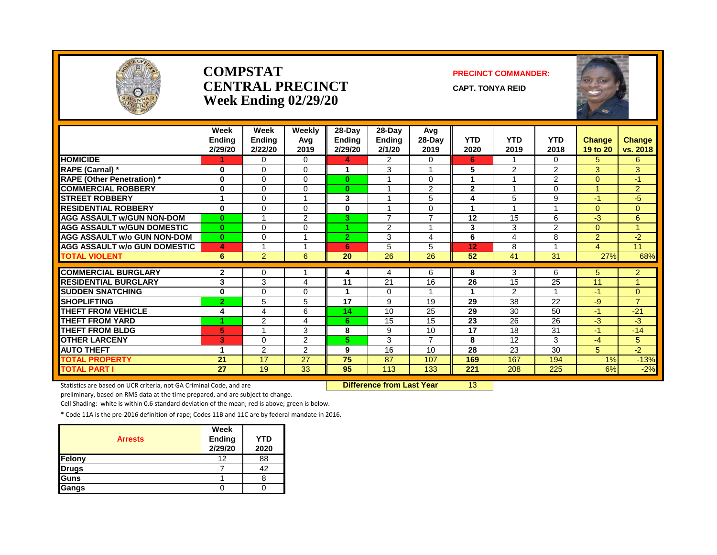

#### **COMPSTAT PRECINCT COMMANDER: CENTRAL PRECINCT** CAPT. TONYA REID **Week Ending 02/29/20**

|                                     | Week<br><b>Ending</b><br>2/29/20 | Week<br><b>Ending</b><br>2/22/20 | Weekly<br>Ava<br>2019 | $28 - Day$<br><b>Ending</b><br>2/29/20 | $28$ -Day<br><b>Ending</b><br>2/1/20 | Avg<br>$28-Day$<br>2019 | <b>YTD</b><br>2020   | <b>YTD</b><br>2019      | <b>YTD</b><br>2018      | <b>Change</b><br>19 to 20 | Change<br>vs. 2018 |
|-------------------------------------|----------------------------------|----------------------------------|-----------------------|----------------------------------------|--------------------------------------|-------------------------|----------------------|-------------------------|-------------------------|---------------------------|--------------------|
| <b>HOMICIDE</b>                     |                                  | $\Omega$                         | 0                     | 4                                      | $\overline{2}$                       | 0                       | 6                    |                         | $\Omega$                | 5.                        | 6                  |
| RAPE (Carnal) *                     | $\bf{0}$                         | $\Omega$                         | 0                     | -1                                     | 3                                    | $\mathbf 1$             | 5                    | 2                       | $\overline{2}$          | 3                         | 3                  |
| <b>RAPE (Other Penetration)</b> *   | $\bf{0}$                         | $\Omega$                         | 0                     | $\mathbf{0}$                           |                                      | 0                       |                      |                         | $\overline{2}$          | $\Omega$                  | $-1$               |
| <b>COMMERCIAL ROBBERY</b>           | $\mathbf 0$                      | $\Omega$                         | 0                     | $\bf{0}$                               | $\overline{\mathbf{A}}$              | 2                       | $\mathbf{2}$         | $\overline{\mathbf{A}}$ | $\Omega$                |                           | $\overline{2}$     |
| <b>STREET ROBBERY</b>               | 1                                | $\Omega$                         |                       | 3                                      |                                      | 5                       | 4                    | 5                       | 9                       | $-1$                      | $-5$               |
| <b>RESIDENTIAL ROBBERY</b>          | $\bf{0}$                         | $\Omega$                         | $\Omega$              | $\bf{0}$                               | $\overline{A}$                       | 0                       | -1                   | $\overline{\mathbf{A}}$ | 4                       | $\Omega$                  | $\overline{0}$     |
| <b>AGG ASSAULT w/GUN NON-DOM</b>    | $\mathbf{0}$                     |                                  | $\overline{2}$        | 3                                      | $\overline{7}$                       | $\overline{7}$          | 12                   | 15                      | 6                       | -3                        | 6                  |
| <b>AGG ASSAULT W/GUN DOMESTIC</b>   | $\bf{0}$                         | $\Omega$                         | 0                     |                                        | 2                                    |                         | 3                    | 3                       | $\overline{2}$          | $\Omega$                  |                    |
| <b>AGG ASSAULT w/o GUN NON-DOM</b>  | $\bf{0}$                         | $\Omega$                         |                       | $\overline{2}$                         | 3                                    | 4                       | 6                    | $\overline{4}$          | 8                       | $\overline{2}$            | $-2$               |
| <b>AGG ASSAULT W/o GUN DOMESTIC</b> | 4                                |                                  |                       | 6                                      | 5                                    | 5                       | 12                   | 8                       |                         | 4                         | 11                 |
| <b>TOTAL VIOLENT</b>                | 6                                | $\overline{2}$                   | 6                     | 20                                     | 26                                   | 26                      | 52                   | 41                      | 31                      | 27%                       | 68%                |
|                                     |                                  |                                  |                       |                                        |                                      |                         |                      |                         |                         |                           |                    |
| <b>COMMERCIAL BURGLARY</b>          | 2                                | $\Omega$                         |                       | 4                                      | 4                                    | 6                       | 8                    | 3                       | 6                       | 5                         | $\overline{2}$     |
| <b>RESIDENTIAL BURGLARY</b>         | 3                                | 3                                | 4                     | 11                                     | $\overline{21}$                      | 16                      | 26                   | 15                      | 25                      | 11                        |                    |
| <b>SUDDEN SNATCHING</b>             | $\bf{0}$                         | $\Omega$                         | 0                     |                                        | $\Omega$                             | 1                       | $\blacktriangleleft$ | 2                       | $\overline{\mathbf{A}}$ | $-1$                      | $\overline{0}$     |
| <b>SHOPLIFTING</b>                  | $\overline{2}$                   | 5                                | 5                     | 17                                     | 9                                    | 19                      | 29                   | 38                      | 22                      | $-9$                      | $\overline{7}$     |
| <b>THEFT FROM VEHICLE</b>           | 4                                | $\overline{\mathcal{A}}$         | 6                     | 14                                     | 10                                   | 25                      | 29                   | 30                      | 50                      | $-1$                      | $-21$              |
| <b>THEFT FROM YARD</b>              | 1                                | $\overline{2}$                   | 4                     | 6                                      | 15                                   | 15                      | 23                   | 26                      | $\overline{26}$         | $-3$                      | $-3$               |
| <b>THEFT FROM BLDG</b>              | 5                                | $\overline{ }$                   | 3                     | 8                                      | 9                                    | 10                      | 17                   | 18                      | 31                      | $-1$                      | $-14$              |
| <b>OTHER LARCENY</b>                | 3                                | $\Omega$                         | $\overline{2}$        | 5.                                     | 3                                    | $\overline{7}$          | 8                    | 12                      | 3                       | $-4$                      | 5                  |
| <b>AUTO THEFT</b>                   | 1                                | $\overline{2}$                   | $\overline{2}$        | 9                                      | 16                                   | 10                      | 28                   | 23                      | 30                      | 5                         | $-2$               |
| <b>TOTAL PROPERTY</b>               | 21                               | 17                               | 27                    | 75                                     | 87                                   | 107                     | 169                  | 167                     | 194                     | 1%                        | $-13%$             |
| <b>TOTAL PART I</b>                 | 27                               | 19                               | 33                    | 95                                     | 113                                  | 133                     | 221                  | 208                     | 225                     | 6%                        | $-2%$              |

Statistics are based on UCR criteria, not GA Criminal Code, and are **Difference from Last Year** 13

preliminary, based on RMS data at the time prepared, and are subject to change.

Cell Shading: white is within 0.6 standard deviation of the mean; red is above; green is below.

| <b>Arrests</b> | Week<br><b>Ending</b><br>2/29/20 | <b>YTD</b><br>2020 |
|----------------|----------------------------------|--------------------|
| Felony         | 12                               | 88                 |
| <b>Drugs</b>   |                                  | 42                 |
| Guns           |                                  |                    |
| Gangs          |                                  |                    |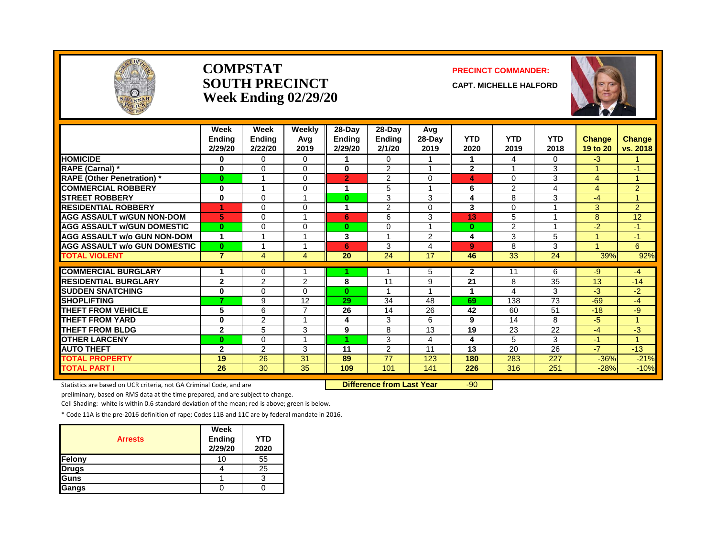

#### **COMPSTAT PRECINCT COMMANDER: SOUTH PRECINCT** CAPT. MICHELLE HALFORD **Week Ending 02/29/20**



|                                     | Week<br><b>Endina</b><br>2/29/20 | Week<br><b>Ending</b><br>2/22/20 | Weekly<br>Avg<br>2019 | $28$ -Day<br><b>Ending</b><br>2/29/20 | $28-Day$<br><b>Ending</b><br>2/1/20 | Avg<br>28-Day<br>2019 | <b>YTD</b><br>2020 | <b>YTD</b><br>2019 | <b>YTD</b><br>2018 | <b>Change</b><br>19 to 20 | Change<br>vs. 2018   |
|-------------------------------------|----------------------------------|----------------------------------|-----------------------|---------------------------------------|-------------------------------------|-----------------------|--------------------|--------------------|--------------------|---------------------------|----------------------|
| <b>HOMICIDE</b>                     | 0                                | $\Omega$                         | $\Omega$              |                                       | $\Omega$                            |                       | 1                  | 4                  | $\Omega$           | $-3$                      |                      |
| RAPE (Carnal) *                     | $\bf{0}$                         | $\Omega$                         | $\Omega$              | 0                                     | 2                                   |                       | $\overline{2}$     |                    | 3                  |                           | $-1$                 |
| <b>RAPE (Other Penetration)*</b>    | $\bf{0}$                         | $\overline{\phantom{a}}$         | 0                     | $\overline{2}$                        | 2                                   | $\Omega$              | 4                  | $\Omega$           | 3                  | 4                         | 1                    |
| <b>COMMERCIAL ROBBERY</b>           | $\bf{0}$                         |                                  | $\Omega$              | 1                                     | 5                                   |                       | 6                  | 2                  | 4                  | 4                         | $\overline{2}$       |
| <b>STREET ROBBERY</b>               | $\bf{0}$                         | $\Omega$                         |                       | $\bf{0}$                              | 3                                   | 3                     | 4                  | 8                  | 3                  | $-4$                      | 1                    |
| <b>RESIDENTIAL ROBBERY</b>          | 4                                | $\Omega$                         | 0                     | 1                                     | 2                                   | $\Omega$              | 3                  | $\Omega$           |                    | 3                         | $\overline{2}$       |
| <b>AGG ASSAULT w/GUN NON-DOM</b>    | 5                                | $\Omega$                         |                       | 6                                     | 6                                   | 3                     | 13                 | 5                  |                    | 8                         | 12                   |
| <b>AGG ASSAULT W/GUN DOMESTIC</b>   | $\mathbf{0}$                     | $\Omega$                         | $\Omega$              | $\bf{0}$                              | $\Omega$                            |                       | $\bf{0}$           | 2                  |                    | $-2$                      | $-1$                 |
| <b>AGG ASSAULT w/o GUN NON-DOM</b>  | 1                                |                                  |                       | 3                                     | $\overline{\mathbf{A}}$             | 2                     | 4                  | 3                  | 5                  |                           | $-1$                 |
| <b>AGG ASSAULT w/o GUN DOMESTIC</b> | $\bf{0}$                         |                                  |                       | 6                                     | 3                                   | 4                     | 9                  | 8                  | 3                  |                           | 6                    |
| <b>TOTAL VIOLENT</b>                | $\overline{7}$                   | 4                                | 4                     | 20                                    | 24                                  | 17                    | 46                 | 33                 | 24                 | 39%                       | 92%                  |
|                                     |                                  |                                  |                       |                                       |                                     |                       |                    |                    |                    |                           |                      |
| <b>COMMERCIAL BURGLARY</b>          |                                  | 0                                |                       |                                       |                                     | 5                     | 2                  | 11                 | 6                  | -9                        | $-4$                 |
| <b>RESIDENTIAL BURGLARY</b>         | $\mathbf{2}$                     | 2                                | $\overline{2}$        | 8                                     | 11                                  | 9                     | 21                 | 8                  | 35                 | 13                        | $-14$                |
| <b>SUDDEN SNATCHING</b>             | 0                                | $\Omega$                         | 0                     | $\mathbf{0}$                          |                                     |                       | 1                  | 4                  | 3                  | -3                        | -2                   |
| <b>SHOPLIFTING</b>                  | 7                                | 9                                | 12<br>⇁               | 29                                    | 34                                  | 48                    | 69                 | 138                | 73                 | $-69$                     | $-4$                 |
| <b>THEFT FROM VEHICLE</b>           | 5                                | 6                                |                       | 26                                    | 14                                  | 26                    | 42                 | 60                 | 51                 | $-18$                     | -9                   |
| <b>THEFT FROM YARD</b>              | $\mathbf 0$                      | 2                                |                       | 4                                     | 3                                   | 6                     | 9                  | 14                 | 8                  | $-5$                      | $\blacktriangleleft$ |
| <b>THEFT FROM BLDG</b>              | $\mathbf{2}$                     | 5                                | 3                     | 9                                     | 8                                   | 13                    | 19                 | 23                 | 22                 | $-4$                      | -3                   |
| <b>OTHER LARCENY</b>                | $\bf{0}$                         | $\Omega$                         |                       | и                                     | 3                                   | 4                     | 4                  | 5                  | 3                  | $-1$                      | 1                    |
| <b>AUTO THEFT</b>                   | $\mathbf{2}$                     | 2                                | 3                     | 11                                    | $\overline{2}$                      | 11                    | 13                 | 20                 | 26                 | $-7$                      | $-13$                |
| <b>TOTAL PROPERTY</b>               | 19                               | 26                               | 31                    | 89                                    | 77                                  | 123                   | 180                | 283                | 227                | $-36%$                    | $-21%$               |
| <b>TOTAL PART I</b>                 | 26                               | 30                               | 35                    | 109                                   | 101                                 | 141                   | 226                | 316                | 251                | $-28%$                    | $-10%$               |

Statistics are based on UCR criteria, not GA Criminal Code, and are **Difference from Last Year** -90

preliminary, based on RMS data at the time prepared, and are subject to change.

Cell Shading: white is within 0.6 standard deviation of the mean; red is above; green is below.

| <b>Arrests</b> | Week<br><b>Ending</b><br>2/29/20 | <b>YTD</b><br>2020 |
|----------------|----------------------------------|--------------------|
| Felony         | 10                               | 55                 |
| <b>Drugs</b>   |                                  | 25                 |
| Guns           |                                  |                    |
| <b>Gangs</b>   |                                  |                    |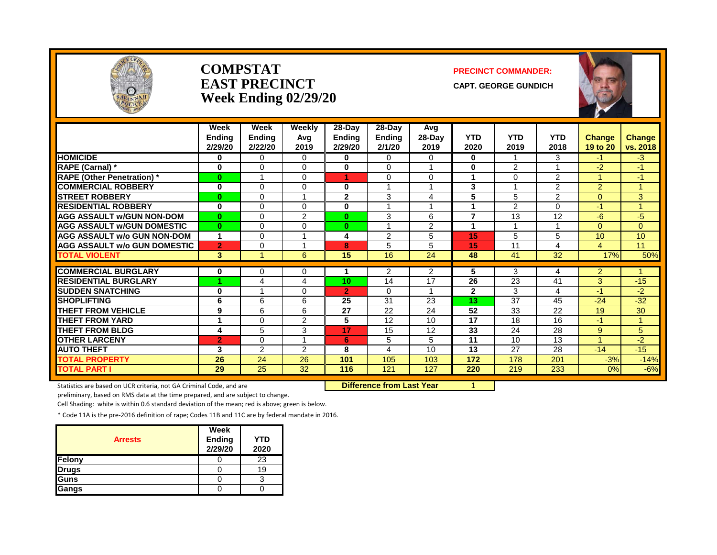

#### **COMPSTAT PRECINCT COMMANDER: EAST PRECINCT** CAPT. GEORGE GUNDICH **Week Ending 02/29/20**



|                                     | Week<br><b>Endina</b><br>2/29/20 | Week<br><b>Ending</b><br>2/22/20 | Weekly<br>Avg<br>2019 | $28-Dav$<br><b>Ending</b><br>2/29/20 | $28$ -Day<br><b>Ending</b><br>2/1/20 | Avg<br>28-Day<br>2019   | <b>YTD</b><br>2020 | <b>YTD</b><br>2019       | <b>YTD</b><br>2018 | <b>Change</b><br>19 to 20 | <b>Change</b><br>vs. 2018 |
|-------------------------------------|----------------------------------|----------------------------------|-----------------------|--------------------------------------|--------------------------------------|-------------------------|--------------------|--------------------------|--------------------|---------------------------|---------------------------|
| <b>HOMICIDE</b>                     | $\bf{0}$                         | 0                                | $\Omega$              | $\mathbf{0}$                         | $\Omega$                             | $\Omega$                | $\bf{0}$           |                          | 3                  | -1                        | $-3$                      |
| RAPE (Carnal) *                     | $\bf{0}$                         | $\Omega$                         | 0                     | $\bf{0}$                             | $\Omega$                             | 1                       | $\bf{0}$           | 2                        |                    | $-2$                      | $-1$                      |
| <b>RAPE (Other Penetration)*</b>    | $\bf{0}$                         | 1                                | 0                     | 1                                    | $\Omega$                             | $\Omega$                | 1                  | $\Omega$                 | 2                  | $\mathbf{1}$              | $-1$                      |
| <b>COMMERCIAL ROBBERY</b>           | $\bf{0}$                         | $\Omega$                         | 0                     | 0                                    |                                      |                         | 3                  |                          | $\overline{2}$     | $\overline{2}$            |                           |
| <b>STREET ROBBERY</b>               | $\bf{0}$                         | $\Omega$                         | 1                     | $\overline{2}$                       | 3                                    | 4                       | 5                  | 5                        | $\overline{2}$     | $\Omega$                  | 3                         |
| <b>RESIDENTIAL ROBBERY</b>          | $\bf{0}$                         | $\Omega$                         | $\Omega$              | $\bf{0}$                             |                                      | 1                       | и                  | 2                        | $\Omega$           | $-1$                      |                           |
| <b>AGG ASSAULT w/GUN NON-DOM</b>    | $\bf{0}$                         | $\Omega$                         | $\overline{2}$        | $\mathbf{0}$                         | 3                                    | 6                       | $\overline{7}$     | 13                       | 12                 | -6                        | $-5$                      |
| <b>AGG ASSAULT W/GUN DOMESTIC</b>   | $\bf{0}$                         | $\Omega$                         | 0                     | $\mathbf{0}$                         | 1                                    | 2                       | 1                  | $\overline{\phantom{a}}$ |                    | $\Omega$                  | $\Omega$                  |
| <b>AGG ASSAULT w/o GUN NON-DOM</b>  | 1                                | $\Omega$                         |                       | 4                                    | 2                                    | 5                       | 15                 | 5                        | 5                  | 10                        | 10                        |
| <b>AGG ASSAULT w/o GUN DOMESTIC</b> | $\overline{2}$                   | $\Omega$                         | 1                     | 8                                    | 5                                    | 5                       | 15                 | 11                       | 4                  | 4                         | 11                        |
| <b>TOTAL VIOLENT</b>                | 3                                | 1                                | 6                     | 15                                   | 16                                   | $\overline{24}$         | 48                 | 41                       | $\overline{32}$    | 17%                       | 50%                       |
|                                     |                                  |                                  |                       |                                      |                                      |                         |                    |                          |                    |                           |                           |
| <b>COMMERCIAL BURGLARY</b>          | 0                                | $\Omega$                         | 0                     |                                      | 2                                    | 2                       | 5                  | 3                        | 4                  | $\overline{2}$            |                           |
| <b>RESIDENTIAL BURGLARY</b>         | 4                                | 4                                | 4                     | 10                                   | 14                                   | 17                      | 26                 | 23                       | 41                 | 3                         | $-15$                     |
| <b>SUDDEN SNATCHING</b>             | $\bf{0}$                         |                                  | 0                     | $\overline{2}$                       | 0                                    | $\overline{\mathbf{A}}$ | $\overline{2}$     | 3                        | 4                  | -1                        | $-2$                      |
| <b>SHOPLIFTING</b>                  | 6                                | 6                                | 6                     | 25                                   | 31                                   | 23                      | 13                 | 37                       | 45                 | $-24$                     | $-32$                     |
| <b>THEFT FROM VEHICLE</b>           | 9                                | 6                                | 6                     | 27                                   | 22                                   | 24                      | 52                 | 33                       | 22                 | 19                        | 30                        |
| <b>THEFT FROM YARD</b>              |                                  | $\Omega$                         | $\overline{2}$        | 5                                    | 12                                   | 10                      | 17                 | 18                       | 16                 | $-1$                      | 1                         |
| <b>THEFT FROM BLDG</b>              | 4                                | 5                                | 3                     | 17                                   | 15                                   | 12                      | 33                 | 24                       | 28                 | 9                         | 5                         |
| <b>OTHER LARCENY</b>                | $\overline{2}$                   | $\Omega$                         | 1                     | 6                                    | 5                                    | 5                       | $\overline{11}$    | 10                       | 13                 | $\blacktriangleleft$      | $-2$                      |
| <b>AUTO THEFT</b>                   | 3                                | 2                                | $\overline{2}$        | 8                                    | 4                                    | 10                      | 13                 | 27                       | 28                 | $-14$                     | $-15$                     |
| <b>TOTAL PROPERTY</b>               | 26                               | 24                               | 26                    | 101                                  | 105                                  | 103                     | 172                | 178                      | 201                | $-3%$                     | $-14%$                    |
| <b>TOTAL PART I</b>                 | 29                               | 25                               | 32                    | 116                                  | 121                                  | 127                     | 220                | 219                      | 233                | 0%                        | $-6%$                     |

Statistics are based on UCR criteria, not GA Criminal Code, and are **Difference from Last Year** 1

preliminary, based on RMS data at the time prepared, and are subject to change.

Cell Shading: white is within 0.6 standard deviation of the mean; red is above; green is below.

| <b>Arrests</b> | Week<br>Ending<br>2/29/20 | <b>YTD</b><br>2020 |
|----------------|---------------------------|--------------------|
| Felony         |                           | 23                 |
| <b>Drugs</b>   |                           | 19                 |
| <b>Guns</b>    |                           |                    |
| Gangs          |                           |                    |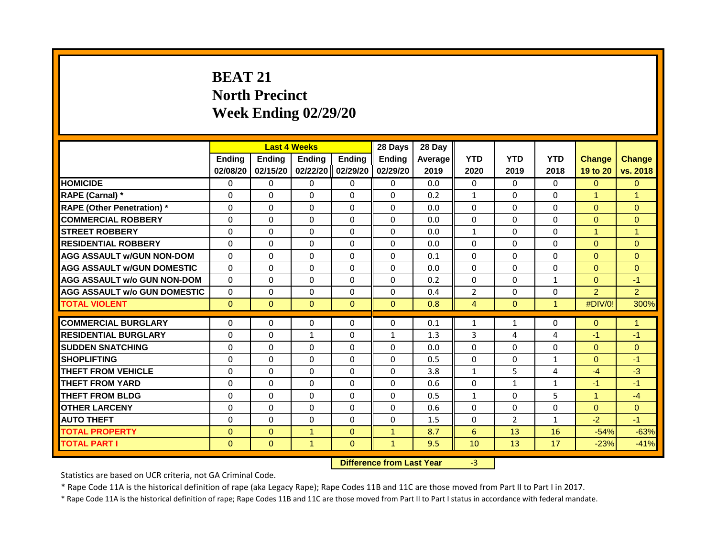# **BEAT 21 North Precinct Week Ending 02/29/20**

|                                     | <b>Last 4 Weeks</b> |               |               |               | 28 Days       | 28 Day  |                |                |              |                      |                |
|-------------------------------------|---------------------|---------------|---------------|---------------|---------------|---------|----------------|----------------|--------------|----------------------|----------------|
|                                     | <b>Endina</b>       | <b>Endina</b> | <b>Endina</b> | <b>Endina</b> | <b>Endina</b> | Average | <b>YTD</b>     | <b>YTD</b>     | <b>YTD</b>   | <b>Change</b>        | <b>Change</b>  |
|                                     | 02/08/20            | 02/15/20      | 02/22/20      | 02/29/20      | 02/29/20      | 2019    | 2020           | 2019           | 2018         | 19 to 20             | vs. 2018       |
| <b>HOMICIDE</b>                     | 0                   | 0             | 0             | 0             | 0             | 0.0     | $\Omega$       | $\Omega$       | $\Omega$     | $\Omega$             | $\Omega$       |
| RAPE (Carnal) *                     | $\Omega$            | $\Omega$      | $\Omega$      | $\Omega$      | $\Omega$      | 0.2     | $\mathbf{1}$   | $\Omega$       | $\Omega$     | $\blacktriangleleft$ | $\overline{1}$ |
| <b>RAPE (Other Penetration) *</b>   | 0                   | $\Omega$      | $\Omega$      | $\Omega$      | $\Omega$      | 0.0     | $\Omega$       | $\Omega$       | $\Omega$     | $\Omega$             | $\Omega$       |
| <b>COMMERCIAL ROBBERY</b>           | $\mathbf 0$         | $\Omega$      | $\Omega$      | $\Omega$      | $\Omega$      | 0.0     | $\Omega$       | $\Omega$       | $\Omega$     | $\mathbf{0}$         | $\mathbf{0}$   |
| <b>STREET ROBBERY</b>               | 0                   | $\Omega$      | $\Omega$      | $\Omega$      | $\Omega$      | 0.0     | $\mathbf{1}$   | $\Omega$       | $\Omega$     | $\mathbf{1}$         | $\overline{1}$ |
| <b>RESIDENTIAL ROBBERY</b>          | $\Omega$            | $\Omega$      | $\Omega$      | $\Omega$      | $\Omega$      | 0.0     | $\Omega$       | $\Omega$       | $\Omega$     | $\Omega$             | $\Omega$       |
| <b>AGG ASSAULT w/GUN NON-DOM</b>    | $\Omega$            | $\Omega$      | $\Omega$      | $\Omega$      | $\Omega$      | 0.1     | $\Omega$       | $\Omega$       | $\Omega$     | $\Omega$             | $\Omega$       |
| <b>AGG ASSAULT W/GUN DOMESTIC</b>   | $\Omega$            | $\Omega$      | $\Omega$      | $\Omega$      | $\Omega$      | 0.0     | $\Omega$       | $\Omega$       | $\Omega$     | $\Omega$             | $\Omega$       |
| <b>AGG ASSAULT w/o GUN NON-DOM</b>  | $\Omega$            | $\Omega$      | $\Omega$      | $\Omega$      | $\Omega$      | 0.2     | $\Omega$       | $\Omega$       | $\mathbf{1}$ | $\Omega$             | $-1$           |
| <b>AGG ASSAULT w/o GUN DOMESTIC</b> | $\Omega$            | $\Omega$      | $\Omega$      | $\Omega$      | $\Omega$      | 0.4     | $\overline{2}$ | $\Omega$       | $\Omega$     | $\mathcal{P}$        | $\overline{2}$ |
| <b>TOTAL VIOLENT</b>                | $\mathbf{0}$        | $\mathbf{0}$  | $\mathbf{0}$  | $\mathbf{0}$  | $\mathbf{0}$  | 0.8     | 4              | $\mathbf{0}$   | $\mathbf{1}$ | #DIV/0!              | 300%           |
| <b>COMMERCIAL BURGLARY</b>          | $\Omega$            | 0             | 0             | 0             | 0             | 0.1     | 1              | 1              | 0            | $\mathbf{0}$         | $\mathbf{1}$   |
| <b>RESIDENTIAL BURGLARY</b>         | $\Omega$            | $\Omega$      | $\mathbf{1}$  | $\Omega$      | $\mathbf{1}$  | 1.3     | 3              | 4              | 4            | $-1$                 | $-1$           |
| <b>SUDDEN SNATCHING</b>             | 0                   | 0             | $\Omega$      | $\Omega$      | $\Omega$      | 0.0     | $\Omega$       | $\Omega$       | $\Omega$     | $\Omega$             | $\mathbf{0}$   |
| <b>SHOPLIFTING</b>                  | 0                   | $\Omega$      | $\Omega$      | $\Omega$      | $\Omega$      | 0.5     | $\Omega$       | 0              | $\mathbf{1}$ | $\Omega$             | $-1$           |
| <b>THEFT FROM VEHICLE</b>           | 0                   | $\Omega$      | $\Omega$      | $\Omega$      | $\Omega$      | 3.8     | $\mathbf{1}$   | 5              | 4            | $-4$                 | $-3$           |
| <b>THEFT FROM YARD</b>              | $\Omega$            | $\Omega$      | $\Omega$      | $\Omega$      | $\Omega$      | 0.6     | $\Omega$       | $\mathbf{1}$   | $\mathbf{1}$ | $-1$                 | $-1$           |
| <b>THEFT FROM BLDG</b>              | $\Omega$            | $\Omega$      | $\Omega$      | $\Omega$      | $\Omega$      | 0.5     | $\mathbf{1}$   | $\Omega$       | 5            | $\mathbf{1}$         | $-4$           |
|                                     |                     |               |               |               |               |         |                |                |              |                      |                |
| <b>OTHER LARCENY</b>                | 0                   | 0             | 0             | 0             | 0             | 0.6     | $\Omega$       | 0              | 0            | $\overline{0}$       | $\overline{0}$ |
| <b>AUTO THEFT</b>                   | $\Omega$            | $\Omega$      | $\Omega$      | $\Omega$      | $\Omega$      | 1.5     | $\Omega$       | $\overline{2}$ | $\mathbf{1}$ | $-2$                 | $-1$           |
| <b>TOTAL PROPERTY</b>               | $\Omega$            | $\mathbf{0}$  | $\mathbf{1}$  | $\mathbf{0}$  | $\mathbf{1}$  | 8.7     | 6              | 13             | 16           | $-54%$               | $-63%$         |
| <b>TOTAL PART I</b>                 | $\mathbf{0}$        | $\mathbf{0}$  | $\mathbf{1}$  | $\mathbf{0}$  | $\mathbf{1}$  | 9.5     | 10             | 13             | 17           | $-23%$               | $-41%$         |

**Difference from Last Year** -3

Statistics are based on UCR criteria, not GA Criminal Code.

\* Rape Code 11A is the historical definition of rape (aka Legacy Rape); Rape Codes 11B and 11C are those moved from Part II to Part I in 2017.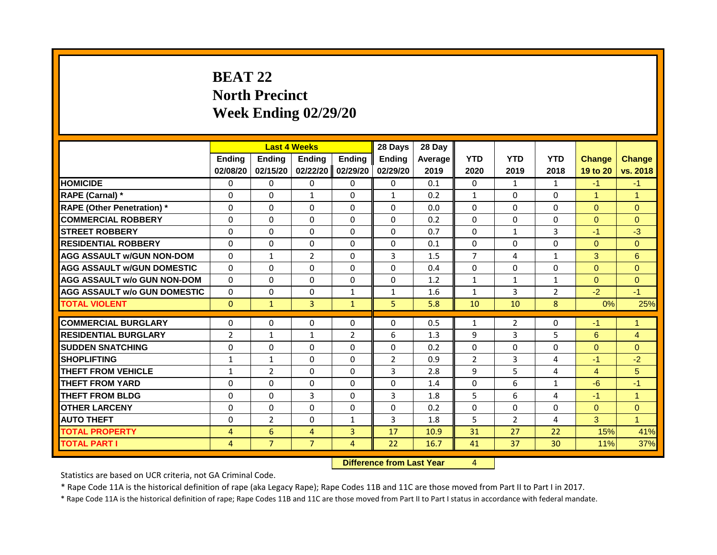# **BEAT 22 North Precinct Week Ending 02/29/20**

|                                     |                |                | <b>Last 4 Weeks</b> |                | 28 Days        | 28 Day  |                |                |                |                |                |
|-------------------------------------|----------------|----------------|---------------------|----------------|----------------|---------|----------------|----------------|----------------|----------------|----------------|
|                                     | <b>Ending</b>  | <b>Ending</b>  | <b>Endina</b>       | <b>Ending</b>  | <b>Endina</b>  | Average | <b>YTD</b>     | <b>YTD</b>     | <b>YTD</b>     | <b>Change</b>  | <b>Change</b>  |
|                                     | 02/08/20       | 02/15/20       | 02/22/20            | 02/29/20       | 02/29/20       | 2019    | 2020           | 2019           | 2018           | 19 to 20       | vs. 2018       |
| <b>HOMICIDE</b>                     | 0              | 0              | $\Omega$            | $\Omega$       | 0              | 0.1     | 0              | $\mathbf{1}$   | $\mathbf{1}$   | $-1$           | $-1$           |
| RAPE (Carnal) *                     | $\Omega$       | $\Omega$       | $\mathbf{1}$        | $\Omega$       | $\mathbf{1}$   | 0.2     | $\mathbf{1}$   | $\Omega$       | 0              | $\mathbf{1}$   | $\mathbf{1}$   |
| <b>RAPE (Other Penetration) *</b>   | $\Omega$       | $\Omega$       | $\Omega$            | $\Omega$       | $\Omega$       | 0.0     | $\mathbf{0}$   | $\Omega$       | 0              | $\overline{0}$ | $\Omega$       |
| <b>COMMERCIAL ROBBERY</b>           | $\Omega$       | $\Omega$       | $\Omega$            | $\Omega$       | $\Omega$       | 0.2     | $\Omega$       | $\Omega$       | $\Omega$       | $\Omega$       | $\Omega$       |
| <b>STREET ROBBERY</b>               | $\Omega$       | $\Omega$       | $\Omega$            | $\Omega$       | $\Omega$       | 0.7     | $\Omega$       | $\mathbf{1}$   | $\overline{3}$ | $-1$           | $-3$           |
| <b>RESIDENTIAL ROBBERY</b>          | $\Omega$       | 0              | $\Omega$            | $\Omega$       | $\Omega$       | 0.1     | $\Omega$       | $\Omega$       | 0              | $\Omega$       | $\overline{0}$ |
| <b>AGG ASSAULT W/GUN NON-DOM</b>    | $\Omega$       | $\mathbf{1}$   | $\overline{2}$      | $\Omega$       | 3              | 1.5     | $\overline{7}$ | 4              | $\mathbf{1}$   | 3              | 6              |
| <b>AGG ASSAULT W/GUN DOMESTIC</b>   | $\Omega$       | $\Omega$       | $\Omega$            | $\Omega$       | $\Omega$       | 0.4     | $\Omega$       | $\Omega$       | $\Omega$       | $\Omega$       | $\Omega$       |
| <b>AGG ASSAULT w/o GUN NON-DOM</b>  | $\Omega$       | $\Omega$       | $\Omega$            | $\Omega$       | $\Omega$       | 1.2     | $\mathbf{1}$   | $\mathbf{1}$   | $\mathbf{1}$   | $\Omega$       | $\Omega$       |
| <b>AGG ASSAULT w/o GUN DOMESTIC</b> | $\Omega$       | $\Omega$       | $\Omega$            | $\mathbf{1}$   | $\mathbf{1}$   | 1.6     | $\mathbf{1}$   | $\mathbf{3}$   | $\overline{2}$ | $-2$           | $-1$           |
| <b>TOTAL VIOLENT</b>                | $\mathbf{0}$   | $\mathbf{1}$   | 3                   | $\mathbf{1}$   | 5              | 5.8     | 10             | 10             | 8              | 0%             | 25%            |
| <b>COMMERCIAL BURGLARY</b>          | 0              | 0              | $\Omega$            | $\Omega$       | $\Omega$       | 0.5     | $\mathbf{1}$   | 2              | $\Omega$       | $-1$           | $\mathbf{1}$   |
| <b>RESIDENTIAL BURGLARY</b>         | $\overline{2}$ | $\mathbf{1}$   | $\mathbf{1}$        | $\overline{2}$ | 6              | 1.3     | 9              | $\mathbf{3}$   | 5              | 6              | $\overline{4}$ |
| <b>SUDDEN SNATCHING</b>             | $\Omega$       | $\Omega$       | $\Omega$            | $\Omega$       | $\Omega$       | 0.2     | $\Omega$       | $\Omega$       | $\Omega$       | $\Omega$       | $\Omega$       |
| <b>SHOPLIFTING</b>                  | 1              | $\mathbf{1}$   | $\Omega$            | $\Omega$       | $\overline{2}$ | 0.9     | $\overline{2}$ | $\mathbf{3}$   | 4              | $-1$           | $-2$           |
| <b>THEFT FROM VEHICLE</b>           | $\mathbf{1}$   | $\overline{2}$ | $\Omega$            | $\Omega$       | 3              | 2.8     | 9              | 5              | 4              | $\overline{4}$ | 5              |
| <b>THEFT FROM YARD</b>              | 0              | $\Omega$       | $\Omega$            | $\Omega$       | $\Omega$       | 1.4     | $\mathbf{0}$   | 6              | 1              | $-6$           | $-1$           |
| <b>THEFT FROM BLDG</b>              | $\Omega$       | $\Omega$       | $\overline{3}$      | $\Omega$       | 3              | 1.8     | 5              | 6              | 4              | $-1$           | $\overline{1}$ |
| <b>OTHER LARCENY</b>                | $\Omega$       | $\Omega$       | $\Omega$            | $\Omega$       | $\Omega$       | 0.2     | $\Omega$       | $\Omega$       | 0              | $\Omega$       | $\Omega$       |
| <b>AUTO THEFT</b>                   | 0              | $\overline{2}$ | $\Omega$            | $\mathbf{1}$   | 3              | 1.8     | 5              | $\overline{2}$ | 4              | 3              | $\mathbf{1}$   |
| <b>TOTAL PROPERTY</b>               | $\overline{4}$ | 6              | $\overline{4}$      | $\overline{3}$ | 17             | 10.9    | 31             | 27             | 22             | 15%            | 41%            |
| <b>TOTAL PART I</b>                 | $\overline{4}$ | $\overline{7}$ | $\overline{7}$      | $\overline{4}$ | 22             | 16.7    | 41             | 37             | 30             | 11%            | 37%            |
|                                     |                |                |                     |                |                |         |                |                |                |                |                |

**Difference from Last Year** 4

Statistics are based on UCR criteria, not GA Criminal Code.

\* Rape Code 11A is the historical definition of rape (aka Legacy Rape); Rape Codes 11B and 11C are those moved from Part II to Part I in 2017.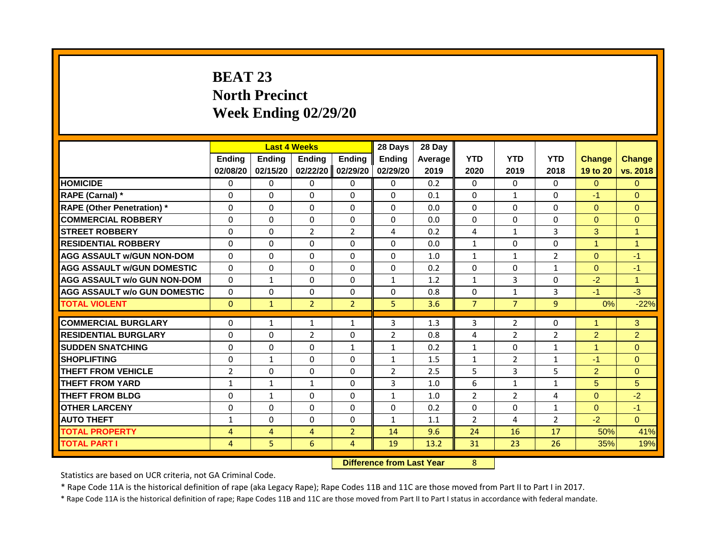# **BEAT 23 North Precinct Week Ending 02/29/20**

|                                     |                |                | <b>Last 4 Weeks</b> |                | 28 Days        | 28 Day  |                |                |                |                      |                      |
|-------------------------------------|----------------|----------------|---------------------|----------------|----------------|---------|----------------|----------------|----------------|----------------------|----------------------|
|                                     | <b>Ending</b>  | <b>Ending</b>  | <b>Ending</b>       | <b>Ending</b>  | <b>Ending</b>  | Average | <b>YTD</b>     | <b>YTD</b>     | <b>YTD</b>     | <b>Change</b>        | <b>Change</b>        |
|                                     | 02/08/20       | 02/15/20       | 02/22/20            | 02/29/20       | 02/29/20       | 2019    | 2020           | 2019           | 2018           | 19 to 20             | vs. 2018             |
| <b>HOMICIDE</b>                     | $\Omega$       | $\Omega$       | $\Omega$            | $\mathbf{0}$   | $\Omega$       | 0.2     | $\Omega$       | $\Omega$       | $\Omega$       | $\Omega$             | $\Omega$             |
| RAPE (Carnal) *                     | 0              | $\Omega$       | $\Omega$            | $\Omega$       | $\Omega$       | 0.1     | $\Omega$       | 1              | 0              | $-1$                 | $\Omega$             |
| <b>RAPE (Other Penetration) *</b>   | $\Omega$       | $\Omega$       | $\Omega$            | $\Omega$       | $\Omega$       | 0.0     | $\Omega$       | $\Omega$       | $\Omega$       | $\Omega$             | $\Omega$             |
| <b>COMMERCIAL ROBBERY</b>           | $\Omega$       | $\Omega$       | $\Omega$            | $\Omega$       | $\Omega$       | 0.0     | $\Omega$       | $\Omega$       | 0              | $\Omega$             | $\Omega$             |
| <b>STREET ROBBERY</b>               | $\Omega$       | $\Omega$       | $\overline{2}$      | $\overline{2}$ | 4              | 0.2     | 4              | $\mathbf{1}$   | 3              | 3                    | $\mathbf{1}$         |
| <b>RESIDENTIAL ROBBERY</b>          | $\Omega$       | $\Omega$       | $\Omega$            | $\Omega$       | $\Omega$       | 0.0     | $\mathbf{1}$   | $\Omega$       | $\Omega$       | $\mathbf{1}$         | $\mathbf{1}$         |
| <b>AGG ASSAULT W/GUN NON-DOM</b>    | $\Omega$       | $\Omega$       | $\Omega$            | $\Omega$       | $\Omega$       | 1.0     | 1              | $\mathbf{1}$   | $\overline{2}$ | $\Omega$             | $-1$                 |
| <b>AGG ASSAULT W/GUN DOMESTIC</b>   | $\Omega$       | $\Omega$       | $\Omega$            | $\Omega$       | $\Omega$       | 0.2     | $\Omega$       | $\Omega$       | $\mathbf{1}$   | $\Omega$             | $-1$                 |
| <b>AGG ASSAULT w/o GUN NON-DOM</b>  | $\Omega$       | $\mathbf{1}$   | $\Omega$            | $\Omega$       | $\mathbf{1}$   | 1.2     | $\mathbf{1}$   | 3              | $\Omega$       | $-2$                 | $\blacktriangleleft$ |
| <b>AGG ASSAULT w/o GUN DOMESTIC</b> | $\Omega$       | $\Omega$       | $\Omega$            | $\Omega$       | $\Omega$       | 0.8     | $\mathbf{0}$   | $\mathbf{1}$   | 3              | $-1$                 | $-3$                 |
| <b>TOTAL VIOLENT</b>                | $\Omega$       | $\mathbf{1}$   | $\overline{2}$      | $\overline{2}$ | 5              | 3.6     | $\overline{7}$ | $\overline{7}$ | 9              | 0%                   | $-22%$               |
| <b>COMMERCIAL BURGLARY</b>          | $\Omega$       | $\mathbf{1}$   | $\mathbf{1}$        | $\mathbf{1}$   | 3              | 1.3     | 3              | $\overline{2}$ | 0              | $\overline{1}$       | 3                    |
| <b>RESIDENTIAL BURGLARY</b>         | $\Omega$       | $\Omega$       | $\overline{2}$      | $\Omega$       | $\overline{2}$ | 0.8     | 4              | $\overline{2}$ | $\overline{2}$ | $\overline{2}$       | $\overline{2}$       |
| <b>SUDDEN SNATCHING</b>             | $\Omega$       | $\Omega$       | $\Omega$            | $\mathbf{1}$   | $\mathbf{1}$   | 0.2     | $\mathbf{1}$   | $\Omega$       | $\mathbf{1}$   | $\blacktriangleleft$ | $\Omega$             |
| <b>SHOPLIFTING</b>                  | 0              | $\mathbf{1}$   | $\Omega$            | $\Omega$       | $\mathbf{1}$   | 1.5     | $\mathbf{1}$   | $\overline{2}$ | 1              | $-1$                 | $\Omega$             |
| <b>THEFT FROM VEHICLE</b>           | $\overline{2}$ | $\Omega$       | $\Omega$            | $\Omega$       | $\overline{2}$ | 2.5     | 5              | 3              | 5              | $\overline{2}$       | $\Omega$             |
| <b>THEFT FROM YARD</b>              | $\mathbf{1}$   | $\mathbf{1}$   | $\mathbf{1}$        | $\Omega$       | 3              | 1.0     | 6              | $\mathbf{1}$   | $\mathbf{1}$   | 5                    | 5                    |
| <b>THEFT FROM BLDG</b>              | $\Omega$       | $\mathbf{1}$   | $\Omega$            | $\Omega$       | $\mathbf{1}$   | 1.0     | $\overline{2}$ | $\overline{2}$ | 4              | $\Omega$             | $-2$                 |
| <b>OTHER LARCENY</b>                | $\Omega$       | $\Omega$       | $\Omega$            | $\Omega$       | $\Omega$       | 0.2     | $\Omega$       | $\Omega$       | $\mathbf{1}$   | $\Omega$             | $-1$                 |
| <b>AUTO THEFT</b>                   | $\mathbf{1}$   | $\Omega$       | $\Omega$            | $\Omega$       | $\mathbf{1}$   | 1.1     | $\overline{2}$ | 4              | $\overline{2}$ | $-2$                 | $\Omega$             |
| <b>TOTAL PROPERTY</b>               | $\overline{4}$ | $\overline{4}$ | 4                   | $\overline{2}$ | 14             | 9.6     | 24             | 16             | 17             | 50%                  | 41%                  |
| <b>TOTAL PART I</b>                 | 4              | 5 <sup>1</sup> | 6                   | 4              | 19             | 13.2    | 31             | 23             | 26             | 35%                  | 19%                  |
|                                     |                |                |                     |                |                |         |                |                |                |                      |                      |

**Difference from Last Year** 8

Statistics are based on UCR criteria, not GA Criminal Code.

\* Rape Code 11A is the historical definition of rape (aka Legacy Rape); Rape Codes 11B and 11C are those moved from Part II to Part I in 2017.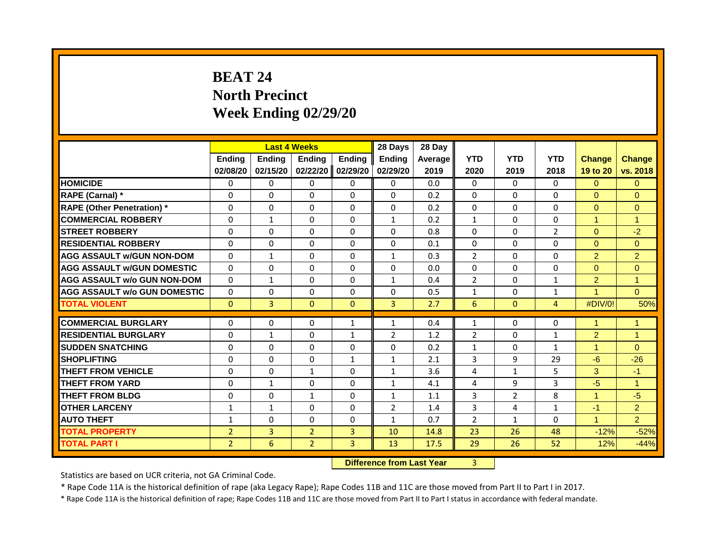# **BEAT 24 North Precinct Week Ending 02/29/20**

|                                                           |                |                | <b>Last 4 Weeks</b>  |                              | 28 Days        | 28 Day  |                |                      |                |                      |                      |
|-----------------------------------------------------------|----------------|----------------|----------------------|------------------------------|----------------|---------|----------------|----------------------|----------------|----------------------|----------------------|
|                                                           | <b>Ending</b>  | <b>Ending</b>  | <b>Endina</b>        | <b>Ending</b>                | <b>Endina</b>  | Average | <b>YTD</b>     | <b>YTD</b>           | <b>YTD</b>     | <b>Change</b>        | <b>Change</b>        |
|                                                           | 02/08/20       | 02/15/20       | 02/22/20             | 02/29/20                     | 02/29/20       | 2019    | 2020           | 2019                 | 2018           | 19 to 20             | vs. 2018             |
| <b>HOMICIDE</b>                                           | 0              | 0              | $\mathbf{0}$         | $\Omega$                     | 0              | 0.0     | 0              | $\Omega$             | 0              | $\Omega$             | $\Omega$             |
| RAPE (Carnal) *                                           | $\Omega$       | $\Omega$       | $\Omega$             | $\Omega$                     | $\Omega$       | 0.2     | $\Omega$       | $\Omega$             | 0              | $\Omega$             | $\Omega$             |
| <b>RAPE (Other Penetration) *</b>                         | $\Omega$       | $\Omega$       | $\Omega$             | $\Omega$                     | $\Omega$       | 0.2     | $\mathbf{0}$   | $\Omega$             | 0              | $\overline{0}$       | $\Omega$             |
| <b>COMMERCIAL ROBBERY</b>                                 | $\Omega$       | $\mathbf{1}$   | $\Omega$             | $\Omega$                     | $\mathbf{1}$   | 0.2     | $\mathbf{1}$   | $\Omega$             | $\Omega$       | $\blacktriangleleft$ | $\mathbf{1}$         |
| <b>STREET ROBBERY</b>                                     | $\Omega$       | $\Omega$       | $\Omega$             | $\Omega$                     | $\Omega$       | 0.8     | $\Omega$       | $\Omega$             | $\overline{2}$ | $\Omega$             | $-2$                 |
| <b>RESIDENTIAL ROBBERY</b>                                | $\Omega$       | $\Omega$       | $\Omega$             | $\Omega$                     | $\Omega$       | 0.1     | $\Omega$       | $\Omega$             | 0              | $\Omega$             | $\overline{0}$       |
| <b>AGG ASSAULT W/GUN NON-DOM</b>                          | $\Omega$       | $\mathbf{1}$   | $\Omega$             | $\Omega$                     | $\mathbf{1}$   | 0.3     | $\overline{2}$ | $\Omega$             | 0              | $\overline{2}$       | $\overline{2}$       |
| <b>AGG ASSAULT W/GUN DOMESTIC</b>                         | $\Omega$       | $\Omega$       | $\Omega$             | $\Omega$                     | $\Omega$       | 0.0     | $\Omega$       | $\Omega$             | $\Omega$       | $\Omega$             | $\Omega$             |
| <b>AGG ASSAULT w/o GUN NON-DOM</b>                        | $\Omega$       | $\mathbf{1}$   | $\Omega$             | $\Omega$                     | $\mathbf{1}$   | 0.4     | $\overline{2}$ | $\Omega$             | $\mathbf{1}$   | $\overline{2}$       | $\overline{1}$       |
| <b>AGG ASSAULT w/o GUN DOMESTIC</b>                       | $\Omega$       | $\Omega$       | $\Omega$             | $\Omega$                     | $\Omega$       | 0.5     | $\mathbf{1}$   | $\Omega$             | $\mathbf{1}$   | $\overline{A}$       | $\Omega$             |
| <b>TOTAL VIOLENT</b>                                      | $\mathbf{0}$   | 3              | $\Omega$             | $\mathbf{0}$                 | $\overline{3}$ | 2.7     | 6              | $\mathbf{0}$         | 4              | #DIV/0!              | 50%                  |
|                                                           |                |                |                      |                              |                |         |                |                      |                | $\overline{1}$       | $\mathbf{1}$         |
| <b>COMMERCIAL BURGLARY</b><br><b>RESIDENTIAL BURGLARY</b> | 0<br>$\Omega$  | 0              | $\Omega$<br>$\Omega$ | $\mathbf{1}$<br>$\mathbf{1}$ | $\mathbf{1}$   | 0.4     | $\mathbf{1}$   | $\Omega$<br>$\Omega$ | $\Omega$       |                      | $\blacktriangleleft$ |
|                                                           |                | $\mathbf{1}$   |                      |                              | $\overline{2}$ | 1.2     | $\overline{2}$ |                      | $\mathbf{1}$   | $\overline{2}$       |                      |
| <b>SUDDEN SNATCHING</b>                                   | $\Omega$       | $\Omega$       | $\Omega$             | $\Omega$                     | $\Omega$       | 0.2     | $\mathbf{1}$   | $\Omega$             | $\mathbf{1}$   | $\mathbf{1}$         | $\Omega$             |
| <b>SHOPLIFTING</b>                                        | $\Omega$       | $\Omega$       | $\Omega$             | $\mathbf{1}$                 | $\mathbf{1}$   | 2.1     | 3              | 9                    | 29             | $-6$                 | $-26$                |
| <b>THEFT FROM VEHICLE</b>                                 | $\Omega$       | $\Omega$       | $\mathbf{1}$         | $\Omega$                     | $\mathbf{1}$   | 3.6     | 4              | $\mathbf{1}$         | 5.             | 3                    | $-1$                 |
| <b>THEFT FROM YARD</b>                                    | 0              | $\mathbf{1}$   | $\Omega$             | $\Omega$                     | $\mathbf{1}$   | 4.1     | 4              | 9                    | 3              | $-5$                 | $\blacktriangleleft$ |
| <b>THEFT FROM BLDG</b>                                    | $\Omega$       | $\Omega$       | $\mathbf{1}$         | $\Omega$                     | $\mathbf{1}$   | 1.1     | $\overline{3}$ | $\overline{2}$       | 8              | $\mathbf{1}$         | $-5$                 |
| <b>OTHER LARCENY</b>                                      | $\mathbf{1}$   | $\mathbf{1}$   | $\Omega$             | $\Omega$                     | 2              | 1.4     | 3              | 4                    | $\mathbf{1}$   | $-1$                 | $\overline{2}$       |
| <b>AUTO THEFT</b>                                         | $\mathbf{1}$   | $\Omega$       | $\Omega$             | $\Omega$                     | $\mathbf{1}$   | 0.7     | $\overline{2}$ | $\mathbf{1}$         | 0              | $\mathbf{1}$         | $\overline{2}$       |
| <b>TOTAL PROPERTY</b>                                     | $\overline{2}$ | $\overline{3}$ | $\overline{2}$       | $\overline{3}$               | 10             | 14.8    | 23             | 26                   | 48             | $-12%$               | $-52%$               |
| <b>TOTAL PART I</b>                                       | $\overline{2}$ | 6              | $\overline{2}$       | $\overline{3}$               | 13             | 17.5    | 29             | 26                   | 52             | 12%                  | $-44%$               |
|                                                           |                |                |                      |                              |                |         |                |                      |                |                      |                      |

**Difference from Last Year** 3

Statistics are based on UCR criteria, not GA Criminal Code.

\* Rape Code 11A is the historical definition of rape (aka Legacy Rape); Rape Codes 11B and 11C are those moved from Part II to Part I in 2017.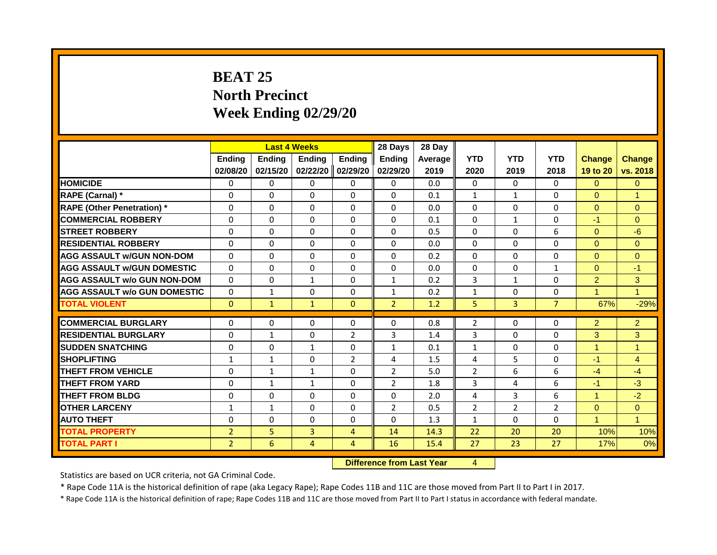# **BEAT 25 North Precinct Week Ending 02/29/20**

|                                     |                |               | <b>Last 4 Weeks</b> |                | 28 Days        | 28 Day  |                |                |                |                |                |
|-------------------------------------|----------------|---------------|---------------------|----------------|----------------|---------|----------------|----------------|----------------|----------------|----------------|
|                                     | <b>Ending</b>  | <b>Ending</b> | <b>Endina</b>       | <b>Ending</b>  | <b>Endina</b>  | Average | <b>YTD</b>     | <b>YTD</b>     | <b>YTD</b>     | <b>Change</b>  | <b>Change</b>  |
|                                     | 02/08/20       | 02/15/20      | 02/22/20            | 02/29/20       | 02/29/20       | 2019    | 2020           | 2019           | 2018           | 19 to 20       | vs. 2018       |
| <b>HOMICIDE</b>                     | 0              | $\Omega$      | $\mathbf{0}$        | $\Omega$       | $\Omega$       | 0.0     | $\Omega$       | $\Omega$       | 0              | $\Omega$       | $\overline{0}$ |
| RAPE (Carnal) *                     | $\Omega$       | $\Omega$      | $\Omega$            | $\Omega$       | $\Omega$       | 0.1     | $\mathbf{1}$   | $\mathbf{1}$   | 0              | $\overline{0}$ | $\mathbf{1}$   |
| <b>RAPE (Other Penetration)</b> *   | $\Omega$       | $\Omega$      | $\Omega$            | $\Omega$       | $\Omega$       | 0.0     | $\Omega$       | $\Omega$       | $\Omega$       | $\Omega$       | $\Omega$       |
| <b>COMMERCIAL ROBBERY</b>           | 0              | $\Omega$      | $\Omega$            | $\Omega$       | $\Omega$       | 0.1     | $\Omega$       | $\mathbf{1}$   | $\Omega$       | $-1$           | $\Omega$       |
| <b>STREET ROBBERY</b>               | $\Omega$       | $\Omega$      | $\Omega$            | $\Omega$       | $\Omega$       | 0.5     | $\Omega$       | $\Omega$       | 6              | $\Omega$       | $-6$           |
| <b>RESIDENTIAL ROBBERY</b>          | $\Omega$       | $\Omega$      | $\Omega$            | $\Omega$       | $\Omega$       | 0.0     | $\Omega$       | $\Omega$       | $\Omega$       | $\Omega$       | $\Omega$       |
| <b>AGG ASSAULT w/GUN NON-DOM</b>    | $\Omega$       | $\Omega$      | $\Omega$            | $\Omega$       | $\Omega$       | 0.2     | $\Omega$       | $\mathbf{0}$   | 0              | $\Omega$       | $\Omega$       |
| <b>AGG ASSAULT w/GUN DOMESTIC</b>   | $\Omega$       | $\Omega$      | $\Omega$            | $\Omega$       | $\Omega$       | 0.0     | $\Omega$       | $\Omega$       | 1              | $\Omega$       | $-1$           |
| <b>AGG ASSAULT w/o GUN NON-DOM</b>  | $\Omega$       | $\Omega$      | $\mathbf{1}$        | $\Omega$       | $\mathbf{1}$   | 0.2     | 3              | $\mathbf{1}$   | $\Omega$       | $\overline{2}$ | 3              |
| <b>AGG ASSAULT w/o GUN DOMESTIC</b> | $\Omega$       | $\mathbf{1}$  | $\Omega$            | $\Omega$       | $\mathbf{1}$   | 0.2     | $\mathbf{1}$   | $\Omega$       | 0              | $\overline{1}$ | $\overline{1}$ |
| <b>TOTAL VIOLENT</b>                | $\Omega$       | $\mathbf{1}$  | $\mathbf{1}$        | $\Omega$       | $\overline{2}$ | 1.2     | 5.             | $\overline{3}$ | $\overline{7}$ | 67%            | $-29%$         |
| <b>COMMERCIAL BURGLARY</b>          | $\Omega$       | $\Omega$      | $\Omega$            | $\Omega$       | $\Omega$       | 0.8     | $\overline{2}$ | $\Omega$       | $\Omega$       | $\overline{2}$ | $\overline{2}$ |
| <b>RESIDENTIAL BURGLARY</b>         | $\Omega$       | $\mathbf{1}$  | $\Omega$            | $\overline{2}$ | 3              | 1.4     | 3              | $\Omega$       | $\Omega$       | 3              | 3 <sup>1</sup> |
| <b>SUDDEN SNATCHING</b>             | $\Omega$       | $\Omega$      | $\mathbf{1}$        | $\Omega$       | $\mathbf{1}$   | 0.1     | $\mathbf{1}$   | $\Omega$       | 0              | $\mathbf{1}$   | $\mathbf{1}$   |
| <b>SHOPLIFTING</b>                  | $\mathbf{1}$   | $\mathbf{1}$  | $\Omega$            | $\overline{2}$ | 4              | 1.5     | 4              | 5              | $\Omega$       | $-1$           | $\overline{4}$ |
| <b>THEFT FROM VEHICLE</b>           | $\Omega$       | $\mathbf{1}$  | $\mathbf{1}$        | $\Omega$       | $\overline{2}$ | 5.0     | $\overline{2}$ | 6              | 6              | $-4$           | $-4$           |
| <b>THEFT FROM YARD</b>              | 0              | $\mathbf{1}$  | $\mathbf{1}$        | $\Omega$       | $\overline{2}$ | 1.8     | 3              | 4              | 6              | $-1$           | $-3$           |
| <b>THEFT FROM BLDG</b>              | $\Omega$       | $\Omega$      | $\Omega$            | $\Omega$       | $\Omega$       | 2.0     | 4              | 3              | 6              | $\mathbf{1}$   | $-2$           |
| <b>OTHER LARCENY</b>                | $\mathbf{1}$   | $\mathbf{1}$  | $\Omega$            | $\Omega$       | $\overline{2}$ | 0.5     | $\overline{2}$ | $\overline{2}$ | $\overline{2}$ | $\Omega$       | $\overline{0}$ |
| <b>AUTO THEFT</b>                   | 0              | $\Omega$      | $\Omega$            | $\Omega$       | $\Omega$       | 1.3     | 1              | $\Omega$       | 0              | $\overline{1}$ | $\mathbf{1}$   |
| <b>TOTAL PROPERTY</b>               | $\overline{2}$ | 5             | $\overline{3}$      | $\overline{4}$ | 14             | 14.3    | 22             | 20             | 20             | 10%            | 10%            |
| <b>TOTAL PART I</b>                 | $\overline{2}$ | 6             | $\overline{4}$      | 4              | 16             | 15.4    | 27             | 23             | 27             | 17%            | 0%             |
|                                     |                |               |                     |                |                |         |                |                |                |                |                |

**Difference from Last Year** 4 |

Statistics are based on UCR criteria, not GA Criminal Code.

\* Rape Code 11A is the historical definition of rape (aka Legacy Rape); Rape Codes 11B and 11C are those moved from Part II to Part I in 2017.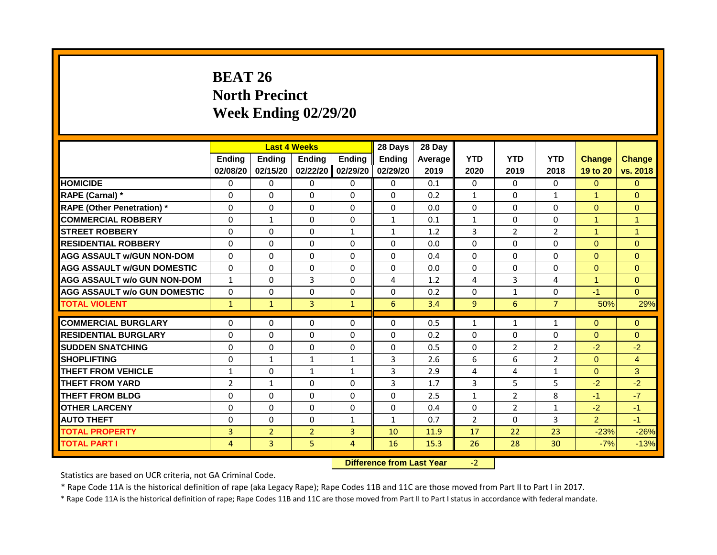# **BEAT 26 North Precinct Week Ending 02/29/20**

|                                     |                |                | <b>Last 4 Weeks</b> |                | 28 Days        | 28 Day  |                |                |                |                      |                      |
|-------------------------------------|----------------|----------------|---------------------|----------------|----------------|---------|----------------|----------------|----------------|----------------------|----------------------|
|                                     | <b>Ending</b>  | <b>Ending</b>  | <b>Endina</b>       | <b>Ending</b>  | <b>Endina</b>  | Average | <b>YTD</b>     | <b>YTD</b>     | <b>YTD</b>     | <b>Change</b>        | <b>Change</b>        |
|                                     | 02/08/20       | 02/15/20       | 02/22/20            | 02/29/20       | 02/29/20       | 2019    | 2020           | 2019           | 2018           | 19 to 20             | vs. 2018             |
| <b>HOMICIDE</b>                     | 0              | $\mathbf{0}$   | 0                   | 0              | 0              | 0.1     | $\Omega$       | $\Omega$       | 0              | $\Omega$             | $\overline{0}$       |
| RAPE (Carnal) *                     | $\Omega$       | $\Omega$       | $\Omega$            | $\Omega$       | $\Omega$       | 0.2     | $\mathbf{1}$   | $\Omega$       | $\mathbf{1}$   | 1                    | $\Omega$             |
| <b>RAPE (Other Penetration) *</b>   | $\Omega$       | $\Omega$       | $\Omega$            | $\Omega$       | $\Omega$       | 0.0     | $\Omega$       | $\Omega$       | $\Omega$       | $\Omega$             | $\Omega$             |
| <b>COMMERCIAL ROBBERY</b>           | $\mathbf 0$    | $\mathbf{1}$   | $\Omega$            | 0              | $\mathbf{1}$   | 0.1     | $\mathbf{1}$   | $\mathbf{0}$   | $\Omega$       | $\overline{1}$       | $\blacktriangleleft$ |
| <b>STREET ROBBERY</b>               | $\Omega$       | $\Omega$       | $\Omega$            | $\mathbf{1}$   | $\mathbf{1}$   | 1.2     | 3              | $\overline{2}$ | $\overline{2}$ | $\blacktriangleleft$ | $\mathbf{1}$         |
| <b>RESIDENTIAL ROBBERY</b>          | $\Omega$       | $\Omega$       | $\Omega$            | $\Omega$       | $\Omega$       | 0.0     | $\Omega$       | $\Omega$       | $\Omega$       | $\Omega$             | $\Omega$             |
| <b>AGG ASSAULT W/GUN NON-DOM</b>    | $\Omega$       | $\Omega$       | $\Omega$            | $\Omega$       | $\Omega$       | 0.4     | $\Omega$       | $\Omega$       | 0              | $\Omega$             | $\Omega$             |
| <b>AGG ASSAULT W/GUN DOMESTIC</b>   | $\Omega$       | 0              | $\Omega$            | $\Omega$       | $\Omega$       | 0.0     | $\Omega$       | $\Omega$       | $\Omega$       | $\Omega$             | $\Omega$             |
| <b>AGG ASSAULT w/o GUN NON-DOM</b>  | $\mathbf{1}$   | $\Omega$       | 3                   | $\Omega$       | 4              | 1.2     | 4              | 3              | 4              | $\blacktriangleleft$ | $\Omega$             |
| <b>AGG ASSAULT w/o GUN DOMESTIC</b> | $\Omega$       | $\Omega$       | $\Omega$            | $\Omega$       | $\Omega$       | 0.2     | $\Omega$       | $\mathbf{1}$   | $\Omega$       | $-1$                 | $\Omega$             |
| <b>TOTAL VIOLENT</b>                | $\mathbf{1}$   | $\mathbf{1}$   | 3                   | $\mathbf{1}$   | 6              | 3.4     | 9              | 6              | $\overline{7}$ | 50%                  | 29%                  |
| <b>COMMERCIAL BURGLARY</b>          | 0              | $\Omega$       | 0                   | $\mathbf{0}$   | 0              | 0.5     | 1              | $\mathbf{1}$   | $\mathbf{1}$   | $\Omega$             | $\overline{0}$       |
| <b>RESIDENTIAL BURGLARY</b>         | $\Omega$       | $\Omega$       | $\Omega$            | $\Omega$       | $\Omega$       | 0.2     | $\Omega$       | $\Omega$       | $\Omega$       | $\Omega$             | $\Omega$             |
| <b>SUDDEN SNATCHING</b>             | 0              | $\Omega$       | $\Omega$            | $\Omega$       | $\Omega$       | 0.5     | $\Omega$       | $\overline{2}$ | $\overline{2}$ | $-2$                 | $-2$                 |
| <b>SHOPLIFTING</b>                  | $\Omega$       | 1              | 1                   | 1              | 3              | 2.6     | 6              | 6              | $\overline{2}$ | $\Omega$             | $\overline{4}$       |
| THEFT FROM VEHICLE                  | $\mathbf{1}$   | 0              | $\mathbf{1}$        | $\mathbf{1}$   | 3              | 2.9     | 4              | 4              | $\mathbf{1}$   | $\Omega$             | 3 <sup>1</sup>       |
| <b>THEFT FROM YARD</b>              | $\overline{2}$ | $\mathbf{1}$   | $\Omega$            | $\Omega$       | $\overline{3}$ | 1.7     | 3              | 5              | 5              | $-2$                 | $-2$                 |
| <b>THEFT FROM BLDG</b>              | $\Omega$       | $\Omega$       | $\Omega$            | $\Omega$       | $\Omega$       | 2.5     | $\mathbf{1}$   | $\overline{2}$ | 8              | $-1$                 | $-7$                 |
| <b>OTHER LARCENY</b>                | $\Omega$       | $\Omega$       | $\Omega$            | $\Omega$       | $\Omega$       | 0.4     | $\Omega$       | $\overline{2}$ | $\mathbf{1}$   | $-2$                 | $-1$                 |
| <b>AUTO THEFT</b>                   | 0              | 0              | $\Omega$            | 1              | 1              | 0.7     | $\overline{2}$ | $\Omega$       | 3              | $\overline{2}$       | $-1$                 |
| <b>TOTAL PROPERTY</b>               | $\overline{3}$ | $\overline{2}$ | $\overline{2}$      | $\overline{3}$ | 10             | 11.9    | 17             | 22             | 23             | $-23%$               | $-26%$               |
| <b>TOTAL PART I</b>                 | 4              | 3              | 5                   | $\overline{4}$ | 16             | 15.3    | 26             | 28             | 30             | $-7%$                | $-13%$               |
|                                     |                |                |                     |                |                |         |                |                |                |                      |                      |

**Difference from Last Year** -2

Statistics are based on UCR criteria, not GA Criminal Code.

\* Rape Code 11A is the historical definition of rape (aka Legacy Rape); Rape Codes 11B and 11C are those moved from Part II to Part I in 2017.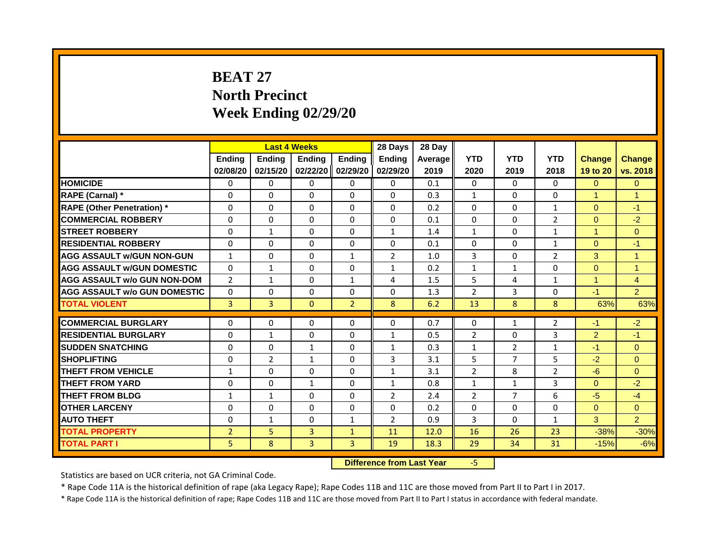# **BEAT 27 North Precinct Week Ending 02/29/20**

|                                     |                |                | <b>Last 4 Weeks</b> |                | 28 Days        | 28 Day  |                |                |                |                      |                |
|-------------------------------------|----------------|----------------|---------------------|----------------|----------------|---------|----------------|----------------|----------------|----------------------|----------------|
|                                     | <b>Ending</b>  | <b>Ending</b>  | Ending              | <b>Ending</b>  | <b>Ending</b>  | Average | <b>YTD</b>     | <b>YTD</b>     | <b>YTD</b>     | <b>Change</b>        | <b>Change</b>  |
|                                     | 02/08/20       | 02/15/20       | 02/22/20            | 02/29/20       | 02/29/20       | 2019    | 2020           | 2019           | 2018           | 19 to 20             | vs. 2018       |
| <b>HOMICIDE</b>                     | $\Omega$       | $\Omega$       | $\Omega$            | $\Omega$       | $\Omega$       | 0.1     | $\Omega$       | $\Omega$       | $\Omega$       | $\Omega$             | $\overline{0}$ |
| RAPE (Carnal) *                     | 0              | $\Omega$       | 0                   | $\Omega$       | $\Omega$       | 0.3     | $\mathbf{1}$   | $\Omega$       | $\Omega$       | $\blacktriangleleft$ | $\mathbf{1}$   |
| <b>RAPE (Other Penetration) *</b>   | $\Omega$       | $\Omega$       | $\Omega$            | $\Omega$       | $\Omega$       | 0.2     | $\Omega$       | $\Omega$       | $\mathbf{1}$   | $\Omega$             | $-1$           |
| <b>COMMERCIAL ROBBERY</b>           | 0              | $\Omega$       | $\Omega$            | $\Omega$       | $\Omega$       | 0.1     | $\Omega$       | $\Omega$       | $\overline{2}$ | $\Omega$             | $-2$           |
| <b>STREET ROBBERY</b>               | $\Omega$       | $\mathbf{1}$   | $\Omega$            | $\Omega$       | $\mathbf{1}$   | 1.4     | $\mathbf{1}$   | $\Omega$       | $\mathbf{1}$   | $\mathbf{1}$         | $\overline{0}$ |
| <b>RESIDENTIAL ROBBERY</b>          | $\Omega$       | $\Omega$       | $\Omega$            | $\Omega$       | $\Omega$       | 0.1     | $\Omega$       | $\Omega$       | $\mathbf{1}$   | $\Omega$             | $-1$           |
| <b>AGG ASSAULT w/GUN NON-GUN</b>    | $\mathbf{1}$   | $\Omega$       | 0                   | $\mathbf{1}$   | 2              | 1.0     | 3              | $\Omega$       | $\overline{2}$ | 3                    | $\mathbf{1}$   |
| <b>AGG ASSAULT W/GUN DOMESTIC</b>   | 0              | $\mathbf{1}$   | 0                   | $\mathbf{0}$   | 1              | 0.2     | 1              | 1              | 0              | $\Omega$             | $\mathbf{1}$   |
| <b>AGG ASSAULT w/o GUN NON-DOM</b>  | $\overline{2}$ | $\mathbf{1}$   | $\Omega$            | $\mathbf{1}$   | 4              | 1.5     | 5              | 4              | $\mathbf{1}$   | $\mathbf{1}$         | $\overline{4}$ |
| <b>AGG ASSAULT W/o GUN DOMESTIC</b> | $\Omega$       | $\Omega$       | $\Omega$            | $\Omega$       | $\Omega$       | 1.3     | $\overline{2}$ | 3              | 0              | $-1$                 | $\overline{2}$ |
| <b>TOTAL VIOLENT</b>                | $\overline{3}$ | 3              | $\Omega$            | $\overline{2}$ | 8              | 6.2     | 13             | 8              | 8              | 63%                  | 63%            |
| <b>COMMERCIAL BURGLARY</b>          | 0              | $\Omega$       | $\Omega$            | $\Omega$       | $\Omega$       | 0.7     | $\Omega$       | $\mathbf{1}$   | $\overline{2}$ | $-1$                 | $-2$           |
| <b>RESIDENTIAL BURGLARY</b>         | $\Omega$       | $\mathbf{1}$   | $\Omega$            | $\Omega$       | $\mathbf{1}$   | 0.5     | $\overline{2}$ | $\Omega$       | 3              | $\overline{2}$       | $-1$           |
| <b>SUDDEN SNATCHING</b>             | $\Omega$       | $\Omega$       | $\mathbf{1}$        | $\Omega$       | $\mathbf{1}$   | 0.3     | $\mathbf{1}$   | $\overline{2}$ | 1              | $-1$                 | $\Omega$       |
| <b>SHOPLIFTING</b>                  | $\Omega$       | $\overline{2}$ | $\mathbf{1}$        | $\Omega$       | 3              | 3.1     | 5              | $\overline{7}$ | 5              | $-2$                 | $\Omega$       |
| <b>THEFT FROM VEHICLE</b>           | $\mathbf{1}$   | $\Omega$       | $\Omega$            | $\Omega$       | $\mathbf{1}$   | 3.1     | $\overline{2}$ | 8              | $\overline{2}$ | $-6$                 | $\Omega$       |
| <b>THEFT FROM YARD</b>              | 0              | $\Omega$       | $\mathbf{1}$        | $\Omega$       | $\mathbf{1}$   | 0.8     | $\mathbf{1}$   | $\mathbf{1}$   | 3              | $\Omega$             | $-2$           |
| <b>THEFT FROM BLDG</b>              | 1              | $\mathbf{1}$   | $\Omega$            | $\Omega$       | $\overline{2}$ | 2.4     | $\overline{2}$ | $\overline{7}$ | 6              | $-5$                 | $-4$           |
| <b>OTHER LARCENY</b>                | $\Omega$       | $\Omega$       | $\Omega$            | $\Omega$       | $\Omega$       | 0.2     | $\Omega$       | $\Omega$       | $\Omega$       | $\Omega$             | $\Omega$       |
| <b>AUTO THEFT</b>                   | $\Omega$       | $\mathbf{1}$   | 0                   | $\mathbf{1}$   | $\overline{2}$ | 0.9     | 3              | $\Omega$       | $\mathbf{1}$   | 3                    | $\overline{2}$ |
| <b>TOTAL PROPERTY</b>               | $\overline{2}$ | 5              | $\overline{3}$      | $\mathbf{1}$   | 11             | 12.0    | 16             | 26             | 23             | $-38%$               | $-30%$         |
| <b>TOTAL PART I</b>                 |                |                |                     |                |                |         | 29             | 34             | 31             |                      |                |
|                                     | 5              | 8              | 3                   | 3              | 19             | 18.3    |                |                |                | $-15%$               | $-6%$          |

**Difference from Last Year** -5

Statistics are based on UCR criteria, not GA Criminal Code.

\* Rape Code 11A is the historical definition of rape (aka Legacy Rape); Rape Codes 11B and 11C are those moved from Part II to Part I in 2017.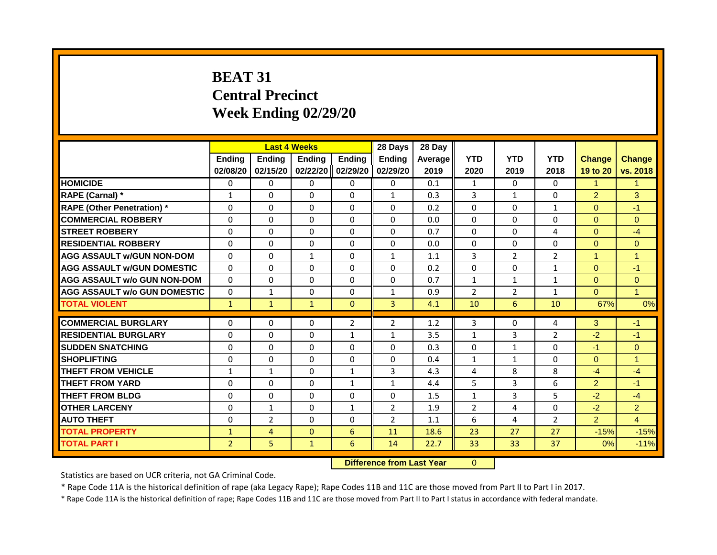# **BEAT 31 Central Precinct Week Ending 02/29/20**

|                                     |                | <b>Last 4 Weeks</b> |                                  |                | 28 Days        | 28 Day  |                |                |                |                |                |
|-------------------------------------|----------------|---------------------|----------------------------------|----------------|----------------|---------|----------------|----------------|----------------|----------------|----------------|
|                                     | <b>Ending</b>  | Ending              | Ending                           | <b>Ending</b>  | <b>Endina</b>  | Average | <b>YTD</b>     | <b>YTD</b>     | <b>YTD</b>     | <b>Change</b>  | <b>Change</b>  |
|                                     | 02/08/20       | 02/15/20            | 02/22/20                         | 02/29/20       | 02/29/20       | 2019    | 2020           | 2019           | 2018           | 19 to 20       | vs. 2018       |
| <b>HOMICIDE</b>                     | 0              | 0                   | 0                                | 0              | 0              | 0.1     | 1              | $\mathbf{0}$   | 0              | $\mathbf{1}$   | $\mathbf{1}$   |
| RAPE (Carnal) *                     | 1              | $\Omega$            | $\Omega$                         | $\Omega$       | $\mathbf{1}$   | 0.3     | 3              | $\mathbf{1}$   | $\Omega$       | $\overline{2}$ | 3              |
| <b>RAPE (Other Penetration) *</b>   | $\Omega$       | $\Omega$            | $\Omega$                         | $\Omega$       | $\Omega$       | 0.2     | $\mathbf 0$    | $\Omega$       | $\mathbf{1}$   | $\Omega$       | $-1$           |
| <b>COMMERCIAL ROBBERY</b>           | 0              | $\Omega$            | $\Omega$                         | $\Omega$       | $\Omega$       | 0.0     | $\Omega$       | $\Omega$       | $\Omega$       | $\Omega$       | $\Omega$       |
| <b>STREET ROBBERY</b>               | $\mathbf 0$    | $\Omega$            | $\Omega$                         | $\Omega$       | $\Omega$       | 0.7     | $\Omega$       | 0              | 4              | $\overline{0}$ | $-4$           |
| <b>RESIDENTIAL ROBBERY</b>          | $\Omega$       | $\Omega$            | $\Omega$                         | $\Omega$       | $\Omega$       | 0.0     | $\Omega$       | $\Omega$       | $\Omega$       | $\Omega$       | $\overline{0}$ |
| <b>AGG ASSAULT w/GUN NON-DOM</b>    | $\Omega$       | $\Omega$            | $\mathbf{1}$                     | $\Omega$       | $\mathbf{1}$   | 1.1     | 3              | $\overline{2}$ | $\overline{2}$ | $\mathbf{1}$   | $\overline{1}$ |
| <b>AGG ASSAULT W/GUN DOMESTIC</b>   | $\Omega$       | $\Omega$            | $\Omega$                         | $\Omega$       | $\Omega$       | 0.2     | $\Omega$       | $\Omega$       | $\mathbf{1}$   | $\Omega$       | $-1$           |
| <b>AGG ASSAULT w/o GUN NON-DOM</b>  | $\Omega$       | $\Omega$            | $\Omega$                         | $\Omega$       | $\Omega$       | 0.7     | $\mathbf{1}$   | $\mathbf{1}$   | $\mathbf{1}$   | $\Omega$       | $\overline{0}$ |
| <b>AGG ASSAULT w/o GUN DOMESTIC</b> | $\Omega$       | $\mathbf{1}$        | $\Omega$                         | $\Omega$       | $\mathbf{1}$   | 0.9     | $\overline{2}$ | $\overline{2}$ | $\mathbf{1}$   | $\Omega$       | $\mathbf{1}$   |
| <b>TOTAL VIOLENT</b>                | $\mathbf{1}$   | $\mathbf{1}$        | $\mathbf{1}$                     | $\mathbf{0}$   | $\overline{3}$ | 4.1     | 10             | 6              | 10             | 67%            | 0%             |
| <b>COMMERCIAL BURGLARY</b>          | 0              | 0                   | 0                                | $\overline{2}$ | $\overline{2}$ | 1.2     | 3              | 0              | 4              | 3              | $-1$           |
| <b>RESIDENTIAL BURGLARY</b>         | $\Omega$       | $\Omega$            | $\Omega$                         | $\mathbf{1}$   | $\mathbf{1}$   | 3.5     | $\mathbf{1}$   | 3              | $\overline{2}$ | $-2$           | $-1$           |
| <b>SUDDEN SNATCHING</b>             | $\Omega$       | $\Omega$            | $\Omega$                         | $\Omega$       | $\Omega$       | 0.3     | $\Omega$       | $\mathbf{1}$   | $\Omega$       | $-1$           | $\Omega$       |
| <b>SHOPLIFTING</b>                  | $\mathbf 0$    | $\mathbf 0$         | $\Omega$                         | 0              | 0              | 0.4     | 1              | 1              | 0              | $\overline{0}$ | $\mathbf{1}$   |
| <b>THEFT FROM VEHICLE</b>           | $\mathbf{1}$   | $\mathbf{1}$        | $\Omega$                         | $\mathbf{1}$   | 3              | 4.3     | 4              | 8              | 8              | $-4$           | $-4$           |
| <b>THEFT FROM YARD</b>              | $\Omega$       | $\Omega$            | $\Omega$                         | $\mathbf{1}$   | $\mathbf{1}$   | 4.4     | 5              | 3              | 6              | $\overline{2}$ | $-1$           |
| <b>THEFT FROM BLDG</b>              | $\Omega$       | $\Omega$            | $\Omega$                         | $\Omega$       |                |         |                | 3              | 5              |                | $-4$           |
|                                     |                |                     |                                  |                | $\Omega$       | 1.5     | $\mathbf{1}$   |                |                | $-2$           |                |
| <b>OTHER LARCENY</b>                | $\Omega$       | $\mathbf{1}$        | $\Omega$                         | $\mathbf{1}$   | $\overline{2}$ | 1.9     | $\overline{2}$ | 4              | $\Omega$       | $-2$           | 2 <sup>1</sup> |
| <b>AUTO THEFT</b>                   | $\Omega$       | $\overline{2}$      | $\Omega$                         | $\Omega$       | $\overline{2}$ | 1.1     | 6              | 4              | 2              | $\overline{2}$ | $\overline{4}$ |
| <b>TOTAL PROPERTY</b>               | $\mathbf{1}$   | $\overline{4}$      | $\Omega$                         | 6              | 11             | 18.6    | 23             | 27             | 27             | $-15%$         | $-15%$         |
| <b>TOTAL PART I</b>                 | $\overline{2}$ | 5                   | $\mathbf{1}$                     | 6              | 14             | 22.7    | 33             | 33             | 37             | 0%             | $-11%$         |
|                                     |                |                     | <b>Difference from Last Year</b> |                | $\Omega$       |         |                |                |                |                |                |

Statistics are based on UCR criteria, not GA Criminal Code.

\* Rape Code 11A is the historical definition of rape (aka Legacy Rape); Rape Codes 11B and 11C are those moved from Part II to Part I in 2017.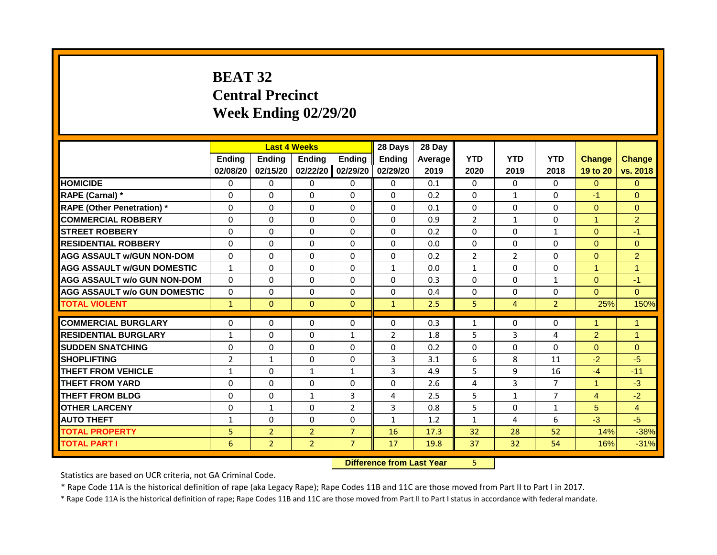# **BEAT 32 Central Precinct Week Ending 02/29/20**

|                                     |                |                | <b>Last 4 Weeks</b> |                | 28 Days        | 28 Day  |                |                |                |                |                      |
|-------------------------------------|----------------|----------------|---------------------|----------------|----------------|---------|----------------|----------------|----------------|----------------|----------------------|
|                                     | <b>Endina</b>  | <b>Endina</b>  | <b>Endina</b>       | <b>Endina</b>  | <b>Endina</b>  | Average | <b>YTD</b>     | <b>YTD</b>     | <b>YTD</b>     | <b>Change</b>  | <b>Change</b>        |
|                                     | 02/08/20       | 02/15/20       | 02/22/20            | 02/29/20       | 02/29/20       | 2019    | 2020           | 2019           | 2018           | 19 to 20       | vs. 2018             |
| <b>HOMICIDE</b>                     | $\Omega$       | $\Omega$       | $\Omega$            | $\Omega$       | $\Omega$       | 0.1     | $\Omega$       | $\Omega$       | 0              | $\Omega$       | $\Omega$             |
| RAPE (Carnal) *                     | $\Omega$       | $\Omega$       | $\Omega$            | $\Omega$       | $\Omega$       | 0.2     | $\Omega$       | 1              | 0              | $-1$           | $\Omega$             |
| <b>RAPE (Other Penetration) *</b>   | $\Omega$       | $\Omega$       | $\Omega$            | $\Omega$       | $\Omega$       | 0.1     | $\mathbf{0}$   | $\Omega$       | $\Omega$       | $\Omega$       | $\Omega$             |
| <b>COMMERCIAL ROBBERY</b>           | $\Omega$       | $\Omega$       | $\Omega$            | $\Omega$       | $\Omega$       | 0.9     | $\overline{2}$ | $\mathbf{1}$   | $\Omega$       | $\mathbf{1}$   | $\overline{2}$       |
| <b>STREET ROBBERY</b>               | $\Omega$       | $\Omega$       | $\Omega$            | $\Omega$       | $\Omega$       | 0.2     | $\Omega$       | $\Omega$       | $\mathbf{1}$   | $\Omega$       | $-1$                 |
| <b>RESIDENTIAL ROBBERY</b>          | $\Omega$       | $\Omega$       | $\Omega$            | $\Omega$       | $\Omega$       | 0.0     | $\Omega$       | $\Omega$       | $\Omega$       | $\Omega$       | $\Omega$             |
| <b>AGG ASSAULT W/GUN NON-DOM</b>    | $\Omega$       | $\Omega$       | $\Omega$            | $\Omega$       | $\Omega$       | 0.2     | $\overline{2}$ | $\overline{2}$ | 0              | $\Omega$       | $\overline{2}$       |
| <b>AGG ASSAULT W/GUN DOMESTIC</b>   | $\mathbf{1}$   | $\Omega$       | $\Omega$            | $\Omega$       | $\mathbf{1}$   | 0.0     | 1              | $\Omega$       | $\Omega$       | 1              | $\blacktriangleleft$ |
| <b>AGG ASSAULT w/o GUN NON-DOM</b>  | $\Omega$       | $\Omega$       | $\Omega$            | $\Omega$       | $\Omega$       | 0.3     | $\mathbf{0}$   | $\Omega$       | $\mathbf{1}$   | $\Omega$       | $-1$                 |
| <b>AGG ASSAULT w/o GUN DOMESTIC</b> | $\Omega$       | $\Omega$       | $\Omega$            | $\Omega$       | $\Omega$       | 0.4     | $\Omega$       | $\Omega$       | $\Omega$       | $\Omega$       | $\Omega$             |
| <b>TOTAL VIOLENT</b>                | $\mathbf{1}$   | $\Omega$       | $\Omega$            | $\Omega$       | $\mathbf{1}$   | 2.5     | 5.             | $\overline{4}$ | $\overline{2}$ | 25%            | 150%                 |
| <b>COMMERCIAL BURGLARY</b>          | $\Omega$       | $\Omega$       | $\Omega$            | $\Omega$       | $\Omega$       | 0.3     | $\mathbf{1}$   | $\Omega$       | $\Omega$       | 1              | 1                    |
| <b>RESIDENTIAL BURGLARY</b>         | $\mathbf{1}$   | $\Omega$       | $\Omega$            | $\mathbf{1}$   | $\overline{2}$ | 1.8     | 5              | 3              | 4              | $\overline{2}$ | $\blacktriangleleft$ |
| <b>SUDDEN SNATCHING</b>             | $\Omega$       | $\Omega$       | $\Omega$            | $\Omega$       | $\Omega$       | 0.2     | $\Omega$       | $\Omega$       | $\Omega$       | $\Omega$       | $\Omega$             |
| <b>SHOPLIFTING</b>                  | $\overline{2}$ | $\mathbf{1}$   | $\Omega$            | $\Omega$       | 3              | 3.1     | 6              | 8              | 11             | $-2$           | $-5$                 |
| <b>THEFT FROM VEHICLE</b>           | $\mathbf{1}$   | $\Omega$       | $\mathbf{1}$        | $\mathbf{1}$   | 3              | 4.9     | 5              | 9              | 16             | $-4$           | $-11$                |
| <b>THEFT FROM YARD</b>              | $\Omega$       | $\Omega$       | $\Omega$            | $\Omega$       | $\Omega$       | 2.6     | 4              | 3              | $\overline{7}$ | $\mathbf{1}$   | $-3$                 |
| <b>THEFT FROM BLDG</b>              | $\Omega$       | $\Omega$       | $\mathbf{1}$        | $\overline{3}$ | 4              | 2.5     | 5              | $\mathbf{1}$   | $\overline{7}$ | $\overline{4}$ | $-2$                 |
| <b>OTHER LARCENY</b>                | 0              | $\mathbf{1}$   | $\Omega$            | $\overline{2}$ | 3              | 0.8     | 5              | $\mathbf{0}$   | $\mathbf{1}$   | 5              | $\overline{4}$       |
| <b>AUTO THEFT</b>                   | 1              | $\Omega$       | $\Omega$            | $\Omega$       | $\mathbf{1}$   | 1.2     | $\mathbf{1}$   | 4              | 6              | $-3$           | $-5$                 |
| <b>TOTAL PROPERTY</b>               | 5              | $\overline{2}$ | $\overline{2}$      | $\overline{7}$ | 16             | 17.3    | 32             | 28             | 52             | 14%            | $-38%$               |
| <b>TOTAL PART I</b>                 | 6              | $\overline{2}$ | $\overline{2}$      | $\overline{7}$ | 17             | 19.8    | 37             | 32             | 54             | 16%            | $-31%$               |
|                                     |                |                |                     |                |                |         |                |                |                |                |                      |

**Difference from Last Year** 5

Statistics are based on UCR criteria, not GA Criminal Code.

\* Rape Code 11A is the historical definition of rape (aka Legacy Rape); Rape Codes 11B and 11C are those moved from Part II to Part I in 2017.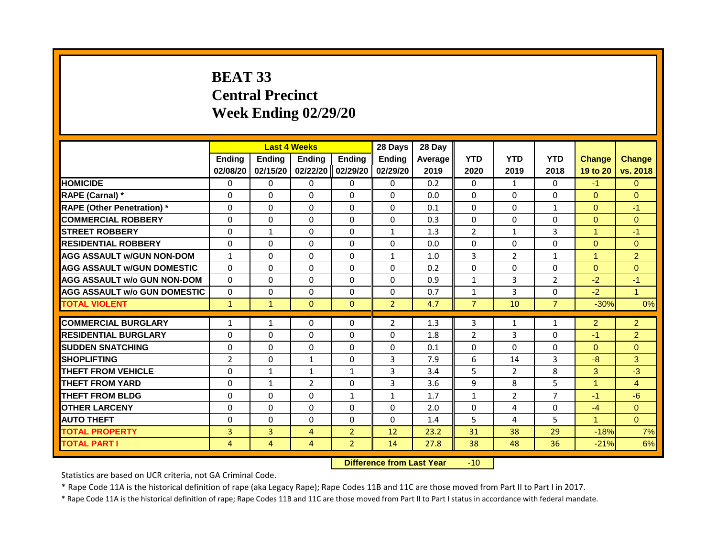# **BEAT 33 Central Precinct Week Ending 02/29/20**

|                                     |                | <b>Last 4 Weeks</b> |                |                | 28 Days        | 28 Day  |                |                |                |                      |                |
|-------------------------------------|----------------|---------------------|----------------|----------------|----------------|---------|----------------|----------------|----------------|----------------------|----------------|
|                                     | Ending         | Ending              | Ending         | Ending         | <b>Ending</b>  | Average | <b>YTD</b>     | <b>YTD</b>     | <b>YTD</b>     | <b>Change</b>        | Change         |
|                                     | 02/08/20       | 02/15/20            | 02/22/20       | 02/29/20       | 02/29/20       | 2019    | 2020           | 2019           | 2018           | 19 to 20             | vs. 2018       |
| <b>HOMICIDE</b>                     | $\mathbf{0}$   | $\mathbf{0}$        | $\Omega$       | $\mathbf{0}$   | $\mathbf{0}$   | 0.2     | $\Omega$       | $\mathbf{1}$   | $\mathbf{0}$   | $-1$                 | $\Omega$       |
| <b>RAPE (Carnal)</b> *              | 0              | $\Omega$            | $\Omega$       | $\Omega$       | $\Omega$       | 0.0     | $\Omega$       | 0              | $\Omega$       | $\Omega$             | $\Omega$       |
| <b>RAPE (Other Penetration)</b> *   | 0              | 0                   | $\Omega$       | 0              | $\mathbf{0}$   | 0.1     | 0              | 0              | 1              | $\Omega$             | $-1$           |
| <b>COMMERCIAL ROBBERY</b>           | $\Omega$       | $\mathbf 0$         | $\Omega$       | $\Omega$       | $\Omega$       | 0.3     | 0              | $\mathbf{0}$   | $\Omega$       | $\Omega$             | $\Omega$       |
| <b>STREET ROBBERY</b>               | $\Omega$       | $\mathbf{1}$        | $\Omega$       | $\Omega$       | $\mathbf{1}$   | 1.3     | $\overline{2}$ | $\mathbf{1}$   | 3              | $\mathbf{1}$         | $-1$           |
| <b>RESIDENTIAL ROBBERY</b>          | $\Omega$       | $\Omega$            | 0              | $\Omega$       | 0              | 0.0     | $\Omega$       | $\Omega$       | $\mathbf{0}$   | $\Omega$             | $\Omega$       |
| <b>AGG ASSAULT w/GUN NON-DOM</b>    | $\mathbf{1}$   | $\Omega$            | 0              | $\Omega$       | $\mathbf{1}$   | 1.0     | 3              | $\overline{2}$ | $\mathbf{1}$   | $\blacktriangleleft$ | $\overline{2}$ |
| <b>AGG ASSAULT w/GUN DOMESTIC</b>   | $\Omega$       | 0                   | $\Omega$       | 0              | $\mathbf{0}$   | 0.2     | 0              | 0              | 0              | $\Omega$             | $\mathbf{0}$   |
| <b>AGG ASSAULT w/o GUN NON-DOM</b>  | $\Omega$       | $\Omega$            | $\Omega$       | $\Omega$       | $\Omega$       | 0.9     | $\mathbf{1}$   | 3              | $\overline{2}$ | $-2$                 | $-1$           |
| <b>AGG ASSAULT w/o GUN DOMESTIC</b> | $\Omega$       | $\Omega$            | $\Omega$       | $\Omega$       | $\Omega$       | 0.7     | $\mathbf{1}$   | 3              | $\Omega$       | $-2$                 | $\mathbf{1}$   |
| <b>TOTAL VIOLENT</b>                | $\mathbf{1}$   | $\mathbf{1}$        | $\Omega$       | $\Omega$       | $\overline{2}$ | 4.7     | $\overline{7}$ | 10             | $\overline{7}$ | $-30%$               | 0%             |
|                                     |                |                     |                |                |                |         |                |                |                |                      |                |
| <b>COMMERCIAL BURGLARY</b>          | $\mathbf{1}$   | $\mathbf{1}$        | $\Omega$       | $\Omega$       | $\overline{2}$ | 1.3     | 3              | 1              | 1              | 2                    | 2              |
| <b>RESIDENTIAL BURGLARY</b>         | $\Omega$       | $\Omega$            | $\Omega$       | $\Omega$       | 0              | 1.8     | $\overline{2}$ | $\overline{3}$ | $\Omega$       | $-1$                 | $\overline{2}$ |
| <b>SUDDEN SNATCHING</b>             | $\Omega$       | $\Omega$            | 0              | $\Omega$       | $\Omega$       | 0.1     | $\Omega$       | 0              | 0              | $\Omega$             | $\Omega$       |
| <b>SHOPLIFTING</b>                  | $\overline{2}$ | $\Omega$            | $\mathbf{1}$   | $\Omega$       | 3              | 7.9     | 6              | 14             | 3              | $-8$                 | 3              |
| <b>THEFT FROM VEHICLE</b>           | 0              | $\mathbf{1}$        | $\mathbf{1}$   | 1              | 3              | 3.4     | 5              | $\overline{2}$ | 8              | 3                    | $-3$           |
| <b>THEFT FROM YARD</b>              | $\Omega$       | $\mathbf{1}$        | $\overline{2}$ | $\Omega$       | 3              | 3.6     | 9              | 8              | 5              | $\mathbf{1}$         | $\overline{4}$ |
| <b>THEFT FROM BLDG</b>              | $\Omega$       | $\Omega$            | $\Omega$       | $\mathbf{1}$   | $\mathbf{1}$   | 1.7     | $\mathbf{1}$   | $\overline{2}$ | $\overline{7}$ | $-1$                 | $-6$           |
| <b>OTHER LARCENY</b>                | $\Omega$       | $\Omega$            | $\Omega$       | $\Omega$       | $\Omega$       | 2.0     | $\Omega$       | 4              | 0              | $-4$                 | $\Omega$       |
| <b>AUTO THEFT</b>                   | $\Omega$       | $\Omega$            | 0              | $\Omega$       | $\Omega$       | 1.4     | 5              | 4              | 5              | $\mathbf{1}$         | $\Omega$       |
| <b>TOTAL PROPERTY</b>               | 3              | 3                   | 4              | $\overline{2}$ | 12             | 23.2    | 31             | 38             | 29             | $-18%$               | 7%             |
| <b>TOTAL PART I</b>                 | 4              | 4                   | 4              | $\overline{2}$ | 14             | 27.8    | 38             | 48             | 36             | $-21%$               | 6%             |
|                                     |                |                     |                |                |                |         |                |                |                |                      |                |

**Difference from Last Year** -10

Statistics are based on UCR criteria, not GA Criminal Code.

\* Rape Code 11A is the historical definition of rape (aka Legacy Rape); Rape Codes 11B and 11C are those moved from Part II to Part I in 2017.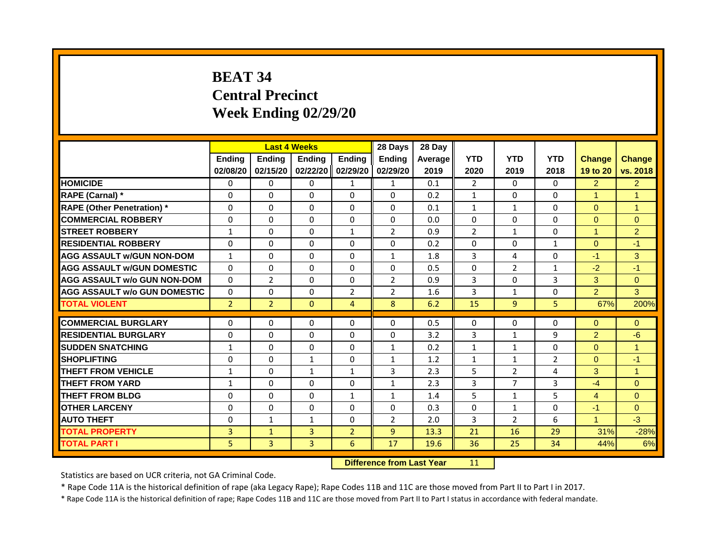# **BEAT 34 Central Precinct Week Ending 02/29/20**

|                                     |                | <b>Last 4 Weeks</b> |                                  |                | 28 Days        | 28 Day  |                |                |                |                |                      |
|-------------------------------------|----------------|---------------------|----------------------------------|----------------|----------------|---------|----------------|----------------|----------------|----------------|----------------------|
|                                     | <b>Ending</b>  | <b>Ending</b>       | Ending                           | <b>Ending</b>  | <b>Endina</b>  | Average | <b>YTD</b>     | <b>YTD</b>     | <b>YTD</b>     | <b>Change</b>  | <b>Change</b>        |
|                                     | 02/08/20       | 02/15/20            | 02/22/20                         | 02/29/20       | 02/29/20       | 2019    | 2020           | 2019           | 2018           | 19 to 20       | vs. 2018             |
| <b>HOMICIDE</b>                     | 0              | 0                   | 0                                | 1              | 1              | 0.1     | $\overline{2}$ | $\mathbf{0}$   | 0              | $\overline{2}$ | $\overline{2}$       |
| RAPE (Carnal) *                     | 0              | $\Omega$            | $\Omega$                         | $\Omega$       | $\Omega$       | 0.2     | $\mathbf{1}$   | $\Omega$       | $\Omega$       | $\mathbf{1}$   | $\overline{1}$       |
| <b>RAPE (Other Penetration) *</b>   | $\Omega$       | $\Omega$            | $\Omega$                         | $\Omega$       | $\Omega$       | 0.1     | $\mathbf{1}$   | $\mathbf{1}$   | $\Omega$       | $\Omega$       | $\mathbf{1}$         |
| <b>COMMERCIAL ROBBERY</b>           | 0              | $\Omega$            | $\Omega$                         | $\Omega$       | $\Omega$       | 0.0     | $\Omega$       | $\Omega$       | $\Omega$       | $\Omega$       | $\Omega$             |
| <b>STREET ROBBERY</b>               | 1              | $\Omega$            | $\Omega$                         | $\mathbf{1}$   | $\overline{2}$ | 0.9     | $\overline{2}$ | $\mathbf{1}$   | $\Omega$       | $\mathbf{1}$   | $\overline{2}$       |
| <b>RESIDENTIAL ROBBERY</b>          | $\Omega$       | $\Omega$            | $\Omega$                         | $\Omega$       | $\Omega$       | 0.2     | $\Omega$       | $\Omega$       | $\mathbf{1}$   | $\Omega$       | $-1$                 |
| <b>AGG ASSAULT w/GUN NON-DOM</b>    | $\mathbf{1}$   | $\Omega$            | $\Omega$                         | $\Omega$       | $\mathbf{1}$   | 1.8     | $\overline{3}$ | 4              | $\Omega$       | $-1$           | 3                    |
| <b>AGG ASSAULT W/GUN DOMESTIC</b>   | $\Omega$       | $\Omega$            | $\Omega$                         | $\Omega$       | $\Omega$       | 0.5     | $\Omega$       | $\overline{2}$ | $\mathbf{1}$   | $-2$           | $-1$                 |
| <b>AGG ASSAULT w/o GUN NON-DOM</b>  | $\mathbf{0}$   | $\overline{2}$      | $\Omega$                         | $\Omega$       | $\overline{2}$ | 0.9     | 3              | $\Omega$       | 3              | 3              | $\overline{0}$       |
| <b>AGG ASSAULT w/o GUN DOMESTIC</b> | $\Omega$       | $\Omega$            | $\Omega$                         | $\overline{2}$ | $\overline{2}$ | 1.6     | 3              | $\mathbf{1}$   | $\Omega$       | $\overline{2}$ | 3                    |
| <b>TOTAL VIOLENT</b>                | $\overline{2}$ | $\overline{2}$      | $\mathbf{0}$                     | $\overline{4}$ | 8              | 6.2     | 15             | 9              | 5              | 67%            | 200%                 |
| <b>COMMERCIAL BURGLARY</b>          | 0              | 0                   | 0                                | 0              | 0              | 0.5     | $\Omega$       | 0              | 0              | 0              | $\mathbf{0}$         |
| <b>RESIDENTIAL BURGLARY</b>         | $\Omega$       | $\Omega$            | $\Omega$                         | $\Omega$       | $\Omega$       | 3.2     | 3              | $\mathbf{1}$   | 9              | $\overline{2}$ | $-6$                 |
| <b>SUDDEN SNATCHING</b>             | $\mathbf{1}$   | $\Omega$            | $\Omega$                         | $\Omega$       | $\mathbf{1}$   | 0.2     | $\mathbf{1}$   | $\mathbf{1}$   | $\Omega$       | $\Omega$       | $\mathbf{1}$         |
| <b>SHOPLIFTING</b>                  | $\mathbf 0$    | $\mathbf 0$         | 1                                | 0              | $\mathbf{1}$   | 1.2     | 1              | 1              | $\overline{2}$ | $\overline{0}$ | $-1$                 |
| <b>THEFT FROM VEHICLE</b>           | $\mathbf{1}$   | $\Omega$            | $\mathbf{1}$                     | $\mathbf{1}$   | 3              | 2.3     | 5              | $\overline{2}$ | 4              | 3              | $\blacktriangleleft$ |
| <b>THEFT FROM YARD</b>              | $\mathbf{1}$   | $\Omega$            | $\Omega$                         | $\Omega$       | $\mathbf{1}$   | 2.3     | 3              | $\overline{7}$ | 3              | $-4$           | $\overline{0}$       |
| <b>THEFT FROM BLDG</b>              | $\Omega$       | $\Omega$            | $\Omega$                         |                |                |         | 5              |                | 5              | $\overline{4}$ |                      |
|                                     |                |                     |                                  | $\mathbf{1}$   | $\mathbf{1}$   | 1.4     |                | $\mathbf{1}$   |                |                | $\Omega$             |
| <b>OTHER LARCENY</b>                | $\Omega$       | $\Omega$            | $\Omega$                         | $\Omega$       | $\Omega$       | 0.3     | $\Omega$       | $\mathbf{1}$   | $\Omega$       | $-1$           | $\Omega$             |
| <b>AUTO THEFT</b>                   | $\Omega$       | $\mathbf{1}$        | $\mathbf{1}$                     | $\Omega$       | $\overline{2}$ | 2.0     | 3              | $\overline{2}$ | 6              | $\mathbf{1}$   | $-3$                 |
| <b>TOTAL PROPERTY</b>               | 3              | $\mathbf{1}$        | 3                                | $\overline{2}$ | 9              | 13.3    | 21             | 16             | 29             | 31%            | $-28%$               |
| <b>TOTAL PART I</b>                 | 5              | $\mathbf{3}$        | 3                                | 6              | 17             | 19.6    | 36             | 25             | 34             | 44%            | 6%                   |
|                                     |                |                     | <b>Difference from Last Year</b> |                | 11             |         |                |                |                |                |                      |

Statistics are based on UCR criteria, not GA Criminal Code.

\* Rape Code 11A is the historical definition of rape (aka Legacy Rape); Rape Codes 11B and 11C are those moved from Part II to Part I in 2017.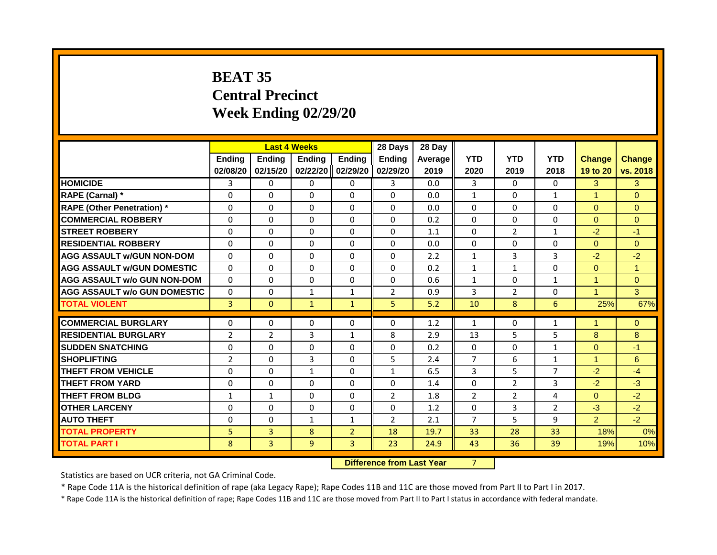# **BEAT 35 Central Precinct Week Ending 02/29/20**

|                                     |                |                | <b>Last 4 Weeks</b> |                | 28 Days        | 28 Day  |                |                |                |                      |                      |
|-------------------------------------|----------------|----------------|---------------------|----------------|----------------|---------|----------------|----------------|----------------|----------------------|----------------------|
|                                     | <b>Endina</b>  | <b>Endina</b>  | <b>Endina</b>       | <b>Endina</b>  | <b>Endina</b>  | Average | <b>YTD</b>     | <b>YTD</b>     | <b>YTD</b>     | <b>Change</b>        | <b>Change</b>        |
|                                     | 02/08/20       | 02/15/20       | 02/22/20            | 02/29/20       | 02/29/20       | 2019    | 2020           | 2019           | 2018           | 19 to 20             | vs. 2018             |
| <b>HOMICIDE</b>                     | 3              | $\mathbf{0}$   | $\Omega$            | $\mathbf{0}$   | 3              | 0.0     | 3              | $\Omega$       | $\Omega$       | 3                    | 3                    |
| RAPE (Carnal) *                     | $\Omega$       | $\Omega$       | $\Omega$            | $\Omega$       | $\Omega$       | 0.0     | $\mathbf{1}$   | $\Omega$       | $\mathbf{1}$   | $\blacktriangleleft$ | $\Omega$             |
| <b>RAPE (Other Penetration)</b> *   | $\Omega$       | $\Omega$       | $\Omega$            | $\Omega$       | $\Omega$       | 0.0     | $\Omega$       | $\Omega$       | 0              | $\Omega$             | $\Omega$             |
| <b>COMMERCIAL ROBBERY</b>           | $\Omega$       | $\Omega$       | $\Omega$            | $\Omega$       | $\Omega$       | 0.2     | $\Omega$       | $\Omega$       | $\Omega$       | $\mathbf{0}$         | $\mathbf{0}$         |
| <b>STREET ROBBERY</b>               | $\Omega$       | $\Omega$       | $\Omega$            | $\Omega$       | $\Omega$       | 1.1     | $\Omega$       | $\overline{2}$ | $\mathbf{1}$   | $-2$                 | $-1$                 |
| <b>RESIDENTIAL ROBBERY</b>          | $\Omega$       | $\Omega$       | $\Omega$            | $\Omega$       | $\Omega$       | 0.0     | $\Omega$       | $\Omega$       | $\Omega$       | $\Omega$             | $\Omega$             |
| <b>AGG ASSAULT W/GUN NON-DOM</b>    | $\Omega$       | $\Omega$       | 0                   | $\Omega$       | $\Omega$       | 2.2     | $\mathbf{1}$   | 3              | 3              | $-2$                 | $-2$                 |
| <b>AGG ASSAULT W/GUN DOMESTIC</b>   | $\Omega$       | $\Omega$       | $\Omega$            | $\Omega$       | $\Omega$       | 0.2     | 1              | 1              | $\Omega$       | $\Omega$             | $\blacktriangleleft$ |
| <b>AGG ASSAULT w/o GUN NON-DOM</b>  | $\Omega$       | $\Omega$       | $\Omega$            | $\Omega$       | $\Omega$       | 0.6     | $\mathbf{1}$   | $\Omega$       | $\mathbf{1}$   | $\mathbf{1}$         | $\mathbf{0}$         |
| <b>AGG ASSAULT W/o GUN DOMESTIC</b> | $\Omega$       | $\Omega$       | $\mathbf{1}$        | $\mathbf{1}$   | $\overline{2}$ | 0.9     | 3              | $\overline{2}$ | 0              | $\blacktriangleleft$ | 3                    |
| <b>TOTAL VIOLENT</b>                | 3              | $\mathbf{0}$   | $\mathbf{1}$        | $\mathbf{1}$   | 5              | 5.2     | 10             | 8              | 6              | 25%                  | 67%                  |
| <b>COMMERCIAL BURGLARY</b>          | 0              | $\Omega$       | $\Omega$            | $\Omega$       | 0              | 1.2     | 1              | 0              | 1              | $\mathbf{1}$         | $\mathbf{0}$         |
| <b>RESIDENTIAL BURGLARY</b>         | $\overline{2}$ | $\overline{2}$ | 3                   | $\mathbf{1}$   | 8              | 2.9     | 13             | 5              | 5              | 8                    | 8                    |
| <b>SUDDEN SNATCHING</b>             | 0              | $\Omega$       | 0                   | $\Omega$       | $\Omega$       | 0.2     | $\Omega$       | $\Omega$       | $\mathbf{1}$   | $\Omega$             | $-1$                 |
| <b>SHOPLIFTING</b>                  | $\overline{2}$ | $\Omega$       | 3                   | $\Omega$       | 5              | 2.4     | $\overline{7}$ | 6              | $\mathbf{1}$   | $\blacktriangleleft$ | $6\phantom{1}$       |
| <b>THEFT FROM VEHICLE</b>           | $\Omega$       | $\Omega$       | $\mathbf{1}$        | $\Omega$       | $\mathbf{1}$   | 6.5     | 3              | 5              | $\overline{7}$ | $-2$                 | $-4$                 |
| <b>THEFT FROM YARD</b>              | $\Omega$       | $\Omega$       | $\Omega$            | $\Omega$       | $\Omega$       | 1.4     | $\Omega$       | $\overline{2}$ | 3              | $-2$                 | $-3$                 |
| <b>THEFT FROM BLDG</b>              |                |                | $\Omega$            | $\Omega$       | $\overline{2}$ | 1.8     | $\overline{2}$ | $\overline{2}$ | 4              | $\Omega$             | $-2$                 |
| <b>OTHER LARCENY</b>                | $\mathbf{1}$   | $\mathbf{1}$   |                     |                |                |         |                |                |                |                      |                      |
|                                     | 0              | 0              | 0                   | $\mathbf{0}$   | 0              | 1.2     | 0              | 3              | 2              | $-3$                 | $-2$                 |
| <b>AUTO THEFT</b>                   | $\Omega$       | $\Omega$       | $\mathbf{1}$        | $\mathbf{1}$   | $\overline{2}$ | 2.1     | 7              | 5              | 9              | $\overline{2}$       | $-2$                 |
| <b>TOTAL PROPERTY</b>               | 5              | 3              | 8                   | $\overline{2}$ | 18             | 19.7    | 33             | 28             | 33             | 18%                  | 0%                   |
| <b>TOTAL PART I</b>                 | 8              | 3              | 9                   | 3              | 23             | 24.9    | 43             | 36             | 39             | 19%                  | 10%                  |

**Difference from Last Year** 7

Statistics are based on UCR criteria, not GA Criminal Code.

\* Rape Code 11A is the historical definition of rape (aka Legacy Rape); Rape Codes 11B and 11C are those moved from Part II to Part I in 2017.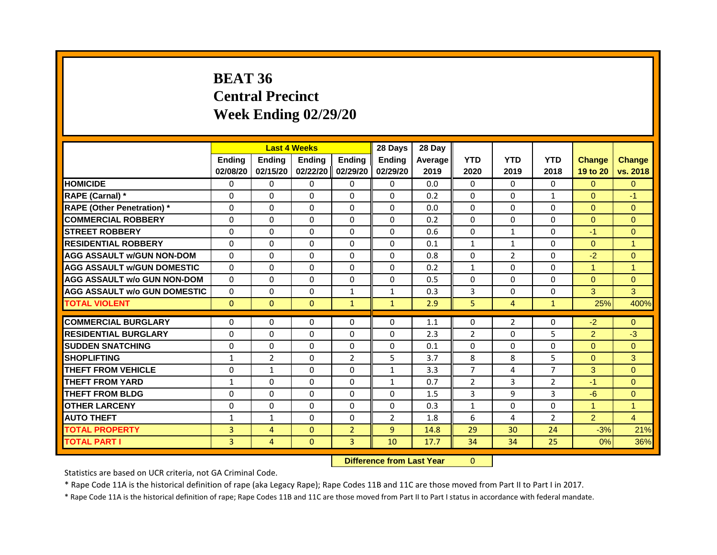# **BEAT 36 Central Precinct Week Ending 02/29/20**

|                                     |               |                | <b>Last 4 Weeks</b> |                | 28 Days        | 28 Day  |                |                |                |                |                |
|-------------------------------------|---------------|----------------|---------------------|----------------|----------------|---------|----------------|----------------|----------------|----------------|----------------|
|                                     | <b>Ending</b> | <b>Endina</b>  | <b>Endina</b>       | <b>Ending</b>  | <b>Ending</b>  | Average | <b>YTD</b>     | <b>YTD</b>     | <b>YTD</b>     | <b>Change</b>  | <b>Change</b>  |
|                                     | 02/08/20      | 02/15/20       | 02/22/20 02/29/20   |                | 02/29/20       | 2019    | 2020           | 2019           | 2018           | 19 to 20       | vs. 2018       |
| <b>HOMICIDE</b>                     | 0             | $\mathbf{0}$   | $\mathbf{0}$        | $\Omega$       | 0              | 0.0     | $\mathbf{0}$   | $\Omega$       | $\Omega$       | $\Omega$       | $\overline{0}$ |
| RAPE (Carnal) *                     | $\Omega$      | $\Omega$       | $\Omega$            | $\Omega$       | $\Omega$       | 0.2     | $\Omega$       | $\Omega$       | $\mathbf{1}$   | $\Omega$       | $-1$           |
| <b>RAPE (Other Penetration)</b> *   | $\Omega$      | $\Omega$       | $\Omega$            | $\Omega$       | $\Omega$       | 0.0     | $\Omega$       | $\Omega$       | 0              | $\overline{0}$ | $\overline{0}$ |
| <b>COMMERCIAL ROBBERY</b>           | 0             | $\Omega$       | $\Omega$            | $\Omega$       | $\Omega$       | 0.2     | $\Omega$       | $\Omega$       | $\Omega$       | $\Omega$       | $\Omega$       |
| <b>STREET ROBBERY</b>               | $\Omega$      | $\Omega$       | $\Omega$            | $\Omega$       | $\Omega$       | 0.6     | $\Omega$       | 1              | $\Omega$       | $-1$           | $\Omega$       |
| <b>RESIDENTIAL ROBBERY</b>          | $\Omega$      | $\Omega$       | $\Omega$            | $\Omega$       | $\Omega$       | 0.1     | $\mathbf{1}$   | $\mathbf{1}$   | $\Omega$       | $\Omega$       | $\mathbf{1}$   |
| <b>AGG ASSAULT W/GUN NON-DOM</b>    | $\Omega$      | $\Omega$       | $\Omega$            | $\Omega$       | $\Omega$       | 0.8     | $\Omega$       | $\overline{2}$ | $\Omega$       | $-2$           | $\overline{0}$ |
| <b>AGG ASSAULT W/GUN DOMESTIC</b>   | $\Omega$      | $\Omega$       | $\Omega$            | $\Omega$       | $\Omega$       | 0.2     | $\mathbf{1}$   | $\Omega$       | $\Omega$       | $\mathbf{1}$   | $\mathbf{1}$   |
| <b>AGG ASSAULT w/o GUN NON-DOM</b>  | $\Omega$      | $\Omega$       | 0                   | $\Omega$       | 0              | 0.5     | $\mathbf{0}$   | 0              | 0              | $\mathbf{0}$   | $\overline{0}$ |
| <b>AGG ASSAULT w/o GUN DOMESTIC</b> | $\Omega$      | 0              | 0                   | $\mathbf{1}$   | 1              | 0.3     | 3              | 0              | 0              | 3              | 3 <sup>1</sup> |
| <b>TOTAL VIOLENT</b>                | $\Omega$      | $\mathbf{0}$   | $\mathbf{0}$        | $\mathbf{1}$   | $\mathbf{1}$   | 2.9     | 5              | 4              | $\mathbf{1}$   | 25%            | 400%           |
|                                     |               |                |                     |                |                |         |                |                |                |                |                |
| <b>COMMERCIAL BURGLARY</b>          | 0             | $\Omega$       | 0                   | 0              | 0              | 1.1     | $\mathbf{0}$   | $\overline{2}$ | 0              | $-2$           | $\mathbf{0}$   |
| <b>RESIDENTIAL BURGLARY</b>         | 0             | $\Omega$       | $\Omega$            | 0              | 0              | 2.3     | $\overline{2}$ | $\Omega$       | 5              | $\overline{2}$ | $-3$           |
| <b>SUDDEN SNATCHING</b>             | $\Omega$      | $\Omega$       | $\Omega$            | $\Omega$       | 0              | 0.1     | $\Omega$       | $\Omega$       | 0              | $\Omega$       | $\Omega$       |
| <b>SHOPLIFTING</b>                  | $\mathbf{1}$  | $\overline{2}$ | $\Omega$            | $\overline{2}$ | 5              | 3.7     | 8              | 8              | 5              | $\Omega$       | 3              |
| <b>THEFT FROM VEHICLE</b>           | $\Omega$      | $\mathbf{1}$   | $\Omega$            | $\Omega$       | $\mathbf{1}$   | 3.3     | $\overline{7}$ | 4              | $\overline{7}$ | 3              | $\Omega$       |
| <b>THEFT FROM YARD</b>              | 1             | $\Omega$       | $\Omega$            | $\Omega$       | $\mathbf{1}$   | 0.7     | 2              | 3              | $\overline{2}$ | $-1$           | $\Omega$       |
| <b>THEFT FROM BLDG</b>              | $\Omega$      | $\Omega$       | $\Omega$            | $\Omega$       | $\Omega$       | 1.5     | 3              | 9              | 3              | $-6$           | $\Omega$       |
| <b>OTHER LARCENY</b>                | $\Omega$      | $\Omega$       | $\Omega$            | $\Omega$       | $\Omega$       | 0.3     | $\mathbf{1}$   | $\Omega$       | 0              | 1              | $\mathbf{1}$   |
| <b>AUTO THEFT</b>                   | $\mathbf{1}$  | 1              | 0                   | $\Omega$       | 2              | 1.8     | 6              | 4              | $\overline{2}$ | $\overline{2}$ | $\overline{4}$ |
| <b>TOTAL PROPERTY</b>               | 3             | 4              | $\Omega$            | $\overline{2}$ | $\overline{9}$ | 14.8    | 29             | 30             | 24             | $-3%$          | 21%            |
| <b>TOTAL PART I</b>                 | 3             | $\overline{4}$ | $\mathbf{0}$        | $\overline{3}$ | 10             | 17.7    | 34             | 34             | 25             | 0%             | 36%            |

**Difference from Last Year** 0

Statistics are based on UCR criteria, not GA Criminal Code.

\* Rape Code 11A is the historical definition of rape (aka Legacy Rape); Rape Codes 11B and 11C are those moved from Part II to Part I in 2017.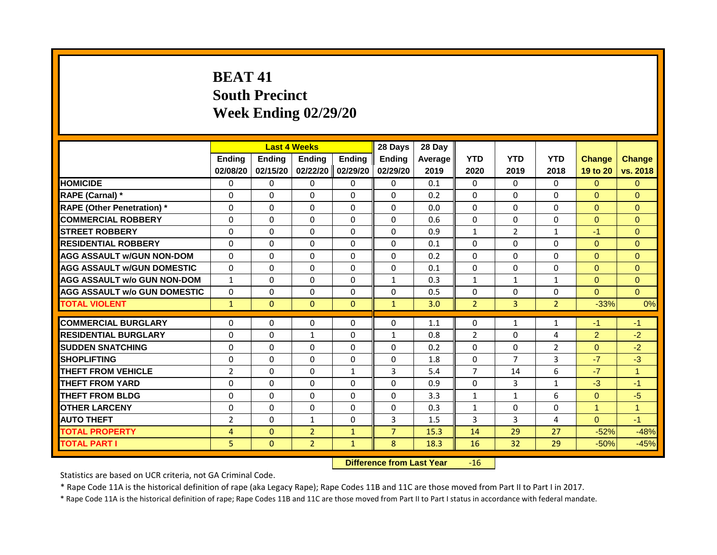# **BEAT 41 South Precinct Week Ending 02/29/20**

|                                     |                |               | <b>Last 4 Weeks</b> |               | 28 Days        | 28 Day  |                |                |                |                |                      |
|-------------------------------------|----------------|---------------|---------------------|---------------|----------------|---------|----------------|----------------|----------------|----------------|----------------------|
|                                     | <b>Ending</b>  | <b>Ending</b> | <b>Ending</b>       | <b>Ending</b> | <b>Ending</b>  | Average | <b>YTD</b>     | <b>YTD</b>     | <b>YTD</b>     | <b>Change</b>  | <b>Change</b>        |
|                                     | 02/08/20       | 02/15/20      | 02/22/20            | 02/29/20      | 02/29/20       | 2019    | 2020           | 2019           | 2018           | 19 to 20       | vs. 2018             |
| <b>HOMICIDE</b>                     | $\Omega$       | $\Omega$      | $\Omega$            | $\Omega$      | $\Omega$       | 0.1     | $\Omega$       | $\Omega$       | $\Omega$       | $\Omega$       | $\Omega$             |
| RAPE (Carnal) *                     | $\Omega$       | $\Omega$      | $\Omega$            | $\Omega$      | $\Omega$       | 0.2     | $\Omega$       | $\Omega$       | $\Omega$       | $\overline{0}$ | $\Omega$             |
| <b>RAPE (Other Penetration)</b> *   | 0              | $\Omega$      | $\Omega$            | $\Omega$      | $\Omega$       | 0.0     | $\Omega$       | $\Omega$       | $\Omega$       | $\Omega$       | $\Omega$             |
| <b>COMMERCIAL ROBBERY</b>           | $\Omega$       | $\Omega$      | $\Omega$            | $\Omega$      | $\Omega$       | 0.6     | $\Omega$       | $\Omega$       | $\Omega$       | $\Omega$       | $\Omega$             |
| <b>STREET ROBBERY</b>               | $\Omega$       | $\Omega$      | $\Omega$            | $\Omega$      | $\Omega$       | 0.9     | $\mathbf{1}$   | $\overline{2}$ | $\mathbf{1}$   | $-1$           | $\Omega$             |
| <b>RESIDENTIAL ROBBERY</b>          | $\Omega$       | $\Omega$      | $\Omega$            | $\Omega$      | $\Omega$       | 0.1     | $\Omega$       | $\Omega$       | $\Omega$       | $\Omega$       | $\Omega$             |
| <b>AGG ASSAULT w/GUN NON-DOM</b>    | $\Omega$       | $\Omega$      | $\Omega$            | $\Omega$      | $\Omega$       | 0.2     | $\Omega$       | $\Omega$       | 0              | $\Omega$       | $\Omega$             |
| <b>AGG ASSAULT w/GUN DOMESTIC</b>   | $\Omega$       | $\Omega$      | $\Omega$            | $\Omega$      | $\Omega$       | 0.1     | $\Omega$       | $\Omega$       | $\Omega$       | $\Omega$       | $\Omega$             |
| <b>AGG ASSAULT w/o GUN NON-DOM</b>  | $\mathbf{1}$   | $\Omega$      | $\Omega$            | $\Omega$      | $\mathbf{1}$   | 0.3     | $\mathbf{1}$   | $\mathbf{1}$   | $\mathbf{1}$   | $\Omega$       | $\Omega$             |
| <b>AGG ASSAULT w/o GUN DOMESTIC</b> | $\Omega$       | $\Omega$      | $\Omega$            | $\Omega$      | $\Omega$       | 0.5     | $\mathbf{0}$   | $\Omega$       | 0              | $\Omega$       | $\overline{0}$       |
| <b>TOTAL VIOLENT</b>                | $\mathbf{1}$   | $\Omega$      | $\Omega$            | $\Omega$      | $\mathbf{1}$   | 3.0     | $\overline{2}$ | $\overline{3}$ | $\overline{2}$ | $-33%$         | 0%                   |
| <b>COMMERCIAL BURGLARY</b>          | $\Omega$       | $\Omega$      | $\Omega$            | $\Omega$      | $\Omega$       | 1.1     | $\Omega$       | $\mathbf{1}$   | $\mathbf{1}$   | $-1$           | $-1$                 |
| <b>RESIDENTIAL BURGLARY</b>         | $\Omega$       | $\Omega$      | $\mathbf{1}$        | $\Omega$      | $\mathbf{1}$   | 0.8     | $\overline{2}$ | $\Omega$       | 4              | $\overline{2}$ | $-2$                 |
| <b>SUDDEN SNATCHING</b>             | $\Omega$       | $\Omega$      | $\Omega$            | $\Omega$      | $\Omega$       | 0.2     | $\Omega$       | $\Omega$       | $\overline{2}$ | $\Omega$       | $-2$                 |
| <b>SHOPLIFTING</b>                  | $\Omega$       | $\Omega$      | $\Omega$            | $\Omega$      | $\Omega$       | 1.8     | $\mathbf{0}$   | $\overline{7}$ | $\overline{3}$ | $-7$           | $-3$                 |
| THEFT FROM VEHICLE                  | $\overline{2}$ | $\Omega$      | $\Omega$            | 1             | 3              | 5.4     | $\overline{7}$ | 14             | 6              | $-7$           | $\blacktriangleleft$ |
| <b>THEFT FROM YARD</b>              | $\Omega$       | $\Omega$      | $\Omega$            | $\Omega$      | $\Omega$       | 0.9     | $\Omega$       | 3              | $\mathbf{1}$   | $-3$           | $-1$                 |
| <b>THEFT FROM BLDG</b>              | $\Omega$       | $\Omega$      | $\Omega$            | $\Omega$      | $\Omega$       | 3.3     | $\mathbf{1}$   | $\mathbf{1}$   | 6              | $\Omega$       | $-5$                 |
| <b>OTHER LARCENY</b>                | $\Omega$       | $\Omega$      | $\Omega$            | $\Omega$      | $\Omega$       | 0.3     | $\mathbf{1}$   | $\Omega$       | $\Omega$       | $\mathbf{1}$   | $\mathbf{1}$         |
| <b>AUTO THEFT</b>                   | $\overline{2}$ | $\Omega$      | 1                   | $\Omega$      | 3              | 1.5     | 3              | $\overline{3}$ | 4              | $\Omega$       | $-1$                 |
| <b>TOTAL PROPERTY</b>               | $\overline{4}$ | $\Omega$      | $\overline{2}$      | $\mathbf{1}$  | $\overline{7}$ | 15.3    | 14             | 29             | 27             | $-52%$         | $-48%$               |
| <b>TOTAL PART I</b>                 | 5              | $\mathbf{0}$  | $\overline{2}$      | $\mathbf{1}$  | 8              | 18.3    | 16             | 32             | 29             | $-50%$         | $-45%$               |
|                                     |                |               |                     |               |                |         |                |                |                |                |                      |

**Difference from Last Year** -16

 $\sim 10$ 

Statistics are based on UCR criteria, not GA Criminal Code.

\* Rape Code 11A is the historical definition of rape (aka Legacy Rape); Rape Codes 11B and 11C are those moved from Part II to Part I in 2017.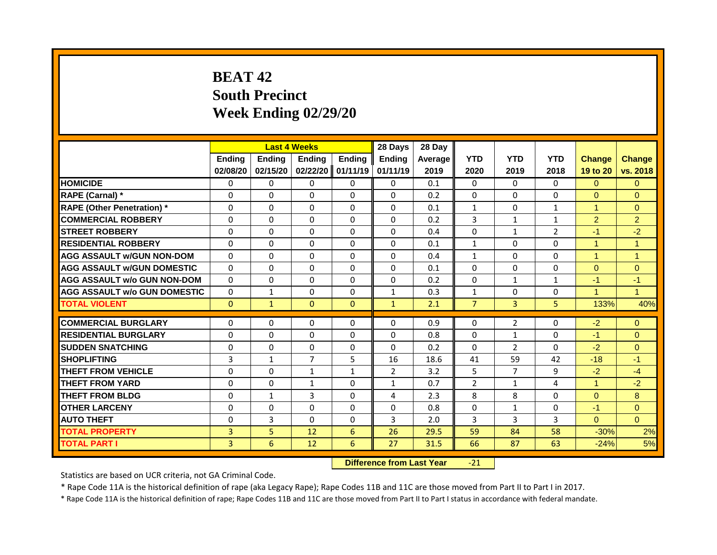# **BEAT 42 South Precinct Week Ending 02/29/20**

|                                     |               |               | <b>Last 4 Weeks</b> |               | 28 Days       | 28 Day  |                |                |                |                      |                      |
|-------------------------------------|---------------|---------------|---------------------|---------------|---------------|---------|----------------|----------------|----------------|----------------------|----------------------|
|                                     | <b>Ending</b> | <b>Ending</b> | <b>Endina</b>       | <b>Ending</b> | <b>Endina</b> | Average | <b>YTD</b>     | <b>YTD</b>     | <b>YTD</b>     | <b>Change</b>        | <b>Change</b>        |
|                                     | 02/08/20      | 02/15/20      | 02/22/20 01/11/19   |               | 01/11/19      | 2019    | 2020           | 2019           | 2018           | 19 to 20             | vs. 2018             |
| <b>HOMICIDE</b>                     | 0             | 0             | 0                   | $\Omega$      | 0             | 0.1     | $\mathbf{0}$   | $\Omega$       | $\Omega$       | $\Omega$             | $\Omega$             |
| <b>RAPE (Carnal)</b> *              | $\Omega$      | $\Omega$      | $\Omega$            | $\Omega$      | $\Omega$      | 0.2     | $\Omega$       | $\Omega$       | $\Omega$       | $\Omega$             | $\mathbf{0}$         |
| <b>RAPE (Other Penetration) *</b>   | $\Omega$      | $\Omega$      | $\Omega$            | $\Omega$      | $\Omega$      | 0.1     | $\mathbf{1}$   | $\Omega$       | $\mathbf{1}$   | $\blacktriangleleft$ | $\overline{0}$       |
| <b>COMMERCIAL ROBBERY</b>           | $\Omega$      | $\Omega$      | $\Omega$            | $\mathbf{0}$  | $\Omega$      | 0.2     | $\overline{3}$ | $\mathbf{1}$   | $\mathbf{1}$   | $\overline{2}$       | $\overline{2}$       |
| <b>STREET ROBBERY</b>               | $\Omega$      | $\Omega$      | $\Omega$            | $\Omega$      | $\Omega$      | 0.4     | $\Omega$       | $\mathbf{1}$   | $\overline{2}$ | $-1$                 | $-2$                 |
| <b>RESIDENTIAL ROBBERY</b>          | $\Omega$      | $\Omega$      | $\Omega$            | $\Omega$      | $\Omega$      | 0.1     | $\mathbf{1}$   | $\Omega$       | $\Omega$       | $\blacktriangleleft$ | $\mathbf{1}$         |
| <b>AGG ASSAULT w/GUN NON-DOM</b>    | 0             | $\Omega$      | $\Omega$            | $\Omega$      | $\Omega$      | 0.4     | $\mathbf{1}$   | $\Omega$       | $\Omega$       | $\blacktriangleleft$ | $\overline{1}$       |
| <b>AGG ASSAULT W/GUN DOMESTIC</b>   | $\Omega$      | $\Omega$      | $\Omega$            | $\Omega$      | $\Omega$      | 0.1     | $\Omega$       | $\Omega$       | $\Omega$       | $\Omega$             | $\Omega$             |
| <b>AGG ASSAULT w/o GUN NON-DOM</b>  | $\Omega$      | $\Omega$      | $\Omega$            | $\Omega$      | $\Omega$      | 0.2     | $\Omega$       | $\mathbf{1}$   | $\mathbf{1}$   | $-1$                 | $-1$                 |
| <b>AGG ASSAULT w/o GUN DOMESTIC</b> | $\Omega$      | $\mathbf{1}$  | $\Omega$            | $\Omega$      | $\mathbf{1}$  | 0.3     | $\mathbf{1}$   | $\Omega$       | $\Omega$       | $\blacktriangleleft$ | $\blacktriangleleft$ |
| <b>TOTAL VIOLENT</b>                | $\mathbf{0}$  | $\mathbf{1}$  | $\mathbf{0}$        | $\mathbf{0}$  | $\mathbf{1}$  | 2.1     | $\overline{7}$ | $\overline{3}$ | 5              | 133%                 | 40%                  |
| <b>COMMERCIAL BURGLARY</b>          | 0             | $\Omega$      | $\Omega$            | $\Omega$      | $\Omega$      | 0.9     | 0              | 2              | $\Omega$       | $-2$                 | $\Omega$             |
| <b>RESIDENTIAL BURGLARY</b>         | 0             | $\Omega$      | $\Omega$            | $\Omega$      | $\Omega$      | 0.8     | $\Omega$       | $\mathbf{1}$   | $\Omega$       | $-1$                 | $\Omega$             |
| <b>SUDDEN SNATCHING</b>             | $\Omega$      | $\Omega$      | $\Omega$            | $\Omega$      | $\Omega$      | 0.2     | $\Omega$       | $\overline{2}$ | $\Omega$       | $-2$                 | $\Omega$             |
| <b>SHOPLIFTING</b>                  | 3             | $\mathbf{1}$  | $\overline{7}$      | 5             | 16            | 18.6    | 41             | 59             | 42             | $-18$                | $-1$                 |
| <b>THEFT FROM VEHICLE</b>           | $\Omega$      | $\Omega$      | $\mathbf{1}$        | $\mathbf{1}$  | 2             | 3.2     | 5              | $\overline{7}$ | 9              | $-2$                 | $-4$                 |
| <b>THEFT FROM YARD</b>              | 0             | 0             | $\mathbf{1}$        | $\Omega$      | $\mathbf{1}$  | 0.7     | $\overline{2}$ | $\mathbf{1}$   | 4              | $\blacktriangleleft$ | $-2$                 |
| <b>THEFT FROM BLDG</b>              | $\Omega$      | $\mathbf{1}$  | 3                   | $\Omega$      | 4             | 2.3     | $\mathbf{8}$   | 8              | $\Omega$       | $\Omega$             | 8                    |
| <b>OTHER LARCENY</b>                | 0             | $\Omega$      | $\Omega$            | $\Omega$      | $\Omega$      | 0.8     | $\Omega$       | $\mathbf{1}$   | $\Omega$       | $-1$                 | $\Omega$             |
| <b>AUTO THEFT</b>                   | 0             | 3             | $\Omega$            | $\Omega$      | 3             | 2.0     | 3              | 3              | 3              | $\Omega$             | $\mathbf{0}$         |
| <b>TOTAL PROPERTY</b>               | 3             | 5             | 12                  | 6             | 26            | 29.5    | 59             | 84             | 58             | $-30%$               | 2%                   |
| <b>TOTAL PART I</b>                 | 3             | 6             | 12                  | 6             | 27            | 31.5    | 66             | 87             | 63             | $-24%$               | 5%                   |
|                                     |               |               |                     |               |               |         |                |                |                |                      |                      |

**Difference from Last Year** -21

Statistics are based on UCR criteria, not GA Criminal Code.

\* Rape Code 11A is the historical definition of rape (aka Legacy Rape); Rape Codes 11B and 11C are those moved from Part II to Part I in 2017.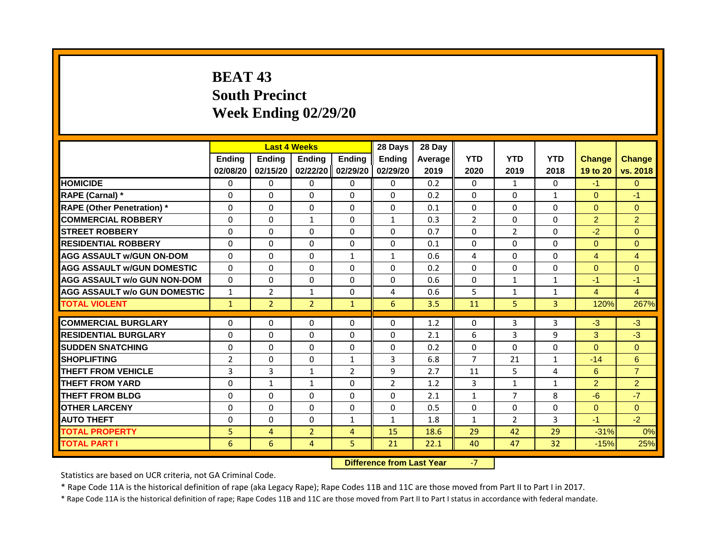# **BEAT 43 South Precinct Week Ending 02/29/20**

|                                     |                | <b>Last 4 Weeks</b> |                |                | 28 Days        | 28 Day  |                |                |              |                |                |
|-------------------------------------|----------------|---------------------|----------------|----------------|----------------|---------|----------------|----------------|--------------|----------------|----------------|
|                                     | <b>Ending</b>  | <b>Endina</b>       | <b>Endina</b>  | <b>Ending</b>  | <b>Endina</b>  | Average | <b>YTD</b>     | <b>YTD</b>     | <b>YTD</b>   | <b>Change</b>  | <b>Change</b>  |
|                                     | 02/08/20       | 02/15/20            | 02/22/20       | 02/29/20       | 02/29/20       | 2019    | 2020           | 2019           | 2018         | 19 to 20       | vs. 2018       |
| <b>HOMICIDE</b>                     | 0              | 0                   | 0              | 0              | 0              | 0.2     | $\Omega$       | $\mathbf{1}$   | 0            | $-1$           | $\overline{0}$ |
| RAPE (Carnal) *                     | 0              | $\Omega$            | $\Omega$       | $\Omega$       | $\Omega$       | 0.2     | $\Omega$       | $\Omega$       | $\mathbf{1}$ | $\Omega$       | $-1$           |
| <b>RAPE (Other Penetration) *</b>   | $\Omega$       | $\Omega$            | $\Omega$       | $\Omega$       | $\Omega$       | 0.1     | $\Omega$       | $\Omega$       | $\Omega$     | $\Omega$       | $\Omega$       |
| <b>COMMERCIAL ROBBERY</b>           | $\Omega$       | $\Omega$            | $\mathbf{1}$   | $\Omega$       | $\mathbf{1}$   | 0.3     | $\overline{2}$ | $\Omega$       | $\Omega$     | $\overline{2}$ | $\overline{2}$ |
| <b>STREET ROBBERY</b>               | $\Omega$       | $\Omega$            | $\Omega$       | $\Omega$       | $\Omega$       | 0.7     | $\Omega$       | $\overline{2}$ | $\Omega$     | $-2$           | $\Omega$       |
| <b>RESIDENTIAL ROBBERY</b>          | $\Omega$       | $\Omega$            | $\Omega$       | 0              | $\Omega$       | 0.1     | $\Omega$       | $\Omega$       | $\Omega$     | $\Omega$       | $\overline{0}$ |
| <b>AGG ASSAULT W/GUN ON-DOM</b>     | $\Omega$       | $\Omega$            | $\Omega$       | $\mathbf{1}$   | $\mathbf{1}$   | 0.6     | 4              | $\Omega$       | $\Omega$     | $\overline{4}$ | $\overline{4}$ |
| <b>AGG ASSAULT W/GUN DOMESTIC</b>   | $\Omega$       | $\Omega$            | $\Omega$       | $\Omega$       | $\Omega$       | 0.2     | $\Omega$       | $\Omega$       | $\Omega$     | $\Omega$       | $\Omega$       |
| <b>AGG ASSAULT w/o GUN NON-DOM</b>  | $\Omega$       | $\Omega$            | $\Omega$       | $\Omega$       | $\Omega$       | 0.6     | $\Omega$       | 1              | 1            | $-1$           | $-1$           |
| <b>AGG ASSAULT w/o GUN DOMESTIC</b> | $\mathbf{1}$   | $\overline{2}$      | $\mathbf{1}$   | $\Omega$       | 4              | 0.6     | 5              | $\mathbf{1}$   | $\mathbf{1}$ | $\overline{4}$ | $\overline{4}$ |
| <b>TOTAL VIOLENT</b>                | $\mathbf{1}$   | $\overline{2}$      | $\overline{2}$ | $\mathbf{1}$   | 6              | 3.5     | 11             | 5              | 3            | 120%           | 267%           |
| <b>COMMERCIAL BURGLARY</b>          | $\Omega$       | $\Omega$            | $\Omega$       | $\Omega$       | $\Omega$       | 1.2     | $\Omega$       | 3              | 3            | $-3$           | $-3$           |
| <b>RESIDENTIAL BURGLARY</b>         | $\Omega$       | $\Omega$            | $\Omega$       | $\Omega$       | $\Omega$       | 2.1     | 6              | 3              | 9            | 3              | $-3$           |
| <b>SUDDEN SNATCHING</b>             | $\Omega$       | 0                   | $\Omega$       | 0              | 0              | 0.2     | $\Omega$       | $\Omega$       | $\Omega$     | $\Omega$       | $\Omega$       |
| <b>SHOPLIFTING</b>                  | $\overline{2}$ | $\Omega$            | $\Omega$       | $\mathbf{1}$   | 3              | 6.8     | $\overline{7}$ | 21             | $\mathbf{1}$ | $-14$          | 6              |
| THEFT FROM VEHICLE                  | 3              | 3                   | $\mathbf{1}$   | $\overline{2}$ | 9              | 2.7     | 11             | 5              | 4            | 6              | $\overline{7}$ |
| <b>THEFT FROM YARD</b>              | $\Omega$       | $\mathbf{1}$        | $\mathbf{1}$   | $\Omega$       | $\overline{2}$ | 1.2     | 3              | $\mathbf{1}$   | 1            | $\overline{2}$ | $\overline{2}$ |
| <b>THEFT FROM BLDG</b>              | $\Omega$       | $\Omega$            | $\Omega$       | $\Omega$       | $\Omega$       | 2.1     | $\mathbf{1}$   | $\overline{7}$ | 8            | $-6$           | $-7$           |
| <b>OTHER LARCENY</b>                | $\Omega$       | 0                   | $\Omega$       | 0              | 0              | 0.5     | $\Omega$       | 0              | $\Omega$     | $\Omega$       | $\Omega$       |
| <b>AUTO THEFT</b>                   | $\mathbf{0}$   | $\Omega$            | $\Omega$       | $\mathbf{1}$   | 1              | 1.8     | $\mathbf{1}$   | $\overline{2}$ | 3            | $-1$           | $-2$           |
| <b>TOTAL PROPERTY</b>               | 5              | $\overline{4}$      | $\overline{2}$ | $\overline{4}$ | 15             | 18.6    | 29             | 42             | 29           | $-31%$         | 0%             |
| <b>TOTAL PART I</b>                 | 6              | 6                   | $\overline{4}$ | 5              | 21             | 22.1    | 40             | 47             | 32           | $-15%$         | 25%            |
|                                     |                |                     |                |                |                |         |                |                |              |                |                |

**Difference from Last Year 47 -7 -12** 

Statistics are based on UCR criteria, not GA Criminal Code.

\* Rape Code 11A is the historical definition of rape (aka Legacy Rape); Rape Codes 11B and 11C are those moved from Part II to Part I in 2017.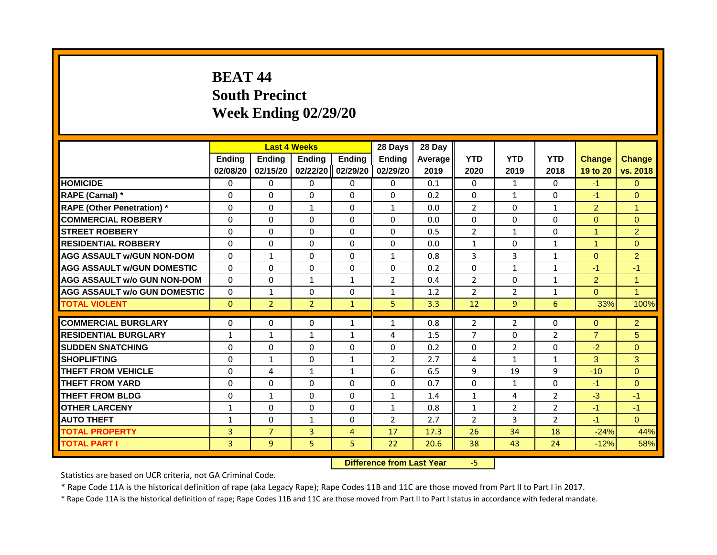# **BEAT 44 South Precinct Week Ending 02/29/20**

|                                     |              | <b>Last 4 Weeks</b> |                |                | 28 Days        | 28 Day  |                |                |                |                |                      |
|-------------------------------------|--------------|---------------------|----------------|----------------|----------------|---------|----------------|----------------|----------------|----------------|----------------------|
|                                     | Ending       | <b>Ending</b>       | Ending         | Ending         | <b>Ending</b>  | Average | <b>YTD</b>     | <b>YTD</b>     | <b>YTD</b>     | <b>Change</b>  | <b>Change</b>        |
|                                     | 02/08/20     | 02/15/20            | 02/22/20       | 02/29/20       | 02/29/20       | 2019    | 2020           | 2019           | 2018           | 19 to 20       | vs. 2018             |
| <b>HOMICIDE</b>                     | 0            | 0                   | 0              | 0              | 0              | 0.1     | $\Omega$       | $\mathbf{1}$   | 0              | $-1$           | $\overline{0}$       |
| RAPE (Carnal) *                     | 0            | $\Omega$            | $\Omega$       | $\Omega$       | $\Omega$       | 0.2     | $\Omega$       | $\mathbf{1}$   | $\Omega$       | $-1$           | $\Omega$             |
| <b>RAPE (Other Penetration) *</b>   | $\Omega$     | $\Omega$            | $\mathbf{1}$   | $\Omega$       | $\mathbf{1}$   | 0.0     | $\overline{2}$ | $\Omega$       | $\mathbf{1}$   | $\overline{2}$ | $\overline{1}$       |
| <b>COMMERCIAL ROBBERY</b>           | $\Omega$     | $\Omega$            | $\Omega$       | $\Omega$       | $\Omega$       | 0.0     | $\Omega$       | $\Omega$       | $\Omega$       | $\overline{0}$ | $\overline{0}$       |
| <b>STREET ROBBERY</b>               | $\Omega$     | $\Omega$            | $\Omega$       | $\Omega$       | $\Omega$       | 0.5     | $\overline{2}$ | $\mathbf{1}$   | $\Omega$       | $\mathbf{1}$   | $\overline{2}$       |
| <b>RESIDENTIAL ROBBERY</b>          | 0            | 0                   | 0              | 0              | 0              | 0.0     | 1              | 0              | 1              | $\mathbf{1}$   | $\overline{0}$       |
| <b>AGG ASSAULT w/GUN NON-DOM</b>    | $\Omega$     | $\mathbf{1}$        | $\Omega$       | $\Omega$       | $\mathbf{1}$   | 0.8     | 3              | 3              | $\mathbf{1}$   | $\Omega$       | $\overline{2}$       |
| <b>AGG ASSAULT W/GUN DOMESTIC</b>   | $\Omega$     | $\Omega$            | $\Omega$       | $\Omega$       | $\Omega$       | 0.2     | $\Omega$       | $\mathbf{1}$   | $\mathbf{1}$   | $-1$           | $-1$                 |
| <b>AGG ASSAULT w/o GUN NON-DOM</b>  | $\Omega$     | $\Omega$            | $\mathbf{1}$   | $\mathbf{1}$   | $\overline{2}$ | 0.4     | $\overline{2}$ | $\Omega$       | $\mathbf{1}$   | 2              | $\overline{1}$       |
| <b>AGG ASSAULT w/o GUN DOMESTIC</b> | $\Omega$     | $\mathbf{1}$        | $\Omega$       | $\Omega$       | $\mathbf{1}$   | 1.2     | $\overline{2}$ | $\overline{2}$ | $\mathbf{1}$   | $\Omega$       | $\blacktriangleleft$ |
| <b>TOTAL VIOLENT</b>                | $\Omega$     | $\overline{2}$      | $\overline{2}$ | $\mathbf{1}$   | 5              | 3.3     | 12             | 9              | 6              | 33%            | 100%                 |
|                                     |              |                     |                |                |                |         |                |                |                |                |                      |
| <b>COMMERCIAL BURGLARY</b>          | $\Omega$     | $\Omega$            | $\Omega$       | $\mathbf{1}$   | $\mathbf{1}$   | 0.8     | $\overline{2}$ | $\overline{2}$ | $\Omega$       | $\Omega$       | $\overline{2}$       |
| <b>RESIDENTIAL BURGLARY</b>         | $\mathbf{1}$ | $\mathbf{1}$        | $\mathbf{1}$   | $\mathbf{1}$   | 4              | 1.5     | $\overline{7}$ | $\Omega$       | $\overline{2}$ | $\overline{7}$ | 5 <sup>5</sup>       |
| <b>SUDDEN SNATCHING</b>             | 0            | 0                   | $\Omega$       | 0              | 0              | 0.2     | 0              | $\overline{2}$ | 0              | $-2$           | $\overline{0}$       |
| <b>SHOPLIFTING</b>                  | 0            | $\mathbf{1}$        | $\Omega$       | $\mathbf{1}$   | $\overline{2}$ | 2.7     | 4              | $\mathbf{1}$   | $\mathbf{1}$   | 3              | 3                    |
| <b>THEFT FROM VEHICLE</b>           | $\mathbf 0$  | 4                   | $\mathbf{1}$   | $\mathbf{1}$   | 6              | 6.5     | 9              | 19             | 9              | $-10$          | $\overline{0}$       |
| <b>THEFT FROM YARD</b>              | $\Omega$     | $\Omega$            | $\Omega$       | $\Omega$       | $\Omega$       | 0.7     | $\Omega$       | $\mathbf{1}$   | $\Omega$       | $-1$           | $\Omega$             |
| <b>THEFT FROM BLDG</b>              | $\Omega$     | $\mathbf{1}$        | $\Omega$       | $\Omega$       | $\mathbf{1}$   | 1.4     | $\mathbf{1}$   | 4              | $\overline{2}$ | $-3$           | $-1$                 |
| <b>OTHER LARCENY</b>                | 1            | $\Omega$            | $\Omega$       | $\Omega$       | 1              | 0.8     | 1              | $\overline{2}$ | $\overline{2}$ | $-1$           | $-1$                 |
| <b>AUTO THEFT</b>                   | $\mathbf{1}$ | 0                   | $\mathbf{1}$   | $\Omega$       | $\overline{2}$ | 2.7     | $\overline{2}$ | 3              | $\overline{2}$ | $-1$           | $\Omega$             |
| <b>TOTAL PROPERTY</b>               | 3            | $\overline{7}$      | 3              | $\overline{4}$ | 17             | 17.3    | 26             | 34             | 18             | $-24%$         | 44%                  |
| <b>TOTAL PART I</b>                 | 3            | 9                   | 5              | 5              | 22             | 20.6    | 38             | 43             | 24             | $-12%$         | 58%                  |
|                                     |              |                     |                | $-100$         |                |         |                |                |                |                |                      |

**Difference from Last Year** -5

Statistics are based on UCR criteria, not GA Criminal Code.

\* Rape Code 11A is the historical definition of rape (aka Legacy Rape); Rape Codes 11B and 11C are those moved from Part II to Part I in 2017.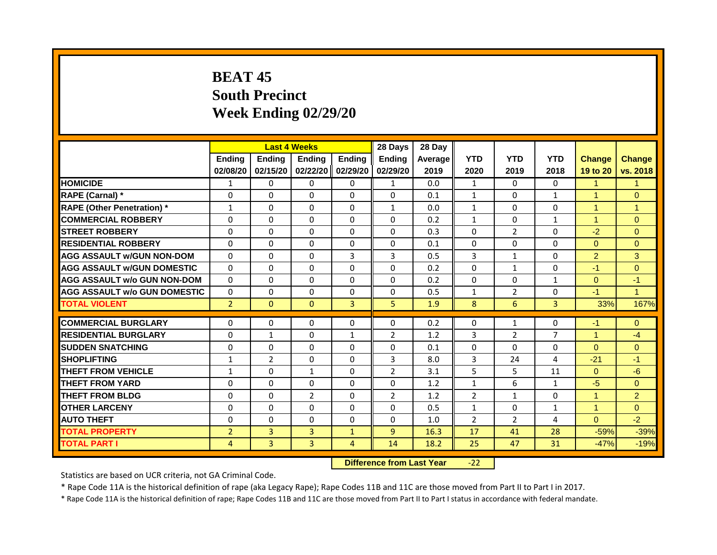# **BEAT 45 South Precinct Week Ending 02/29/20**

|                                     |                | <b>Last 4 Weeks</b> |                |              | 28 Days        | 28 Day  |                |                |                |                |                      |
|-------------------------------------|----------------|---------------------|----------------|--------------|----------------|---------|----------------|----------------|----------------|----------------|----------------------|
|                                     | Ending         | <b>Ending</b>       | Ending         | Ending       | <b>Ending</b>  | Average | <b>YTD</b>     | <b>YTD</b>     | <b>YTD</b>     | <b>Change</b>  | <b>Change</b>        |
|                                     | 02/08/20       | 02/15/20            | 02/22/20       | 02/29/20     | 02/29/20       | 2019    | 2020           | 2019           | 2018           | 19 to 20       | vs. 2018             |
| <b>HOMICIDE</b>                     | 1              | 0                   | 0              | 0            | $\mathbf{1}$   | 0.0     | $\mathbf{1}$   | $\mathbf{0}$   | 0              | $\mathbf{1}$   | $\mathbf{1}$         |
| RAPE (Carnal) *                     | 0              | $\Omega$            | $\Omega$       | $\Omega$     | $\Omega$       | 0.1     | $\mathbf{1}$   | 0              | $\mathbf{1}$   | $\mathbf{1}$   | $\Omega$             |
| <b>RAPE (Other Penetration) *</b>   | $\mathbf{1}$   | $\Omega$            | $\Omega$       | $\Omega$     | $\mathbf{1}$   | 0.0     | $\mathbf{1}$   | $\Omega$       | $\Omega$       | $\mathbf{1}$   | $\mathbf{1}$         |
| <b>COMMERCIAL ROBBERY</b>           | $\Omega$       | $\Omega$            | $\Omega$       | $\Omega$     | $\Omega$       | 0.2     | $\mathbf{1}$   | $\Omega$       | $\mathbf{1}$   | $\mathbf{1}$   | $\mathbf{0}$         |
| <b>STREET ROBBERY</b>               | $\Omega$       | $\Omega$            | $\Omega$       | $\Omega$     | $\Omega$       | 0.3     | $\Omega$       | $\overline{2}$ | $\Omega$       | $-2$           | $\Omega$             |
| <b>RESIDENTIAL ROBBERY</b>          | 0              | 0                   | 0              | 0            | 0              | 0.1     | $\Omega$       | 0              | 0              | $\Omega$       | $\overline{0}$       |
| <b>AGG ASSAULT w/GUN NON-DOM</b>    | $\mathbf{0}$   | $\Omega$            | $\Omega$       | 3            | 3              | 0.5     | 3              | $\mathbf{1}$   | $\Omega$       | $\overline{2}$ | 3                    |
| <b>AGG ASSAULT W/GUN DOMESTIC</b>   | $\Omega$       | $\Omega$            | $\Omega$       | $\Omega$     | $\Omega$       | 0.2     | $\Omega$       | $\mathbf{1}$   | $\Omega$       | $-1$           | $\Omega$             |
| <b>AGG ASSAULT w/o GUN NON-DOM</b>  | $\Omega$       | $\Omega$            | $\Omega$       | $\Omega$     | $\Omega$       | 0.2     | $\Omega$       | $\Omega$       | $\mathbf{1}$   | $\Omega$       | $-1$                 |
| <b>AGG ASSAULT w/o GUN DOMESTIC</b> | $\Omega$       | $\Omega$            | $\Omega$       | $\Omega$     | $\Omega$       | 0.5     | $\mathbf{1}$   | $\overline{2}$ | $\Omega$       | $-1$           | $\blacktriangleleft$ |
| <b>TOTAL VIOLENT</b>                | $\overline{2}$ | $\mathbf{0}$        | $\mathbf{0}$   | 3            | 5              | 1.9     | 8              | 6              | 3              | 33%            | 167%                 |
|                                     |                |                     |                |              |                |         |                |                |                |                |                      |
| <b>COMMERCIAL BURGLARY</b>          | $\Omega$       | $\Omega$            | $\Omega$       | $\Omega$     | $\Omega$       | 0.2     | $\Omega$       | $\mathbf{1}$   | $\Omega$       | $-1$           | $\Omega$             |
| <b>RESIDENTIAL BURGLARY</b>         | $\Omega$       | $\mathbf{1}$        | $\Omega$       | $\mathbf{1}$ | $\overline{2}$ | 1.2     | 3              | $\overline{2}$ | $\overline{7}$ | $\mathbf{1}$   | $-4$                 |
| <b>SUDDEN SNATCHING</b>             | 0              | $\Omega$            | $\Omega$       | $\Omega$     | 0              | 0.1     | $\Omega$       | $\Omega$       | 0              | $\Omega$       | $\overline{0}$       |
| <b>SHOPLIFTING</b>                  | $\mathbf{1}$   | $\overline{2}$      | $\Omega$       | $\Omega$     | 3              | 8.0     | 3              | 24             | 4              | $-21$          | $-1$                 |
| <b>THEFT FROM VEHICLE</b>           | $\mathbf{1}$   | $\Omega$            | $\mathbf{1}$   | $\Omega$     | $\overline{2}$ | 3.1     | 5              | 5              | 11             | $\Omega$       | $-6$                 |
| <b>THEFT FROM YARD</b>              | $\Omega$       | $\Omega$            | $\Omega$       | $\Omega$     | $\Omega$       | 1.2     | $\mathbf{1}$   | 6              | $\mathbf{1}$   | $-5$           | $\Omega$             |
| <b>THEFT FROM BLDG</b>              | $\Omega$       | $\Omega$            | $\mathfrak{p}$ | $\Omega$     | $\overline{2}$ | 1.2     | $\mathfrak{p}$ | $\mathbf{1}$   | $\Omega$       | $\mathbf{1}$   | $\overline{2}$       |
| <b>OTHER LARCENY</b>                | $\Omega$       | 0                   | $\Omega$       | $\Omega$     | $\Omega$       | 0.5     | 1              | $\Omega$       | 1              | $\mathbf{1}$   | $\Omega$             |
| <b>AUTO THEFT</b>                   | 0              | $\Omega$            | $\Omega$       | $\Omega$     | 0              | 1.0     | $\overline{2}$ | $\overline{2}$ | 4              | $\Omega$       | $-2$                 |
| <b>TOTAL PROPERTY</b>               | $\overline{2}$ | 3                   | 3              | $\mathbf{1}$ | 9              | 16.3    | 17             | 41             | 28             | $-59%$         | $-39%$               |
| <b>TOTAL PART I</b>                 | 4              | 3                   | 3              | 4            | 14             | 18.2    | 25             | 47             | 31             | $-47%$         | $-19%$               |
|                                     |                |                     |                |              |                |         |                |                |                |                |                      |

**Difference from Last Year** -22 |

Statistics are based on UCR criteria, not GA Criminal Code.

\* Rape Code 11A is the historical definition of rape (aka Legacy Rape); Rape Codes 11B and 11C are those moved from Part II to Part I in 2017.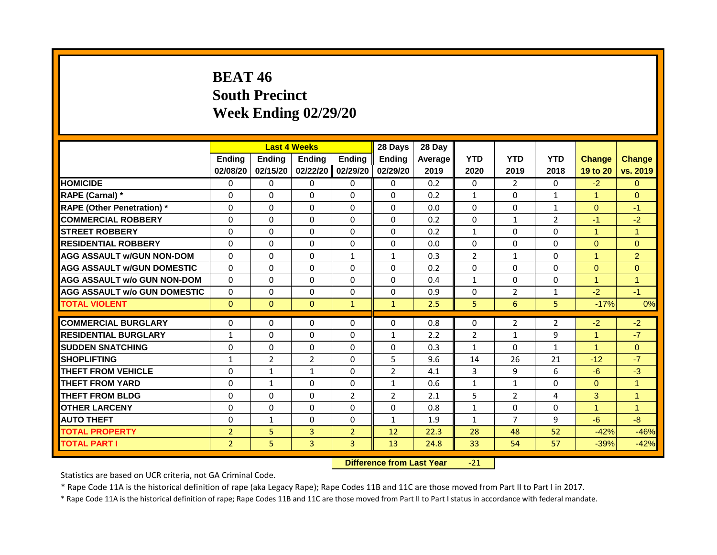## **BEAT 46 South Precinct Week Ending 02/29/20**

|                                     |                |                | <b>Last 4 Weeks</b> |                | 28 Days        | 28 Day  |                |                |                |                      |                      |
|-------------------------------------|----------------|----------------|---------------------|----------------|----------------|---------|----------------|----------------|----------------|----------------------|----------------------|
|                                     | <b>Ending</b>  | <b>Ending</b>  | <b>Endina</b>       | <b>Ending</b>  | <b>Endina</b>  | Average | <b>YTD</b>     | <b>YTD</b>     | <b>YTD</b>     | <b>Change</b>        | <b>Change</b>        |
|                                     | 02/08/20       | 02/15/20       | 02/22/20            | 02/29/20       | 02/29/20       | 2019    | 2020           | 2019           | 2018           | 19 to 20             | vs. 2019             |
| <b>HOMICIDE</b>                     | 0              | 0              | $\Omega$            | $\Omega$       | $\Omega$       | 0.2     | 0              | $\overline{2}$ | 0              | $-2$                 | $\Omega$             |
| RAPE (Carnal) *                     | $\Omega$       | $\Omega$       | $\Omega$            | $\Omega$       | $\Omega$       | 0.2     | $\mathbf{1}$   | $\Omega$       | $\mathbf{1}$   | $\mathbf{1}$         | $\Omega$             |
| <b>RAPE (Other Penetration) *</b>   | $\Omega$       | $\Omega$       | $\Omega$            | $\Omega$       | $\Omega$       | 0.0     | $\mathbf{0}$   | $\Omega$       | $\mathbf{1}$   | $\Omega$             | $-1$                 |
| <b>COMMERCIAL ROBBERY</b>           | $\Omega$       | $\Omega$       | $\Omega$            | $\Omega$       | $\Omega$       | 0.2     | $\Omega$       | $\mathbf{1}$   | $\overline{2}$ | $-1$                 | $-2$                 |
| <b>STREET ROBBERY</b>               | $\Omega$       | $\Omega$       | $\Omega$            | $\Omega$       | $\Omega$       | 0.2     | $\mathbf{1}$   | $\Omega$       | $\Omega$       | $\blacktriangleleft$ | $\mathbf{1}$         |
| <b>RESIDENTIAL ROBBERY</b>          | $\Omega$       | $\Omega$       | $\Omega$            | $\Omega$       | $\Omega$       | 0.0     | $\Omega$       | $\Omega$       | 0              | $\Omega$             | $\overline{0}$       |
| <b>AGG ASSAULT W/GUN NON-DOM</b>    | $\Omega$       | $\Omega$       | $\Omega$            | $\mathbf{1}$   | $\mathbf{1}$   | 0.3     | $\overline{2}$ | $\mathbf{1}$   | 0              | $\mathbf{1}$         | $\overline{2}$       |
| <b>AGG ASSAULT W/GUN DOMESTIC</b>   | $\Omega$       | $\Omega$       | $\Omega$            | $\Omega$       | $\Omega$       | 0.2     | $\Omega$       | $\Omega$       | $\Omega$       | $\Omega$             | $\Omega$             |
| <b>AGG ASSAULT w/o GUN NON-DOM</b>  | $\Omega$       | $\Omega$       | $\Omega$            | $\Omega$       | $\Omega$       | 0.4     | $\mathbf{1}$   | $\Omega$       | $\Omega$       | $\mathbf{1}$         | $\blacktriangleleft$ |
| <b>AGG ASSAULT w/o GUN DOMESTIC</b> | $\Omega$       | $\Omega$       | $\Omega$            | $\Omega$       | $\Omega$       | 0.9     | $\Omega$       | $\overline{2}$ | $\mathbf{1}$   | $-2$                 | $-1$                 |
| <b>TOTAL VIOLENT</b>                | $\mathbf{0}$   | $\mathbf{0}$   | $\Omega$            | $\mathbf{1}$   | $\mathbf{1}$   | 2.5     | 5.             | 6              | 5.             | $-17%$               | 0%                   |
| <b>COMMERCIAL BURGLARY</b>          | 0              | $\Omega$       | $\Omega$            | $\Omega$       | $\Omega$       | 0.8     | $\Omega$       | 2              | $\overline{2}$ | $-2$                 | $-2$                 |
| <b>RESIDENTIAL BURGLARY</b>         | $\mathbf{1}$   | $\Omega$       | $\Omega$            | $\Omega$       | $\mathbf{1}$   | 2.2     | $\overline{2}$ | $\mathbf{1}$   | 9              | $\blacktriangleleft$ | $-7$                 |
| <b>SUDDEN SNATCHING</b>             | $\Omega$       | $\Omega$       | $\Omega$            | $\Omega$       | $\Omega$       | 0.3     | $\mathbf{1}$   | $\Omega$       | $\mathbf{1}$   | $\mathbf{1}$         | $\Omega$             |
| <b>SHOPLIFTING</b>                  | $\mathbf{1}$   | $\overline{2}$ | $\overline{2}$      | $\Omega$       | 5              | 9.6     | 14             | 26             | 21             | $-12$                | $-7$                 |
| <b>THEFT FROM VEHICLE</b>           | $\Omega$       | $\mathbf{1}$   | $\mathbf{1}$        | $\Omega$       | $\overline{2}$ | 4.1     | 3              | 9              | 6              | $-6$                 | $-3$                 |
| <b>THEFT FROM YARD</b>              | 0              | $\mathbf{1}$   | $\Omega$            | $\Omega$       | $\mathbf{1}$   | 0.6     | $\mathbf{1}$   | $\mathbf{1}$   | 0              | $\Omega$             | $\blacktriangleleft$ |
| <b>THEFT FROM BLDG</b>              | $\Omega$       | $\Omega$       | $\Omega$            | $\overline{2}$ | $\overline{2}$ | 2.1     | 5              | $\overline{2}$ | 4              | 3                    | $\mathbf{1}$         |
| <b>OTHER LARCENY</b>                | $\Omega$       | $\Omega$       | $\Omega$            | $\Omega$       | $\Omega$       | 0.8     | $\mathbf{1}$   | $\Omega$       | $\Omega$       | $\mathbf{1}$         | $\mathbf{1}$         |
| <b>AUTO THEFT</b>                   | 0              | $\mathbf{1}$   | $\Omega$            | $\Omega$       | $\mathbf{1}$   | 1.9     | $\mathbf{1}$   | $\overline{7}$ | 9              | $-6$                 | $-8$                 |
| <b>TOTAL PROPERTY</b>               | $\overline{2}$ | 5              | 3                   | $\overline{2}$ | 12             | 22.3    | 28             | 48             | 52             | $-42%$               | $-46%$               |
| <b>TOTAL PART I</b>                 | $\overline{2}$ | 5 <sup>1</sup> | $\overline{3}$      | $\overline{3}$ | 13             | 24.8    | 33             | 54             | 57             | $-39%$               | $-42%$               |
|                                     |                |                |                     |                |                |         |                |                |                |                      |                      |

**Difference from Last Year** -21

Statistics are based on UCR criteria, not GA Criminal Code.

\* Rape Code 11A is the historical definition of rape (aka Legacy Rape); Rape Codes 11B and 11C are those moved from Part II to Part I in 2017.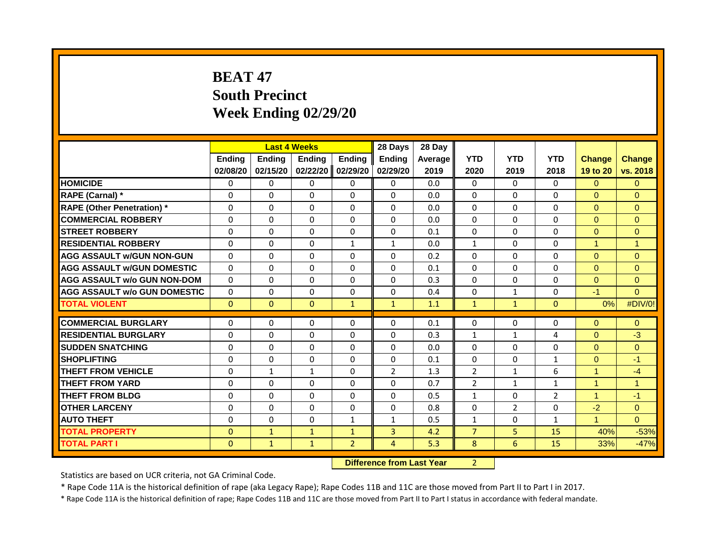# **BEAT 47 South Precinct Week Ending 02/29/20**

|                                     |               |               | <b>Last 4 Weeks</b> |                | 28 Days        | 28 Day  |                |                |                |                      |               |
|-------------------------------------|---------------|---------------|---------------------|----------------|----------------|---------|----------------|----------------|----------------|----------------------|---------------|
|                                     | <b>Ending</b> | <b>Ending</b> | <b>Ending</b>       | <b>Ending</b>  | <b>Ending</b>  | Average | <b>YTD</b>     | <b>YTD</b>     | <b>YTD</b>     | <b>Change</b>        | <b>Change</b> |
|                                     | 02/08/20      | 02/15/20      | 02/22/20            | 02/29/20       | 02/29/20       | 2019    | 2020           | 2019           | 2018           | 19 to 20             | vs. 2018      |
| <b>HOMICIDE</b>                     | $\Omega$      | $\mathbf{0}$  | $\Omega$            | $\mathbf{0}$   | $\Omega$       | 0.0     | $\Omega$       | $\Omega$       | $\Omega$       | $\Omega$             | $\Omega$      |
| RAPE (Carnal) *                     | 0             | $\Omega$      | $\Omega$            | $\Omega$       | $\mathbf{0}$   | 0.0     | $\Omega$       | $\Omega$       | 0              | $\Omega$             | $\Omega$      |
| <b>RAPE (Other Penetration) *</b>   | $\Omega$      | $\Omega$      | $\Omega$            | $\Omega$       | $\Omega$       | 0.0     | $\Omega$       | $\Omega$       | $\Omega$       | $\Omega$             | $\Omega$      |
| <b>COMMERCIAL ROBBERY</b>           | $\Omega$      | $\Omega$      | $\Omega$            | $\Omega$       | $\Omega$       | 0.0     | $\Omega$       | $\Omega$       | 0              | $\Omega$             | $\Omega$      |
| <b>STREET ROBBERY</b>               | $\Omega$      | $\Omega$      | $\Omega$            | $\Omega$       | $\Omega$       | 0.1     | $\Omega$       | $\Omega$       | $\Omega$       | $\Omega$             | $\Omega$      |
| <b>RESIDENTIAL ROBBERY</b>          | $\Omega$      | $\Omega$      | $\Omega$            | $\mathbf{1}$   | $\mathbf{1}$   | 0.0     | $\mathbf{1}$   | $\Omega$       | $\Omega$       | $\mathbf{1}$         | $\mathbf{1}$  |
| <b>AGG ASSAULT W/GUN NON-GUN</b>    | $\Omega$      | $\Omega$      | $\Omega$            | $\Omega$       | $\mathbf{0}$   | 0.2     | $\Omega$       | $\Omega$       | 0              | $\Omega$             | $\Omega$      |
| <b>AGG ASSAULT W/GUN DOMESTIC</b>   | $\Omega$      | $\Omega$      | $\Omega$            | $\Omega$       | $\mathbf{0}$   | 0.1     | $\Omega$       | $\Omega$       | $\Omega$       | $\Omega$             | $\Omega$      |
| <b>AGG ASSAULT w/o GUN NON-DOM</b>  | $\Omega$      | $\Omega$      | $\Omega$            | $\Omega$       | $\mathbf{0}$   | 0.3     | $\Omega$       | $\Omega$       | $\Omega$       | $\Omega$             | $\Omega$      |
| <b>AGG ASSAULT w/o GUN DOMESTIC</b> | $\Omega$      | $\Omega$      | $\Omega$            | $\Omega$       | $\Omega$       | 0.4     | $\mathbf{0}$   | $\mathbf{1}$   | $\Omega$       | $-1$                 | $\Omega$      |
| <b>TOTAL VIOLENT</b>                | $\Omega$      | $\Omega$      | $\Omega$            | $\mathbf{1}$   | $\mathbf{1}$   | 1.1     | $\mathbf{1}$   | $\mathbf{1}$   | $\overline{0}$ | 0%                   | #DIV/0!       |
| <b>COMMERCIAL BURGLARY</b>          | $\Omega$      | $\Omega$      | $\Omega$            | $\Omega$       | $\Omega$       | 0.1     | $\mathbf{0}$   | $\Omega$       | 0              | $\Omega$             | $\Omega$      |
| <b>RESIDENTIAL BURGLARY</b>         | $\Omega$      | $\Omega$      | $\Omega$            | $\Omega$       | $\Omega$       | 0.3     | $\mathbf{1}$   | $\mathbf{1}$   | 4              | $\Omega$             | $-3$          |
| <b>SUDDEN SNATCHING</b>             | $\Omega$      | $\Omega$      | $\Omega$            | $\Omega$       | $\Omega$       | 0.0     | $\Omega$       | $\Omega$       | $\Omega$       | $\Omega$             | $\Omega$      |
| <b>SHOPLIFTING</b>                  | $\Omega$      | $\Omega$      | $\Omega$            | $\Omega$       | $\Omega$       | 0.1     | $\mathbf{0}$   | $\Omega$       | $\mathbf{1}$   | $\Omega$             | $-1$          |
| <b>THEFT FROM VEHICLE</b>           | $\Omega$      | $\mathbf{1}$  | $\mathbf{1}$        | $\Omega$       | $\overline{2}$ | 1.3     | $\overline{2}$ | $\mathbf{1}$   | 6              | 1                    | $-4$          |
| <b>THEFT FROM YARD</b>              | $\Omega$      | $\Omega$      | $\Omega$            | $\Omega$       | $\Omega$       | 0.7     | $\overline{2}$ | $\mathbf{1}$   | $\mathbf{1}$   | 1                    | $\mathbf{1}$  |
| <b>THEFT FROM BLDG</b>              | $\Omega$      | $\Omega$      | $\Omega$            | $\Omega$       | $\Omega$       | 0.5     | $\mathbf{1}$   | $\Omega$       | $\overline{2}$ | $\mathbf{1}$         | $-1$          |
| <b>OTHER LARCENY</b>                | $\Omega$      | $\Omega$      | $\Omega$            | $\Omega$       | $\Omega$       | 0.8     | $\Omega$       | $\overline{2}$ | $\Omega$       | $-2$                 | $\Omega$      |
| <b>AUTO THEFT</b>                   | $\Omega$      | $\Omega$      | $\Omega$            | $\mathbf{1}$   | $\mathbf{1}$   | 0.5     | $\mathbf{1}$   | $\Omega$       | $\mathbf{1}$   | $\blacktriangleleft$ | $\Omega$      |
| <b>TOTAL PROPERTY</b>               | $\Omega$      | $\mathbf{1}$  | $\mathbf{1}$        | $\mathbf{1}$   | 3              | 4.2     | $\overline{7}$ | 5.             | 15             | 40%                  | $-53%$        |
| <b>TOTAL PART I</b>                 | $\mathbf{0}$  | $\mathbf{1}$  | $\mathbf{1}$        | $\overline{2}$ | $\overline{4}$ | 5.3     | 8              | 6              | 15             | 33%                  | $-47%$        |
|                                     |               |               |                     |                |                |         |                |                |                |                      |               |

**Difference from Last Year** 2

Statistics are based on UCR criteria, not GA Criminal Code.

\* Rape Code 11A is the historical definition of rape (aka Legacy Rape); Rape Codes 11B and 11C are those moved from Part II to Part I in 2017.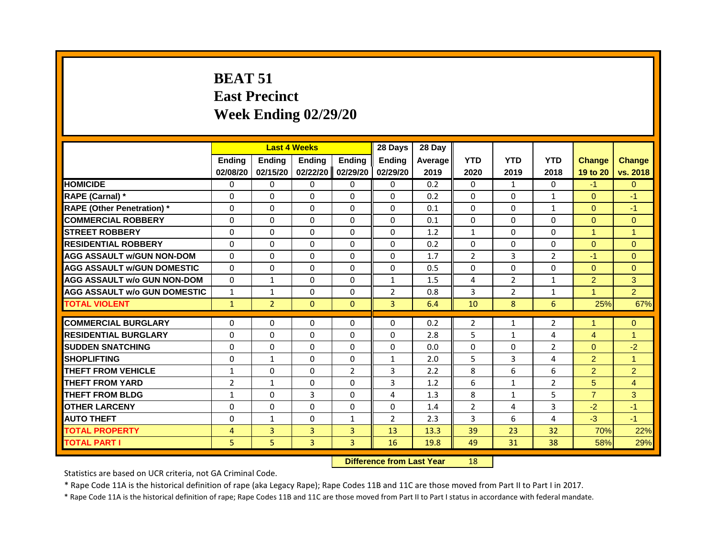# **BEAT 51 East Precinct Week Ending 02/29/20**

|                                     |                |                | <b>Last 4 Weeks</b> |                | 28 Days        | 28 Day  |                |                |                |                |                |
|-------------------------------------|----------------|----------------|---------------------|----------------|----------------|---------|----------------|----------------|----------------|----------------|----------------|
|                                     | <b>Ending</b>  | <b>Ending</b>  | <b>Ending</b>       | <b>Ending</b>  | <b>Ending</b>  | Average | <b>YTD</b>     | <b>YTD</b>     | <b>YTD</b>     | <b>Change</b>  | <b>Change</b>  |
|                                     | 02/08/20       | 02/15/20       | 02/22/20            | 02/29/20       | 02/29/20       | 2019    | 2020           | 2019           | 2018           | 19 to 20       | vs. 2018       |
| <b>HOMICIDE</b>                     | $\mathbf{0}$   | 0              | 0                   | 0              | 0              | 0.2     | $\mathbf{0}$   | $\mathbf{1}$   | $\mathbf{0}$   | $-1$           | $\mathbf{0}$   |
| RAPE (Carnal) *                     | $\Omega$       | $\Omega$       | $\Omega$            | $\Omega$       | $\Omega$       | 0.2     | $\Omega$       | $\Omega$       | $\mathbf{1}$   | $\Omega$       | $-1$           |
| <b>RAPE (Other Penetration)*</b>    | $\Omega$       | 0              | 0                   | $\mathbf{0}$   | $\Omega$       | 0.1     | $\Omega$       | 0              | $\mathbf{1}$   | $\Omega$       | $-1$           |
| <b>COMMERCIAL ROBBERY</b>           | 0              | $\Omega$       | 0                   | $\mathbf{0}$   | $\Omega$       | 0.1     | $\mathbf{0}$   | $\Omega$       | $\Omega$       | $\Omega$       | $\Omega$       |
| <b>STREET ROBBERY</b>               | $\Omega$       | $\Omega$       | 0                   | $\Omega$       | $\Omega$       | 1.2     | $\mathbf{1}$   | $\Omega$       | $\Omega$       | $\overline{1}$ | $\overline{1}$ |
| <b>RESIDENTIAL ROBBERY</b>          | $\Omega$       | $\Omega$       | $\Omega$            | $\mathbf{0}$   | 0              | 0.2     | $\mathbf 0$    | 0              | $\Omega$       | $\Omega$       | $\mathbf{0}$   |
| <b>AGG ASSAULT W/GUN NON-DOM</b>    | $\Omega$       | $\Omega$       | $\Omega$            | $\mathbf{0}$   | $\Omega$       | 1.7     | $\overline{2}$ | 3              | $\overline{2}$ | $-1$           | $\Omega$       |
| <b>AGG ASSAULT W/GUN DOMESTIC</b>   | $\Omega$       | 0              | $\Omega$            | $\mathbf{0}$   | $\Omega$       | 0.5     | $\Omega$       | $\Omega$       | $\Omega$       | $\Omega$       | $\Omega$       |
| <b>AGG ASSAULT w/o GUN NON-DOM</b>  | $\Omega$       | $\mathbf{1}$   | 0                   | $\mathbf{0}$   | $\mathbf{1}$   | 1.5     | 4              | $\overline{2}$ | $\mathbf{1}$   | $\overline{2}$ | 3              |
| <b>AGG ASSAULT W/o GUN DOMESTIC</b> | $\mathbf{1}$   | 1              | 0                   | $\mathbf{0}$   | $\overline{2}$ | 0.8     | 3              | $\overline{2}$ | $\mathbf{1}$   | $\overline{1}$ | $\overline{2}$ |
| <b>TOTAL VIOLENT</b>                | $\mathbf{1}$   | $\overline{2}$ | $\mathbf{0}$        | $\mathbf{0}$   | 3              | 6.4     | 10             | 8              | 6              | 25%            | 67%            |
|                                     |                |                |                     |                |                |         |                |                |                |                |                |
| <b>COMMERCIAL BURGLARY</b>          | $\mathbf{0}$   | 0              | 0                   | 0              | 0              | 0.2     | $\overline{2}$ | 1              | $\overline{2}$ |                | $\mathbf{0}$   |
| <b>RESIDENTIAL BURGLARY</b>         | $\Omega$       | $\Omega$       | 0                   | $\Omega$       | $\Omega$       | 2.8     | 5              | $\mathbf{1}$   | 4              | $\overline{4}$ | $\overline{1}$ |
| <b>SUDDEN SNATCHING</b>             | $\Omega$       | $\Omega$       | 0                   | $\Omega$       | $\Omega$       | 0.0     | 0              | $\Omega$       | $\overline{2}$ | $\Omega$       | $-2$           |
| <b>SHOPLIFTING</b>                  | $\Omega$       | $\mathbf{1}$   | $\Omega$            | $\Omega$       | $\mathbf{1}$   | 2.0     | 5              | $\overline{3}$ | 4              | $\overline{2}$ | $\overline{1}$ |
| <b>THEFT FROM VEHICLE</b>           | 1              | $\Omega$       | $\Omega$            | $\overline{2}$ | 3              | 2.2     | 8              | 6              | 6              | $\overline{2}$ | $\overline{2}$ |
| <b>THEFT FROM YARD</b>              | $\overline{2}$ | $\mathbf{1}$   | 0                   | $\Omega$       | 3              | 1.2     | 6              | $\mathbf{1}$   | 2              | 5              | $\overline{4}$ |
| <b>THEFT FROM BLDG</b>              | 1              | 0              | 3                   | $\Omega$       | 4              | 1.3     | 8              | $\mathbf{1}$   | 5              | $\overline{7}$ | 3              |
| <b>OTHER LARCENY</b>                | $\Omega$       | $\Omega$       | 0                   | $\Omega$       | $\Omega$       | 1.4     | $\overline{2}$ | 4              | 3              | $-2$           | $-1$           |
| <b>AUTO THEFT</b>                   | $\Omega$       | $\mathbf{1}$   | $\Omega$            | $\mathbf{1}$   | $\overline{2}$ | 2.3     | 3              | 6              | 4              | $-3$           | $-1$           |
| <b>TOTAL PROPERTY</b>               | 4              | 3              | 3                   | $\overline{3}$ | 13             | 13.3    | 39             | 23             | 32             | 70%            | 22%            |
| TOTAL PART I                        | 5              | 5              | 3                   | 3              | 16             | 19.8    | 49             | 31             | 38             | 58%            | 29%            |

**Difference from Last Year** 18

Statistics are based on UCR criteria, not GA Criminal Code.

\* Rape Code 11A is the historical definition of rape (aka Legacy Rape); Rape Codes 11B and 11C are those moved from Part II to Part I in 2017.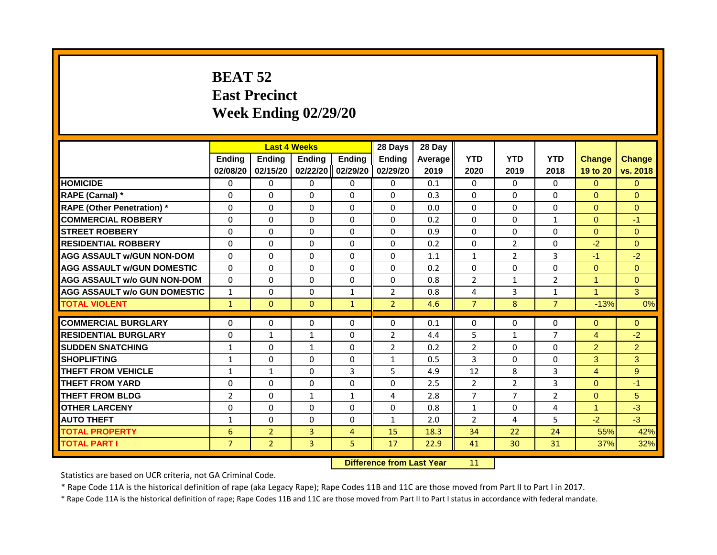# **BEAT 52 East Precinct Week Ending 02/29/20**

|                                     |                      |                | <b>Last 4 Weeks</b> |                      | 28 Days                    | 28 Day     |                |                |                            |                            |                        |
|-------------------------------------|----------------------|----------------|---------------------|----------------------|----------------------------|------------|----------------|----------------|----------------------------|----------------------------|------------------------|
|                                     | <b>Ending</b>        | <b>Ending</b>  | <b>Ending</b>       | <b>Ending</b>        | <b>Ending</b>              | Average    | <b>YTD</b>     | <b>YTD</b>     | <b>YTD</b>                 | <b>Change</b>              | <b>Change</b>          |
|                                     | 02/08/20             | 02/15/20       | 02/22/20            | 02/29/20             | 02/29/20                   | 2019       | 2020           | 2019           | 2018                       | 19 to 20                   | vs. 2018               |
| <b>HOMICIDE</b>                     | $\Omega$             | $\Omega$       | $\Omega$            | $\Omega$             | $\Omega$                   | 0.1        | $\Omega$       | $\Omega$       | $\Omega$                   | $\Omega$                   | $\Omega$               |
| RAPE (Carnal) *                     | 0                    | 0              | 0                   | $\mathbf{0}$         | 0                          | 0.3        | 0              | 0              | 0                          | $\Omega$                   | $\Omega$               |
| <b>RAPE (Other Penetration) *</b>   | $\Omega$             | $\Omega$       | $\Omega$            | $\Omega$             | $\Omega$                   | 0.0        | $\Omega$       | $\Omega$       | $\Omega$                   | $\Omega$                   | $\Omega$               |
| <b>COMMERCIAL ROBBERY</b>           | 0                    | $\Omega$       | $\Omega$            | $\Omega$             | $\Omega$                   | 0.2        | $\Omega$       | $\Omega$       | $\mathbf{1}$               | $\Omega$                   | $-1$                   |
| <b>STREET ROBBERY</b>               | $\Omega$             | $\Omega$       | $\Omega$            | $\Omega$             | $\Omega$                   | 0.9        | $\Omega$       | $\Omega$       | $\Omega$                   | $\Omega$                   | $\Omega$               |
| <b>RESIDENTIAL ROBBERY</b>          | $\Omega$             | $\Omega$       | $\Omega$            | $\Omega$             | $\Omega$                   | 0.2        | $\Omega$       | $\overline{2}$ | $\Omega$                   | $-2$                       | $\Omega$               |
| AGG ASSAULT w/GUN NON-DOM           | $\Omega$             | $\Omega$       | $\Omega$            | $\Omega$             | $\Omega$                   | 1.1        | $\mathbf{1}$   | $\overline{2}$ | 3                          | $-1$                       | $-2$                   |
| <b>AGG ASSAULT W/GUN DOMESTIC</b>   | $\Omega$             | $\Omega$       | $\Omega$            | $\Omega$             | $\Omega$                   | 0.2        | $\Omega$       | $\Omega$       | $\Omega$                   | $\Omega$                   | $\overline{0}$         |
| <b>AGG ASSAULT w/o GUN NON-DOM</b>  | $\Omega$             | $\Omega$       | $\Omega$            | $\Omega$             | $\Omega$                   | 0.8        | $\overline{2}$ | $\mathbf{1}$   | $\overline{2}$             | $\mathbf{1}$               | $\mathbf{0}$           |
| <b>AGG ASSAULT W/o GUN DOMESTIC</b> | $\mathbf{1}$         | $\Omega$       | $\Omega$            | $\mathbf{1}$         | $\overline{2}$             | 0.8        | 4              | 3              | $\mathbf{1}$               | $\blacktriangleleft$       | 3                      |
| <b>TOTAL VIOLENT</b>                | $\mathbf{1}$         | $\mathbf{0}$   | $\mathbf{0}$        | $\mathbf{1}$         | $\overline{2}$             | 4.6        | $\overline{7}$ | 8              | $\overline{7}$             | $-13%$                     | 0%                     |
| <b>COMMERCIAL BURGLARY</b>          |                      |                |                     |                      |                            |            |                |                |                            |                            |                        |
| <b>RESIDENTIAL BURGLARY</b>         | $\Omega$<br>$\Omega$ | $\Omega$       | $\Omega$            | $\Omega$<br>$\Omega$ | $\Omega$<br>$\overline{2}$ | 0.1<br>4.4 | $\Omega$<br>5  | $\Omega$       | $\Omega$<br>$\overline{7}$ | $\Omega$<br>$\overline{4}$ | $\overline{0}$<br>$-2$ |
|                                     |                      | $\mathbf{1}$   | $\mathbf{1}$        |                      |                            |            |                | $\mathbf{1}$   |                            |                            |                        |
| <b>SUDDEN SNATCHING</b>             | 1                    | 0              | $\mathbf{1}$        | $\mathbf{0}$         | $\overline{2}$             | 0.2        | $\overline{2}$ | 0              | 0                          | $\overline{2}$             | $\overline{2}$         |
| <b>SHOPLIFTING</b>                  | $\mathbf{1}$         | $\Omega$       | $\Omega$            | $\Omega$             | $\mathbf{1}$               | 0.5        | 3              | $\Omega$       | $\Omega$                   | 3                          | 3                      |
| <b>THEFT FROM VEHICLE</b>           | 1                    | $\mathbf{1}$   | $\Omega$            | 3                    | 5                          | 4.9        | 12             | 8              | 3                          | 4                          | 9                      |
| <b>THEFT FROM YARD</b>              | $\Omega$             | $\Omega$       | $\Omega$            | $\Omega$             | $\Omega$                   | 2.5        | $\overline{2}$ | $\overline{2}$ | 3                          | $\Omega$                   | $-1$                   |
| <b>THEFT FROM BLDG</b>              | $\overline{2}$       | $\Omega$       | $\mathbf{1}$        | $\mathbf{1}$         | 4                          | 2.8        | $\overline{7}$ | $\overline{7}$ | 2                          | $\Omega$                   | 5                      |
| <b>OTHER LARCENY</b>                | $\Omega$             | $\Omega$       | $\Omega$            | $\Omega$             | $\Omega$                   | 0.8        | $\mathbf{1}$   | 0              | 4                          | $\mathbf{1}$               | $-3$                   |
| <b>AUTO THEFT</b>                   | $\mathbf{1}$         | $\Omega$       | 0                   | $\Omega$             | $\mathbf{1}$               | 2.0        | $\overline{2}$ | 4              | 5                          | $-2$                       | $-3$                   |
| <b>TOTAL PROPERTY</b>               | 6                    | $\overline{2}$ | 3                   | $\overline{4}$       | 15                         | 18.3       | 34             | 22             | 24                         | 55%                        | 42%                    |
| <b>TOTAL PART I</b>                 | $\overline{7}$       | $\overline{2}$ | 3                   | 5.                   | 17                         | 22.9       | 41             | 30             | 31                         | 37%                        | 32%                    |
|                                     |                      |                |                     | $-100$               |                            |            |                |                |                            |                            |                        |

**Difference from Last Year** 11

Statistics are based on UCR criteria, not GA Criminal Code.

\* Rape Code 11A is the historical definition of rape (aka Legacy Rape); Rape Codes 11B and 11C are those moved from Part II to Part I in 2017.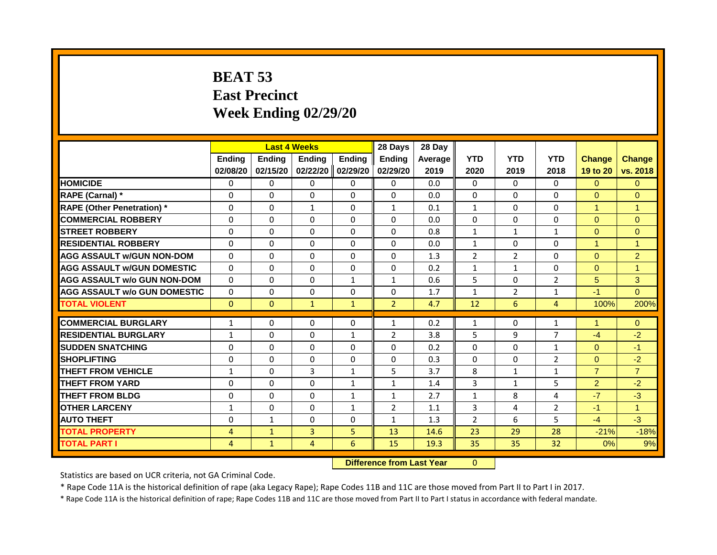# **BEAT 53 East Precinct Week Ending 02/29/20**

|                                     |                |               | <b>Last 4 Weeks</b> |                | 28 Days        | 28 Day  |                |                |                |                |                |
|-------------------------------------|----------------|---------------|---------------------|----------------|----------------|---------|----------------|----------------|----------------|----------------|----------------|
|                                     | <b>Ending</b>  | <b>Ending</b> | <b>Endina</b>       | <b>Ending</b>  | <b>Endina</b>  | Average | <b>YTD</b>     | <b>YTD</b>     | <b>YTD</b>     | <b>Change</b>  | <b>Change</b>  |
|                                     | 02/08/20       | 02/15/20      | 02/22/20            | 02/29/20       | 02/29/20       | 2019    | 2020           | 2019           | 2018           | 19 to 20       | vs. 2018       |
| <b>HOMICIDE</b>                     | 0              | $\Omega$      | $\Omega$            | $\Omega$       | $\Omega$       | 0.0     | $\Omega$       | $\Omega$       | 0              | $\Omega$       | $\overline{0}$ |
| RAPE (Carnal) *                     | $\Omega$       | $\Omega$      | $\Omega$            | $\Omega$       | $\mathbf{0}$   | 0.0     | $\Omega$       | $\mathbf{0}$   | 0              | $\overline{0}$ | $\Omega$       |
| <b>RAPE (Other Penetration)</b> *   | $\Omega$       | $\Omega$      | $\mathbf{1}$        | $\Omega$       | $\mathbf{1}$   | 0.1     | $\mathbf{1}$   | $\Omega$       | $\Omega$       | $\mathbf{1}$   | $\mathbf{1}$   |
| <b>COMMERCIAL ROBBERY</b>           | 0              | $\Omega$      | $\Omega$            | $\Omega$       | $\mathbf{0}$   | 0.0     | $\mathbf{0}$   | $\Omega$       | $\Omega$       | $\Omega$       | $\Omega$       |
| <b>STREET ROBBERY</b>               | $\Omega$       | $\Omega$      | $\Omega$            | $\Omega$       | $\Omega$       | 0.8     | $\mathbf{1}$   | $\mathbf{1}$   | $\mathbf{1}$   | $\Omega$       | $\overline{0}$ |
| <b>RESIDENTIAL ROBBERY</b>          | $\Omega$       | $\Omega$      | $\Omega$            | $\Omega$       | $\Omega$       | 0.0     | $\mathbf{1}$   | $\Omega$       | $\Omega$       | $\mathbf{1}$   | $\mathbf{1}$   |
| <b>AGG ASSAULT w/GUN NON-DOM</b>    | $\Omega$       | $\Omega$      | $\Omega$            | $\Omega$       | $\mathbf{0}$   | 1.3     | $\overline{2}$ | $\overline{2}$ | 0              | $\Omega$       | $\overline{2}$ |
| <b>AGG ASSAULT w/GUN DOMESTIC</b>   | $\Omega$       | $\Omega$      | $\Omega$            | $\Omega$       | $\mathbf{0}$   | 0.2     | $\mathbf{1}$   | $\mathbf{1}$   | 0              | $\Omega$       | $\mathbf{1}$   |
| <b>AGG ASSAULT w/o GUN NON-DOM</b>  | $\Omega$       | $\Omega$      | $\Omega$            | $\mathbf{1}$   | $\mathbf{1}$   | 0.6     | 5              | $\Omega$       | $\overline{2}$ | 5              | 3              |
| <b>AGG ASSAULT w/o GUN DOMESTIC</b> | $\Omega$       | $\Omega$      | $\Omega$            | $\Omega$       | $\Omega$       | 1.7     | $\mathbf{1}$   | $\overline{2}$ | $\mathbf{1}$   | $-1$           | $\Omega$       |
| <b>TOTAL VIOLENT</b>                | $\Omega$       | $\Omega$      | $\mathbf{1}$        | $\mathbf{1}$   | $\overline{2}$ | 4.7     | 12             | 6              | $\overline{4}$ | 100%           | 200%           |
| <b>COMMERCIAL BURGLARY</b>          | $\mathbf{1}$   | $\Omega$      | $\Omega$            | $\Omega$       | $\mathbf{1}$   | 0.2     | $\mathbf{1}$   | $\Omega$       | $\mathbf{1}$   | 1              | $\Omega$       |
| <b>RESIDENTIAL BURGLARY</b>         | $\mathbf{1}$   | $\Omega$      | $\Omega$            | $\mathbf{1}$   | $\overline{2}$ | 3.8     | 5              | 9              | $\overline{7}$ | $-4$           | $-2$           |
| <b>SUDDEN SNATCHING</b>             | $\Omega$       | $\Omega$      | $\Omega$            | $\Omega$       | $\Omega$       | 0.2     | $\mathbf{0}$   | $\Omega$       | $\mathbf{1}$   | $\Omega$       | $-1$           |
| <b>SHOPLIFTING</b>                  | $\Omega$       | $\Omega$      | $\Omega$            | $\Omega$       | $\mathbf{0}$   | 0.3     | $\Omega$       | $\Omega$       | $\overline{2}$ | $\Omega$       | $-2$           |
| <b>THEFT FROM VEHICLE</b>           | $\mathbf{1}$   | $\Omega$      | 3                   | $\mathbf{1}$   | 5              | 3.7     | 8              | $\mathbf{1}$   | $\mathbf{1}$   | $\overline{7}$ | $\overline{7}$ |
| <b>THEFT FROM YARD</b>              | 0              | $\Omega$      | $\Omega$            | $\mathbf{1}$   | $\mathbf{1}$   | 1.4     | 3              | $\mathbf{1}$   | 5              | $\overline{2}$ | $-2$           |
| <b>THEFT FROM BLDG</b>              | $\Omega$       | $\Omega$      | $\Omega$            | $\mathbf{1}$   | $\mathbf{1}$   | 2.7     | $\mathbf{1}$   | 8              | 4              | $-7$           | $-3$           |
| <b>OTHER LARCENY</b>                | $\mathbf{1}$   | $\Omega$      | $\Omega$            | $\mathbf{1}$   | $\overline{2}$ | 1.1     | 3              | 4              | $\overline{2}$ | $-1$           | $\mathbf{1}$   |
| <b>AUTO THEFT</b>                   | 0              | 1             | $\Omega$            | $\Omega$       | $\mathbf{1}$   | 1.3     | $\overline{2}$ | 6              | 5.             | $-4$           | $-3$           |
| <b>TOTAL PROPERTY</b>               | 4              | $\mathbf{1}$  | $\overline{3}$      | 5 <sup>1</sup> | 13             | 14.6    | 23             | 29             | 28             | $-21%$         | $-18%$         |
| <b>TOTAL PART I</b>                 | $\overline{4}$ | $\mathbf{1}$  | $\overline{4}$      | 6              | 15             | 19.3    | 35             | 35             | 32             | 0%             | 9%             |
|                                     |                |               |                     |                |                |         |                |                |                |                |                |

**Difference from Last Year** 0

Statistics are based on UCR criteria, not GA Criminal Code.

\* Rape Code 11A is the historical definition of rape (aka Legacy Rape); Rape Codes 11B and 11C are those moved from Part II to Part I in 2017.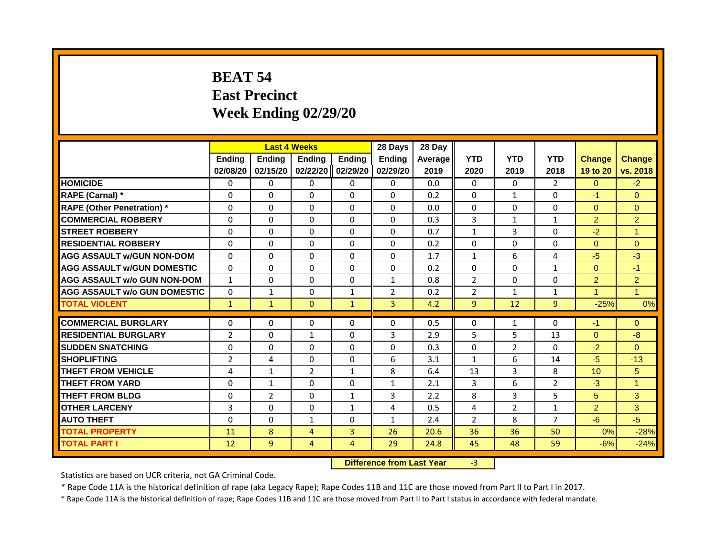# **BEAT 54 East Precinct Week Ending 02/29/20**

|                                     |                |                | <b>Last 4 Weeks</b> |                | 28 Days        | 28 Day  |                |                |                |                |                |
|-------------------------------------|----------------|----------------|---------------------|----------------|----------------|---------|----------------|----------------|----------------|----------------|----------------|
|                                     | Ending         | <b>Ending</b>  | <b>Ending</b>       | <b>Ending</b>  | <b>Ending</b>  | Average | <b>YTD</b>     | <b>YTD</b>     | <b>YTD</b>     | <b>Change</b>  | <b>Change</b>  |
|                                     | 02/08/20       | 02/15/20       | 02/22/20            | 02/29/20       | 02/29/20       | 2019    | 2020           | 2019           | 2018           | 19 to 20       | vs. 2018       |
| <b>HOMICIDE</b>                     | 0              | $\mathbf{0}$   | $\Omega$            | $\mathbf{0}$   | $\mathbf{0}$   | 0.0     | $\Omega$       | $\Omega$       | $\overline{2}$ | $\Omega$       | $-2$           |
| RAPE (Carnal) *                     | 0              | $\Omega$       | $\Omega$            | $\Omega$       | $\Omega$       | 0.2     | $\Omega$       | $\mathbf{1}$   | $\Omega$       | $-1$           | $\Omega$       |
| <b>RAPE (Other Penetration)</b> *   | $\Omega$       | $\Omega$       | $\Omega$            | $\Omega$       | $\Omega$       | 0.0     | $\Omega$       | $\Omega$       | $\Omega$       | $\Omega$       | $\Omega$       |
| <b>COMMERCIAL ROBBERY</b>           | $\Omega$       | $\Omega$       | $\Omega$            | $\Omega$       | $\Omega$       | 0.3     | 3              | $\mathbf{1}$   | $\mathbf{1}$   | $\overline{2}$ | $\overline{2}$ |
| <b>STREET ROBBERY</b>               | $\Omega$       | $\Omega$       | $\Omega$            | $\Omega$       | $\Omega$       | 0.7     | $\mathbf{1}$   | 3              | $\Omega$       | $-2$           | $\overline{1}$ |
| <b>RESIDENTIAL ROBBERY</b>          | $\Omega$       | $\Omega$       | 0                   | $\Omega$       | $\Omega$       | 0.2     | $\Omega$       | $\Omega$       | $\Omega$       | $\Omega$       | $\overline{0}$ |
| <b>AGG ASSAULT w/GUN NON-DOM</b>    | $\Omega$       | 0              | 0                   | $\Omega$       | $\Omega$       | 1.7     | $\mathbf{1}$   | 6              | 4              | $-5$           | $-3$           |
| <b>AGG ASSAULT w/GUN DOMESTIC</b>   | $\Omega$       | $\Omega$       | $\Omega$            | $\Omega$       | $\Omega$       | 0.2     | $\Omega$       | $\Omega$       | $\mathbf{1}$   | $\Omega$       | $-1$           |
| <b>AGG ASSAULT w/o GUN NON-DOM</b>  | $\mathbf{1}$   | $\Omega$       | $\Omega$            | $\Omega$       | $\mathbf{1}$   | 0.8     | $\overline{2}$ | $\Omega$       | $\Omega$       | $\overline{2}$ | $\overline{2}$ |
| <b>AGG ASSAULT W/o GUN DOMESTIC</b> | $\Omega$       | $\mathbf{1}$   | $\Omega$            | $\mathbf{1}$   | $\overline{2}$ | 0.2     | $\overline{2}$ | $\mathbf{1}$   | $\mathbf{1}$   | $\mathbf{1}$   | $\overline{1}$ |
| <b>TOTAL VIOLENT</b>                | $\mathbf{1}$   | $\mathbf{1}$   | $\Omega$            | $\mathbf{1}$   | 3              | 4.2     | $\overline{9}$ | 12             | $\overline{9}$ | $-25%$         | 0%             |
|                                     |                |                |                     |                |                |         |                |                |                |                |                |
| <b>COMMERCIAL BURGLARY</b>          | $\Omega$       | $\Omega$       | $\Omega$            | $\Omega$       | $\Omega$       | 0.5     | 0              | 1              | $\Omega$       | $-1$           | $\overline{0}$ |
| <b>RESIDENTIAL BURGLARY</b>         | $\overline{2}$ | $\Omega$       | $\mathbf{1}$        | $\Omega$       | 3              | 2.9     | 5              | 5              | 13             | $\Omega$       | $-8$           |
| <b>SUDDEN SNATCHING</b>             | $\Omega$       | $\Omega$       | 0                   | $\Omega$       | $\Omega$       | 0.3     | 0              | $\overline{2}$ | 0              | $-2$           | $\Omega$       |
| <b>SHOPLIFTING</b>                  | $\overline{2}$ | 4              | 0                   | $\Omega$       | 6              | 3.1     | $\mathbf{1}$   | 6              | 14             | $-5$           | $-13$          |
| <b>THEFT FROM VEHICLE</b>           | 4              | $\mathbf{1}$   | $\overline{2}$      | $\mathbf{1}$   | 8              | 6.4     | 13             | 3              | 8              | 10             | 5 <sup>5</sup> |
| <b>THEFT FROM YARD</b>              | $\Omega$       | $\mathbf{1}$   | $\Omega$            | $\Omega$       | $\mathbf{1}$   | 2.1     | 3              | 6              | $\overline{2}$ | $-3$           | $\overline{1}$ |
| <b>THEFT FROM BLDG</b>              | $\Omega$       | $\overline{2}$ | $\Omega$            | $\mathbf{1}$   | 3              | 2.2     | 8              | 3              | 5              | 5              | 3              |
| <b>OTHER LARCENY</b>                | 3              | $\Omega$       | $\Omega$            | 1              | 4              | 0.5     | 4              | $\overline{2}$ | 1              | $\overline{2}$ | 3              |
| <b>AUTO THEFT</b>                   | $\Omega$       | $\Omega$       | $\mathbf{1}$        | $\Omega$       | $\mathbf{1}$   | 2.4     | $\overline{2}$ | 8              | $\overline{7}$ | $-6$           | $-5$           |
| <b>TOTAL PROPERTY</b>               | 11             | 8              | $\overline{4}$      | 3              | 26             | 20.6    | 36             | 36             | 50             | 0%             | $-28%$         |
| <b>TOTAL PART I</b>                 | 12             | 9              | 4                   | 4              | 29             | 24.8    | 45             | 48             | 59             | $-6%$          | $-24%$         |
|                                     |                |                |                     | <b>Bandary</b> |                |         |                |                |                |                |                |

**Difference from Last Year** -3

Statistics are based on UCR criteria, not GA Criminal Code.

\* Rape Code 11A is the historical definition of rape (aka Legacy Rape); Rape Codes 11B and 11C are those moved from Part II to Part I in 2017.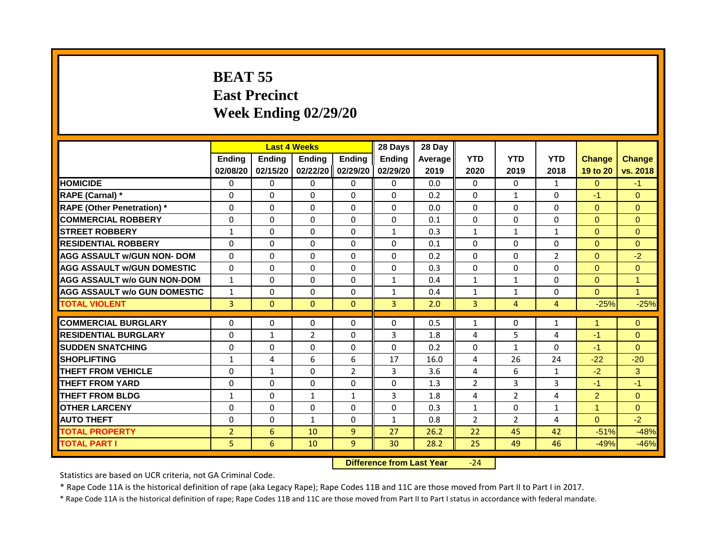# **BEAT 55 East Precinct Week Ending 02/29/20**

|                                     |                | <b>Last 4 Weeks</b> |                |                | 28 Days       | 28 Day  |                |                |                |                |                |
|-------------------------------------|----------------|---------------------|----------------|----------------|---------------|---------|----------------|----------------|----------------|----------------|----------------|
|                                     | <b>Ending</b>  | <b>Endina</b>       | <b>Endina</b>  | <b>Ending</b>  | <b>Ending</b> | Average | <b>YTD</b>     | <b>YTD</b>     | <b>YTD</b>     | <b>Change</b>  | <b>Change</b>  |
|                                     | 02/08/20       | 02/15/20            | 02/22/20       | 02/29/20       | 02/29/20      | 2019    | 2020           | 2019           | 2018           | 19 to 20       | vs. 2018       |
| <b>HOMICIDE</b>                     | $\Omega$       | $\Omega$            | $\Omega$       | $\mathbf{0}$   | $\mathbf{0}$  | 0.0     | $\Omega$       | $\Omega$       | $\mathbf{1}$   | $\Omega$       | $-1$           |
| RAPE (Carnal) *                     | $\Omega$       | $\Omega$            | $\Omega$       | $\Omega$       | $\Omega$      | 0.2     | $\Omega$       | $\mathbf{1}$   | 0              | $-1$           | $\Omega$       |
| <b>RAPE (Other Penetration) *</b>   | $\mathbf{0}$   | $\Omega$            | $\Omega$       | $\Omega$       | $\Omega$      | 0.0     | $\Omega$       | $\Omega$       | 0              | $\Omega$       | $\Omega$       |
| <b>COMMERCIAL ROBBERY</b>           | $\Omega$       | $\Omega$            | $\Omega$       | $\Omega$       | $\Omega$      | 0.1     | $\Omega$       | $\Omega$       | $\Omega$       | $\Omega$       | $\Omega$       |
| <b>STREET ROBBERY</b>               | $\mathbf{1}$   | $\Omega$            | $\Omega$       | $\Omega$       | $\mathbf{1}$  | 0.3     | $\mathbf{1}$   | $\mathbf{1}$   | $\mathbf{1}$   | $\Omega$       | $\Omega$       |
| <b>RESIDENTIAL ROBBERY</b>          | $\Omega$       | $\Omega$            | $\Omega$       | $\Omega$       | $\Omega$      | 0.1     | $\Omega$       | $\Omega$       | $\Omega$       | $\Omega$       | $\Omega$       |
| <b>AGG ASSAULT w/GUN NON- DOM</b>   | $\mathbf{0}$   | $\Omega$            | $\mathbf{0}$   | $\Omega$       | $\Omega$      | 0.2     | $\Omega$       | $\Omega$       | $\overline{2}$ | $\overline{0}$ | $-2$           |
| <b>AGG ASSAULT W/GUN DOMESTIC</b>   | $\Omega$       | $\Omega$            | $\Omega$       | $\Omega$       | $\Omega$      | 0.3     | $\Omega$       | $\Omega$       | $\Omega$       | $\Omega$       | $\Omega$       |
| <b>AGG ASSAULT w/o GUN NON-DOM</b>  | $\mathbf{1}$   | $\Omega$            | $\Omega$       | $\Omega$       | $\mathbf{1}$  | 0.4     | $\mathbf{1}$   | $\mathbf{1}$   | 0              | $\Omega$       | $\mathbf{1}$   |
| <b>AGG ASSAULT w/o GUN DOMESTIC</b> | $\mathbf{1}$   | $\Omega$            | $\Omega$       | $\Omega$       | $\mathbf{1}$  | 0.4     | $\mathbf{1}$   | $\mathbf{1}$   | 0              | $\Omega$       | $\mathbf{1}$   |
| <b>TOTAL VIOLENT</b>                | $\overline{3}$ | $\Omega$            | $\mathbf{0}$   | $\mathbf{0}$   | 3             | 2.0     | $\overline{3}$ | $\overline{4}$ | 4              | $-25%$         | $-25%$         |
| <b>COMMERCIAL BURGLARY</b>          | $\Omega$       | $\Omega$            | $\Omega$       | $\Omega$       | $\Omega$      | 0.5     | $\mathbf{1}$   | $\Omega$       | $\mathbf{1}$   | 1              | $\Omega$       |
| <b>RESIDENTIAL BURGLARY</b>         | $\Omega$       | $\mathbf{1}$        | $\overline{2}$ | $\Omega$       | 3             | 1.8     | 4              | 5              | 4              | $-1$           | $\Omega$       |
| <b>SUDDEN SNATCHING</b>             | $\Omega$       | $\Omega$            | $\Omega$       | $\Omega$       | $\Omega$      | 0.2     | $\Omega$       | 1              | $\Omega$       | $-1$           | $\Omega$       |
| <b>SHOPLIFTING</b>                  | $\mathbf{1}$   | 4                   | 6              | 6              | 17            | 16.0    | 4              | 26             | 24             | $-22$          | $-20$          |
| <b>THEFT FROM VEHICLE</b>           | $\Omega$       | $\mathbf{1}$        | $\Omega$       | $\overline{2}$ | 3             | 3.6     | 4              | 6              | $\mathbf{1}$   | $-2$           | 3 <sup>1</sup> |
| <b>THEFT FROM YARD</b>              | $\Omega$       | $\Omega$            | $\Omega$       | $\Omega$       | $\Omega$      | 1.3     | $\overline{2}$ | 3              | 3              | $-1$           | $-1$           |
| <b>THEFT FROM BLDG</b>              | $\mathbf{1}$   | $\Omega$            | $\mathbf{1}$   | $\mathbf{1}$   | 3             | 1.8     | 4              | $\overline{2}$ | 4              | $\overline{2}$ | $\Omega$       |
| <b>OTHER LARCENY</b>                | $\Omega$       | $\Omega$            | $\Omega$       | $\Omega$       | $\Omega$      | 0.3     | $\mathbf{1}$   | $\Omega$       | $\mathbf{1}$   | $\mathbf{1}$   | $\Omega$       |
| <b>AUTO THEFT</b>                   | $\mathbf{0}$   | $\Omega$            | $\mathbf{1}$   | $\Omega$       | $\mathbf{1}$  | 0.8     | $\overline{2}$ | $\overline{2}$ | 4              | $\overline{0}$ | $-2$           |
| <b>TOTAL PROPERTY</b>               | $\overline{2}$ | 6                   | 10             | $\overline{9}$ | 27            | 26.2    | 22             | 45             | 42             | $-51%$         | $-48%$         |
| <b>TOTAL PART I</b>                 | 5              | 6                   | 10             | 9              | 30            | 28.2    | 25             | 49             | 46             | $-49%$         | $-46%$         |
|                                     |                |                     |                |                |               |         |                |                |                |                |                |

**Difference from Last Year** -24

Statistics are based on UCR criteria, not GA Criminal Code.

\* Rape Code 11A is the historical definition of rape (aka Legacy Rape); Rape Codes 11B and 11C are those moved from Part II to Part I in 2017.